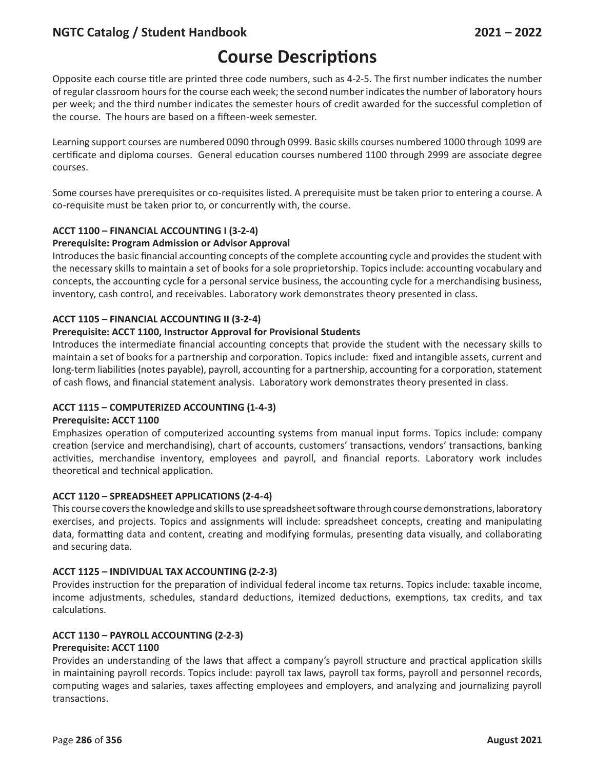# **Course Descriptions**

Opposite each course title are printed three code numbers, such as 4-2-5. The first number indicates the number of regular classroom hours for the course each week; the second number indicates the number of laboratory hours per week; and the third number indicates the semester hours of credit awarded for the successful completion of the course. The hours are based on a fifteen-week semester.

Learning support courses are numbered 0090 through 0999. Basic skills courses numbered 1000 through 1099 are certificate and diploma courses. General education courses numbered 1100 through 2999 are associate degree courses.

Some courses have prerequisites or co-requisites listed. A prerequisite must be taken prior to entering a course. A co-requisite must be taken prior to, or concurrently with, the course.

## **ACCT 1100 – FINANCIAL ACCOUNTING I (3-2-4)**

### **Prerequisite: Program Admission or Advisor Approval**

Introduces the basic financial accounting concepts of the complete accounting cycle and provides the student with the necessary skills to maintain a set of books for a sole proprietorship. Topics include: accounting vocabulary and concepts, the accounting cycle for a personal service business, the accounting cycle for a merchandising business, inventory, cash control, and receivables. Laboratory work demonstrates theory presented in class.

## **ACCT 1105 – FINANCIAL ACCOUNTING II (3-2-4)**

### **Prerequisite: ACCT 1100, Instructor Approval for Provisional Students**

Introduces the intermediate financial accounting concepts that provide the student with the necessary skills to maintain a set of books for a partnership and corporation. Topics include: fixed and intangible assets, current and long-term liabilities (notes payable), payroll, accounting for a partnership, accounting for a corporation, statement of cash flows, and financial statement analysis. Laboratory work demonstrates theory presented in class.

### **ACCT 1115 – COMPUTERIZED ACCOUNTING (1-4-3)**

### **Prerequisite: ACCT 1100**

Emphasizes operation of computerized accounting systems from manual input forms. Topics include: company creation (service and merchandising), chart of accounts, customers' transactions, vendors' transactions, banking activities, merchandise inventory, employees and payroll, and financial reports. Laboratory work includes theoretical and technical application.

### **ACCT 1120 – SPREADSHEET APPLICATIONS (2-4-4)**

This course covers the knowledge and skills to use spreadsheet software through course demonstrations, laboratory exercises, and projects. Topics and assignments will include: spreadsheet concepts, creating and manipulating data, formatting data and content, creating and modifying formulas, presenting data visually, and collaborating and securing data.

### **ACCT 1125 – INDIVIDUAL TAX ACCOUNTING (2-2-3)**

Provides instruction for the preparation of individual federal income tax returns. Topics include: taxable income, income adjustments, schedules, standard deductions, itemized deductions, exemptions, tax credits, and tax calculations.

## **ACCT 1130 – PAYROLL ACCOUNTING (2-2-3)**

### **Prerequisite: ACCT 1100**

Provides an understanding of the laws that affect a company's payroll structure and practical application skills in maintaining payroll records. Topics include: payroll tax laws, payroll tax forms, payroll and personnel records, computing wages and salaries, taxes affecting employees and employers, and analyzing and journalizing payroll transactions.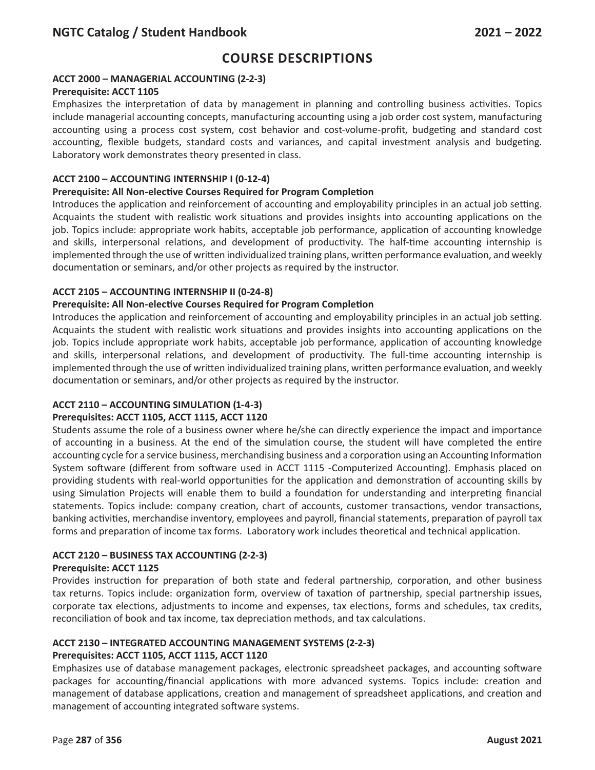## **ACCT 2000 – MANAGERIAL ACCOUNTING (2-2-3)**

#### **Prerequisite: ACCT 1105**

Emphasizes the interpretation of data by management in planning and controlling business activities. Topics include managerial accounting concepts, manufacturing accounting using a job order cost system, manufacturing accounting using a process cost system, cost behavior and cost-volume-profit, budgeting and standard cost accounting, flexible budgets, standard costs and variances, and capital investment analysis and budgeting. Laboratory work demonstrates theory presented in class.

### **ACCT 2100 – ACCOUNTING INTERNSHIP I (0-12-4)**

#### **Prerequisite: All Non-elective Courses Required for Program Completion**

Introduces the application and reinforcement of accounting and employability principles in an actual job setting. Acquaints the student with realistic work situations and provides insights into accounting applications on the job. Topics include: appropriate work habits, acceptable job performance, application of accounting knowledge and skills, interpersonal relations, and development of productivity. The half-time accounting internship is implemented through the use of written individualized training plans, written performance evaluation, and weekly documentation or seminars, and/or other projects as required by the instructor.

### **ACCT 2105 – ACCOUNTING INTERNSHIP II (0-24-8)**

#### **Prerequisite: All Non-elective Courses Required for Program Completion**

Introduces the application and reinforcement of accounting and employability principles in an actual job setting. Acquaints the student with realistic work situations and provides insights into accounting applications on the job. Topics include appropriate work habits, acceptable job performance, application of accounting knowledge and skills, interpersonal relations, and development of productivity. The full-time accounting internship is implemented through the use of written individualized training plans, written performance evaluation, and weekly documentation or seminars, and/or other projects as required by the instructor.

### **ACCT 2110 – ACCOUNTING SIMULATION (1-4-3)**

#### **Prerequisites: ACCT 1105, ACCT 1115, ACCT 1120**

Students assume the role of a business owner where he/she can directly experience the impact and importance of accounting in a business. At the end of the simulation course, the student will have completed the entire accounting cycle for a service business, merchandising business and a corporation using an Accounting Information System software (different from software used in ACCT 1115 -Computerized Accounting). Emphasis placed on providing students with real-world opportunities for the application and demonstration of accounting skills by using Simulation Projects will enable them to build a foundation for understanding and interpreting financial statements. Topics include: company creation, chart of accounts, customer transactions, vendor transactions, banking activities, merchandise inventory, employees and payroll, financial statements, preparation of payroll tax forms and preparation of income tax forms. Laboratory work includes theoretical and technical application.

### **ACCT 2120 – BUSINESS TAX ACCOUNTING (2-2-3)**

#### **Prerequisite: ACCT 1125**

Provides instruction for preparation of both state and federal partnership, corporation, and other business tax returns. Topics include: organization form, overview of taxation of partnership, special partnership issues, corporate tax elections, adjustments to income and expenses, tax elections, forms and schedules, tax credits, reconciliation of book and tax income, tax depreciation methods, and tax calculations.

### **ACCT 2130 – INTEGRATED ACCOUNTING MANAGEMENT SYSTEMS (2-2-3)**

### **Prerequisites: ACCT 1105, ACCT 1115, ACCT 1120**

Emphasizes use of database management packages, electronic spreadsheet packages, and accounting software packages for accounting/financial applications with more advanced systems. Topics include: creation and management of database applications, creation and management of spreadsheet applications, and creation and management of accounting integrated software systems.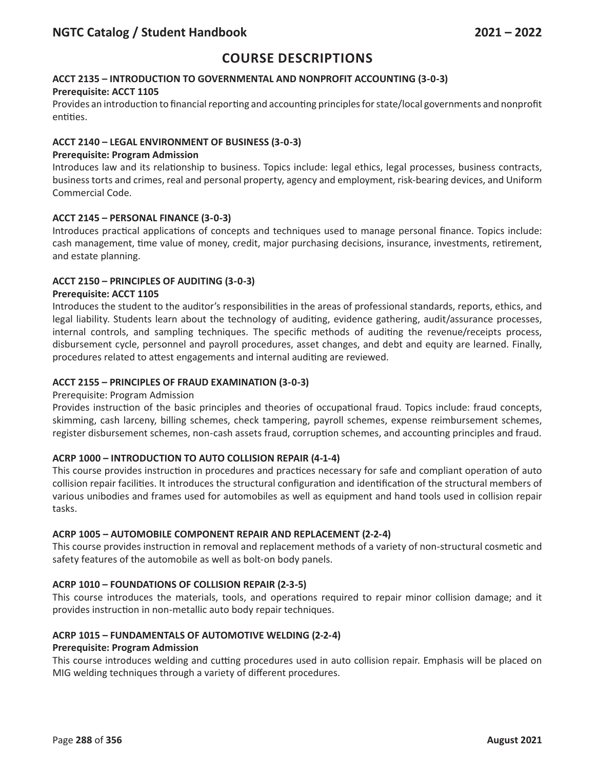# **ACCT 2135 – INTRODUCTION TO GOVERNMENTAL AND NONPROFIT ACCOUNTING (3-0-3)**

### **Prerequisite: ACCT 1105**

Provides an introduction to financial reporting and accounting principles for state/local governments and nonprofit entities.

### **ACCT 2140 – LEGAL ENVIRONMENT OF BUSINESS (3-0-3)**

#### **Prerequisite: Program Admission**

Introduces law and its relationship to business. Topics include: legal ethics, legal processes, business contracts, business torts and crimes, real and personal property, agency and employment, risk-bearing devices, and Uniform Commercial Code.

### **ACCT 2145 – PERSONAL FINANCE (3-0-3)**

Introduces practical applications of concepts and techniques used to manage personal finance. Topics include: cash management, time value of money, credit, major purchasing decisions, insurance, investments, retirement, and estate planning.

### **ACCT 2150 – PRINCIPLES OF AUDITING (3-0-3)**

#### **Prerequisite: ACCT 1105**

Introduces the student to the auditor's responsibilities in the areas of professional standards, reports, ethics, and legal liability. Students learn about the technology of auditing, evidence gathering, audit/assurance processes, internal controls, and sampling techniques. The specific methods of auditing the revenue/receipts process, disbursement cycle, personnel and payroll procedures, asset changes, and debt and equity are learned. Finally, procedures related to attest engagements and internal auditing are reviewed.

#### **ACCT 2155 – PRINCIPLES OF FRAUD EXAMINATION (3-0-3)**

#### Prerequisite: Program Admission

Provides instruction of the basic principles and theories of occupational fraud. Topics include: fraud concepts, skimming, cash larceny, billing schemes, check tampering, payroll schemes, expense reimbursement schemes, register disbursement schemes, non-cash assets fraud, corruption schemes, and accounting principles and fraud.

### **ACRP 1000 – INTRODUCTION TO AUTO COLLISION REPAIR (4-1-4)**

This course provides instruction in procedures and practices necessary for safe and compliant operation of auto collision repair facilities. It introduces the structural configuration and identification of the structural members of various unibodies and frames used for automobiles as well as equipment and hand tools used in collision repair tasks.

### **ACRP 1005 – AUTOMOBILE COMPONENT REPAIR AND REPLACEMENT (2-2-4)**

This course provides instruction in removal and replacement methods of a variety of non-structural cosmetic and safety features of the automobile as well as bolt-on body panels.

### **ACRP 1010 – FOUNDATIONS OF COLLISION REPAIR (2-3-5)**

This course introduces the materials, tools, and operations required to repair minor collision damage; and it provides instruction in non-metallic auto body repair techniques.

### **ACRP 1015 – FUNDAMENTALS OF AUTOMOTIVE WELDING (2-2-4)**

#### **Prerequisite: Program Admission**

This course introduces welding and cutting procedures used in auto collision repair. Emphasis will be placed on MIG welding techniques through a variety of different procedures.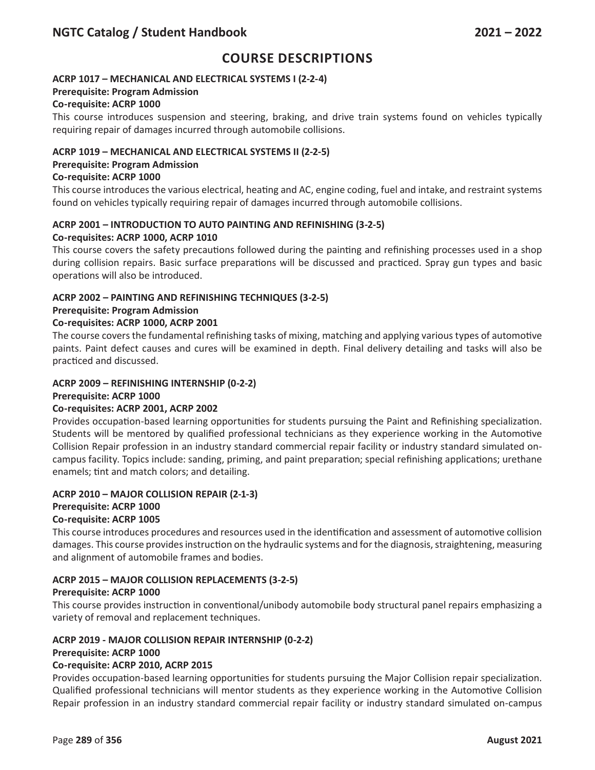## **ACRP 1017 – MECHANICAL AND ELECTRICAL SYSTEMS I (2-2-4)**

## **Prerequisite: Program Admission**

## **Co-requisite: ACRP 1000**

This course introduces suspension and steering, braking, and drive train systems found on vehicles typically requiring repair of damages incurred through automobile collisions.

### **ACRP 1019 – MECHANICAL AND ELECTRICAL SYSTEMS II (2-2-5)**

#### **Prerequisite: Program Admission**

### **Co-requisite: ACRP 1000**

This course introduces the various electrical, heating and AC, engine coding, fuel and intake, and restraint systems found on vehicles typically requiring repair of damages incurred through automobile collisions.

#### **ACRP 2001 – INTRODUCTION TO AUTO PAINTING AND REFINISHING (3-2-5) Co-requisites: ACRP 1000, ACRP 1010**

This course covers the safety precautions followed during the painting and refinishing processes used in a shop during collision repairs. Basic surface preparations will be discussed and practiced. Spray gun types and basic operations will also be introduced.

### **ACRP 2002 – PAINTING AND REFINISHING TECHNIQUES (3-2-5)**

### **Prerequisite: Program Admission**

## **Co-requisites: ACRP 1000, ACRP 2001**

The course covers the fundamental refinishing tasks of mixing, matching and applying various types of automotive paints. Paint defect causes and cures will be examined in depth. Final delivery detailing and tasks will also be practiced and discussed.

### **ACRP 2009 – REFINISHING INTERNSHIP (0-2-2)**

### **Prerequisite: ACRP 1000**

### **Co-requisites: ACRP 2001, ACRP 2002**

Provides occupation-based learning opportunities for students pursuing the Paint and Refinishing specialization. Students will be mentored by qualified professional technicians as they experience working in the Automotive Collision Repair profession in an industry standard commercial repair facility or industry standard simulated oncampus facility. Topics include: sanding, priming, and paint preparation; special refinishing applications; urethane enamels; tint and match colors; and detailing.

### **ACRP 2010 – MAJOR COLLISION REPAIR (2-1-3)**

### **Prerequisite: ACRP 1000**

### **Co-requisite: ACRP 1005**

This course introduces procedures and resources used in the identification and assessment of automotive collision damages. This course provides instruction on the hydraulic systems and for the diagnosis, straightening, measuring and alignment of automobile frames and bodies.

### **ACRP 2015 – MAJOR COLLISION REPLACEMENTS (3-2-5)**

### **Prerequisite: ACRP 1000**

This course provides instruction in conventional/unibody automobile body structural panel repairs emphasizing a variety of removal and replacement techniques.

### **ACRP 2019 - MAJOR COLLISION REPAIR INTERNSHIP (0-2-2)**

### **Prerequisite: ACRP 1000**

### **Co-requisite: ACRP 2010, ACRP 2015**

Provides occupation-based learning opportunities for students pursuing the Major Collision repair specialization. Qualified professional technicians will mentor students as they experience working in the Automotive Collision Repair profession in an industry standard commercial repair facility or industry standard simulated on-campus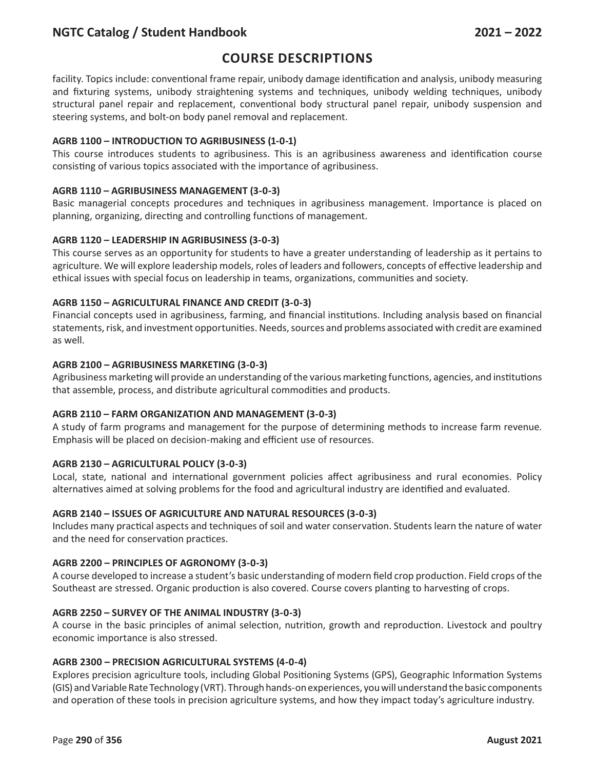# **Course Descriptions**

facility. Topics include: conventional frame repair, unibody damage identification and analysis, unibody measuring and fixturing systems, unibody straightening systems and techniques, unibody welding techniques, unibody structural panel repair and replacement, conventional body structural panel repair, unibody suspension and steering systems, and bolt-on body panel removal and replacement.

## **AGRB 1100 – INTRODUCTION TO AGRIBUSINESS (1-0-1)**

This course introduces students to agribusiness. This is an agribusiness awareness and identification course consisting of various topics associated with the importance of agribusiness.

## **AGRB 1110 – AGRIBUSINESS MANAGEMENT (3-0-3)**

Basic managerial concepts procedures and techniques in agribusiness management. Importance is placed on planning, organizing, directing and controlling functions of management.

## **AGRB 1120 – LEADERSHIP IN AGRIBUSINESS (3-0-3)**

This course serves as an opportunity for students to have a greater understanding of leadership as it pertains to agriculture. We will explore leadership models, roles of leaders and followers, concepts of effective leadership and ethical issues with special focus on leadership in teams, organizations, communities and society.

## **AGRB 1150 – AGRICULTURAL FINANCE AND CREDIT (3-0-3)**

Financial concepts used in agribusiness, farming, and financial institutions. Including analysis based on financial statements, risk, and investment opportunities. Needs, sources and problems associated with credit are examined as well.

### **AGRB 2100 – AGRIBUSINESS MARKETING (3-0-3)**

Agribusiness marketing will provide an understanding of the various marketing functions, agencies, and institutions that assemble, process, and distribute agricultural commodities and products.

### **AGRB 2110 – FARM ORGANIZATION AND MANAGEMENT (3-0-3)**

A study of farm programs and management for the purpose of determining methods to increase farm revenue. Emphasis will be placed on decision-making and efficient use of resources.

### **AGRB 2130 – AGRICULTURAL POLICY (3-0-3)**

Local, state, national and international government policies affect agribusiness and rural economies. Policy alternatives aimed at solving problems for the food and agricultural industry are identified and evaluated.

### **AGRB 2140 – ISSUES OF AGRICULTURE AND NATURAL RESOURCES (3-0-3)**

Includes many practical aspects and techniques of soil and water conservation. Students learn the nature of water and the need for conservation practices.

### **AGRB 2200 – PRINCIPLES OF AGRONOMY (3-0-3)**

A course developed to increase a student's basic understanding of modern field crop production. Field crops of the Southeast are stressed. Organic production is also covered. Course covers planting to harvesting of crops.

### **AGRB 2250 – SURVEY OF THE ANIMAL INDUSTRY (3-0-3)**

A course in the basic principles of animal selection, nutrition, growth and reproduction. Livestock and poultry economic importance is also stressed.

### **AGRB 2300 – PRECISION AGRICULTURAL SYSTEMS (4-0-4)**

Explores precision agriculture tools, including Global Positioning Systems (GPS), Geographic Information Systems (GIS) and Variable Rate Technology (VRT). Through hands-on experiences, you will understand the basic components and operation of these tools in precision agriculture systems, and how they impact today's agriculture industry.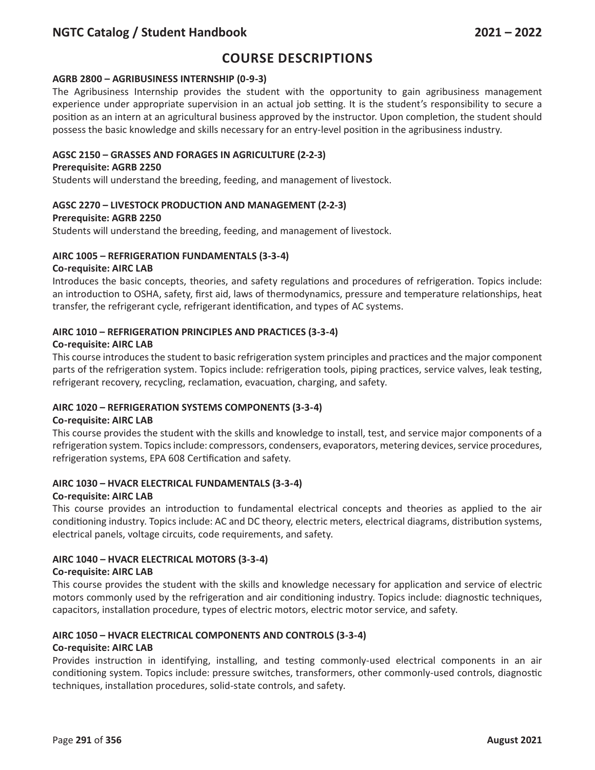# **Course Descriptions**

### **AGRB 2800 – AGRIBUSINESS INTERNSHIP (0-9-3)**

The Agribusiness Internship provides the student with the opportunity to gain agribusiness management experience under appropriate supervision in an actual job setting. It is the student's responsibility to secure a position as an intern at an agricultural business approved by the instructor. Upon completion, the student should possess the basic knowledge and skills necessary for an entry-level position in the agribusiness industry.

### **AGSC 2150 – GRASSES AND FORAGES IN AGRICULTURE (2-2-3)**

#### **Prerequisite: AGRB 2250**

Students will understand the breeding, feeding, and management of livestock.

### **AGSC 2270 – LIVESTOCK PRODUCTION AND MANAGEMENT (2-2-3)**

#### **Prerequisite: AGRB 2250**

Students will understand the breeding, feeding, and management of livestock.

#### **AIRC 1005 – REFRIGERATION FUNDAMENTALS (3-3-4)**

#### **Co-requisite: AIRC LAB**

Introduces the basic concepts, theories, and safety regulations and procedures of refrigeration. Topics include: an introduction to OSHA, safety, first aid, laws of thermodynamics, pressure and temperature relationships, heat transfer, the refrigerant cycle, refrigerant identification, and types of AC systems.

### **AIRC 1010 – REFRIGERATION PRINCIPLES AND PRACTICES (3-3-4)**

#### **Co-requisite: AIRC LAB**

This course introduces the student to basic refrigeration system principles and practices and the major component parts of the refrigeration system. Topics include: refrigeration tools, piping practices, service valves, leak testing, refrigerant recovery, recycling, reclamation, evacuation, charging, and safety.

### **AIRC 1020 – REFRIGERATION SYSTEMS COMPONENTS (3-3-4)**

#### **Co-requisite: AIRC LAB**

This course provides the student with the skills and knowledge to install, test, and service major components of a refrigeration system. Topics include: compressors, condensers, evaporators, metering devices, service procedures, refrigeration systems, EPA 608 Certification and safety.

#### **AIRC 1030 – HVACR ELECTRICAL FUNDAMENTALS (3-3-4)**

#### **Co-requisite: AIRC LAB**

This course provides an introduction to fundamental electrical concepts and theories as applied to the air conditioning industry. Topics include: AC and DC theory, electric meters, electrical diagrams, distribution systems, electrical panels, voltage circuits, code requirements, and safety.

### **AIRC 1040 – HVACR ELECTRICAL MOTORS (3-3-4)**

#### **Co-requisite: AIRC LAB**

This course provides the student with the skills and knowledge necessary for application and service of electric motors commonly used by the refrigeration and air conditioning industry. Topics include: diagnostic techniques, capacitors, installation procedure, types of electric motors, electric motor service, and safety.

### **AIRC 1050 – HVACR ELECTRICAL COMPONENTS AND CONTROLS (3-3-4)**

#### **Co-requisite: AIRC LAB**

Provides instruction in identifying, installing, and testing commonly-used electrical components in an air conditioning system. Topics include: pressure switches, transformers, other commonly-used controls, diagnostic techniques, installation procedures, solid-state controls, and safety.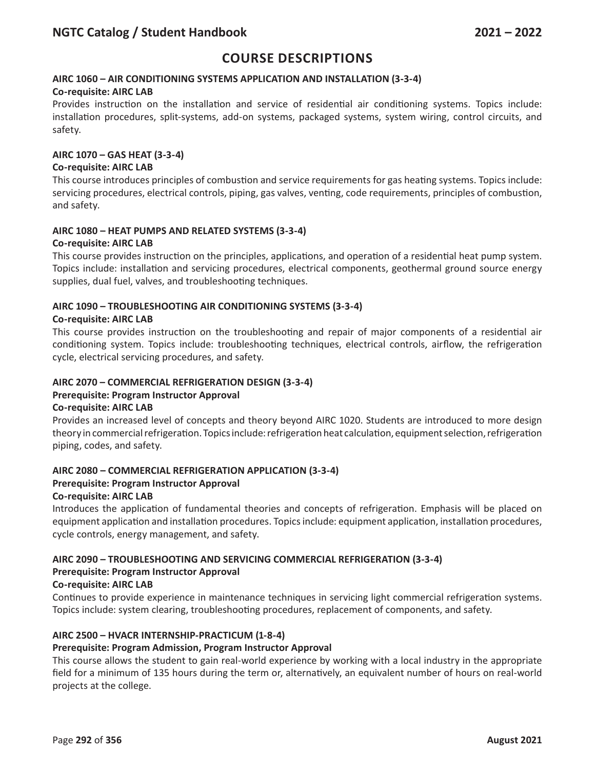### **AIRC 1060 – AIR CONDITIONING SYSTEMS APPLICATION AND INSTALLATION (3-3-4)**

#### **Co-requisite: AIRC LAB**

Provides instruction on the installation and service of residential air conditioning systems. Topics include: installation procedures, split-systems, add-on systems, packaged systems, system wiring, control circuits, and safety.

#### **AIRC 1070 – GAS HEAT (3-3-4)**

#### **Co-requisite: AIRC LAB**

This course introduces principles of combustion and service requirements for gas heating systems. Topics include: servicing procedures, electrical controls, piping, gas valves, venting, code requirements, principles of combustion, and safety.

# **AIRC 1080 – HEAT PUMPS AND RELATED SYSTEMS (3-3-4)**

# **Co-requisite: AIRC LAB**

This course provides instruction on the principles, applications, and operation of a residential heat pump system. Topics include: installation and servicing procedures, electrical components, geothermal ground source energy supplies, dual fuel, valves, and troubleshooting techniques.

### **AIRC 1090 – TROUBLESHOOTING AIR CONDITIONING SYSTEMS (3-3-4)**

#### **Co-requisite: AIRC LAB**

This course provides instruction on the troubleshooting and repair of major components of a residential air conditioning system. Topics include: troubleshooting techniques, electrical controls, airflow, the refrigeration cycle, electrical servicing procedures, and safety.

#### **AIRC 2070 – COMMERCIAL REFRIGERATION DESIGN (3-3-4)**

### **Prerequisite: Program Instructor Approval**

#### **Co-requisite: AIRC LAB**

Provides an increased level of concepts and theory beyond AIRC 1020. Students are introduced to more design theory in commercial refrigeration. Topics include: refrigeration heat calculation, equipment selection, refrigeration piping, codes, and safety.

### **AIRC 2080 – COMMERCIAL REFRIGERATION APPLICATION (3-3-4)**

#### **Prerequisite: Program Instructor Approval**

#### **Co-requisite: AIRC LAB**

Introduces the application of fundamental theories and concepts of refrigeration. Emphasis will be placed on equipment application and installation procedures. Topics include: equipment application, installation procedures, cycle controls, energy management, and safety.

#### **AIRC 2090 – TROUBLESHOOTING AND SERVICING COMMERCIAL REFRIGERATION (3-3-4) Prerequisite: Program Instructor Approval**

#### **Co-requisite: AIRC LAB**

Continues to provide experience in maintenance techniques in servicing light commercial refrigeration systems. Topics include: system clearing, troubleshooting procedures, replacement of components, and safety.

### **AIRC 2500 – HVACR INTERNSHIP-PRACTICUM (1-8-4)**

### **Prerequisite: Program Admission, Program Instructor Approval**

This course allows the student to gain real-world experience by working with a local industry in the appropriate field for a minimum of 135 hours during the term or, alternatively, an equivalent number of hours on real-world projects at the college.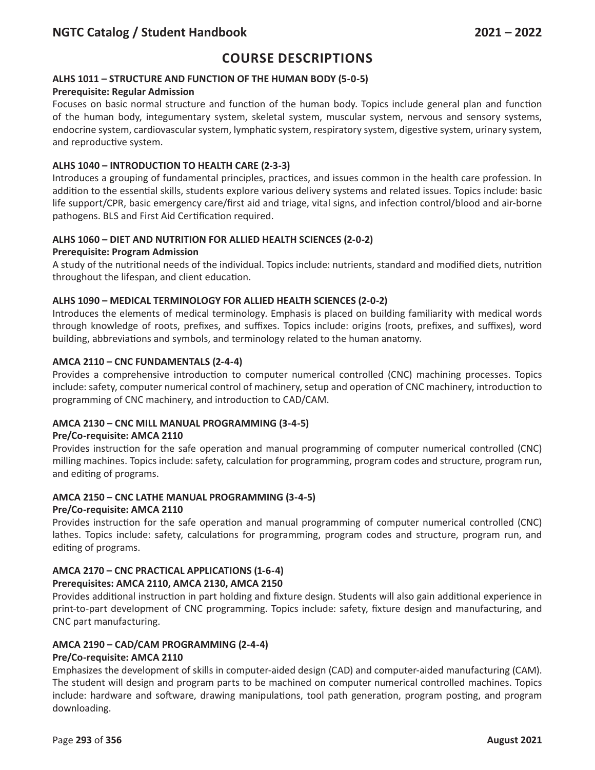## **ALHS 1011 – STRUCTURE AND FUNCTION OF THE HUMAN BODY (5-0-5)**

## **Prerequisite: Regular Admission**

Focuses on basic normal structure and function of the human body. Topics include general plan and function of the human body, integumentary system, skeletal system, muscular system, nervous and sensory systems, endocrine system, cardiovascular system, lymphatic system, respiratory system, digestive system, urinary system, and reproductive system.

## **ALHS 1040 – INTRODUCTION TO HEALTH CARE (2-3-3)**

Introduces a grouping of fundamental principles, practices, and issues common in the health care profession. In addition to the essential skills, students explore various delivery systems and related issues. Topics include: basic life support/CPR, basic emergency care/first aid and triage, vital signs, and infection control/blood and air-borne pathogens. BLS and First Aid Certification required.

## **ALHS 1060 – DIET AND NUTRITION FOR ALLIED HEALTH SCIENCES (2-0-2)**

### **Prerequisite: Program Admission**

A study of the nutritional needs of the individual. Topics include: nutrients, standard and modified diets, nutrition throughout the lifespan, and client education.

### **ALHS 1090 – MEDICAL TERMINOLOGY FOR ALLIED HEALTH SCIENCES (2-0-2)**

Introduces the elements of medical terminology. Emphasis is placed on building familiarity with medical words through knowledge of roots, prefixes, and suffixes. Topics include: origins (roots, prefixes, and suffixes), word building, abbreviations and symbols, and terminology related to the human anatomy.

## **AMCA 2110 – CNC FUNDAMENTALS (2-4-4)**

Provides a comprehensive introduction to computer numerical controlled (CNC) machining processes. Topics include: safety, computer numerical control of machinery, setup and operation of CNC machinery, introduction to programming of CNC machinery, and introduction to CAD/CAM.

## **AMCA 2130 – CNC MILL MANUAL PROGRAMMING (3-4-5)**

### **Pre/Co-requisite: AMCA 2110**

Provides instruction for the safe operation and manual programming of computer numerical controlled (CNC) milling machines. Topics include: safety, calculation for programming, program codes and structure, program run, and editing of programs.

### **AMCA 2150 – CNC LATHE MANUAL PROGRAMMING (3-4-5)**

### **Pre/Co-requisite: AMCA 2110**

Provides instruction for the safe operation and manual programming of computer numerical controlled (CNC) lathes. Topics include: safety, calculations for programming, program codes and structure, program run, and editing of programs.

### **AMCA 2170 – CNC PRACTICAL APPLICATIONS (1-6-4)**

### **Prerequisites: AMCA 2110, AMCA 2130, AMCA 2150**

Provides additional instruction in part holding and fixture design. Students will also gain additional experience in print-to-part development of CNC programming. Topics include: safety, fixture design and manufacturing, and CNC part manufacturing.

## **AMCA 2190 – CAD/CAM PROGRAMMING (2-4-4)**

### **Pre/Co-requisite: AMCA 2110**

Emphasizes the development of skills in computer-aided design (CAD) and computer-aided manufacturing (CAM). The student will design and program parts to be machined on computer numerical controlled machines. Topics include: hardware and software, drawing manipulations, tool path generation, program posting, and program downloading.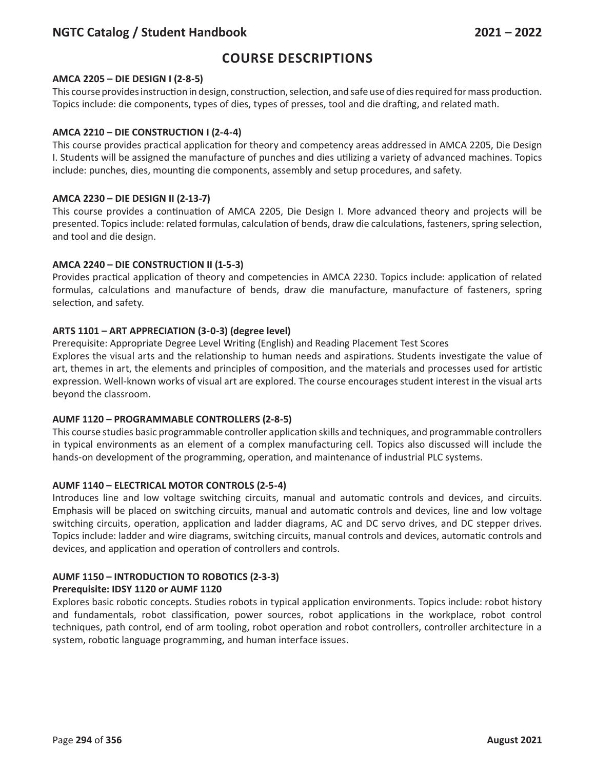# **Course Descriptions**

### **AMCA 2205 – DIE DESIGN I (2-8-5)**

This course provides instruction in design, construction, selection, and safe use of dies required for mass production. Topics include: die components, types of dies, types of presses, tool and die drafting, and related math.

#### **AMCA 2210 – DIE CONSTRUCTION I (2-4-4)**

This course provides practical application for theory and competency areas addressed in AMCA 2205, Die Design I. Students will be assigned the manufacture of punches and dies utilizing a variety of advanced machines. Topics include: punches, dies, mounting die components, assembly and setup procedures, and safety.

#### **AMCA 2230 – DIE DESIGN II (2-13-7)**

This course provides a continuation of AMCA 2205, Die Design I. More advanced theory and projects will be presented. Topics include: related formulas, calculation of bends, draw die calculations, fasteners, spring selection, and tool and die design.

#### **AMCA 2240 – DIE CONSTRUCTION II (1-5-3)**

Provides practical application of theory and competencies in AMCA 2230. Topics include: application of related formulas, calculations and manufacture of bends, draw die manufacture, manufacture of fasteners, spring selection, and safety.

#### **ARTS 1101 – ART APPRECIATION (3-0-3) (degree level)**

Prerequisite: Appropriate Degree Level Writing (English) and Reading Placement Test Scores

Explores the visual arts and the relationship to human needs and aspirations. Students investigate the value of art, themes in art, the elements and principles of composition, and the materials and processes used for artistic expression. Well-known works of visual art are explored. The course encourages student interest in the visual arts beyond the classroom.

#### **AUMF 1120 – PROGRAMMABLE CONTROLLERS (2-8-5)**

This course studies basic programmable controller application skills and techniques, and programmable controllers in typical environments as an element of a complex manufacturing cell. Topics also discussed will include the hands-on development of the programming, operation, and maintenance of industrial PLC systems.

#### **AUMF 1140 – ELECTRICAL MOTOR CONTROLS (2-5-4)**

Introduces line and low voltage switching circuits, manual and automatic controls and devices, and circuits. Emphasis will be placed on switching circuits, manual and automatic controls and devices, line and low voltage switching circuits, operation, application and ladder diagrams, AC and DC servo drives, and DC stepper drives. Topics include: ladder and wire diagrams, switching circuits, manual controls and devices, automatic controls and devices, and application and operation of controllers and controls.

### **AUMF 1150 – INTRODUCTION TO ROBOTICS (2-3-3)**

#### **Prerequisite: IDSY 1120 or AUMF 1120**

Explores basic robotic concepts. Studies robots in typical application environments. Topics include: robot history and fundamentals, robot classification, power sources, robot applications in the workplace, robot control techniques, path control, end of arm tooling, robot operation and robot controllers, controller architecture in a system, robotic language programming, and human interface issues.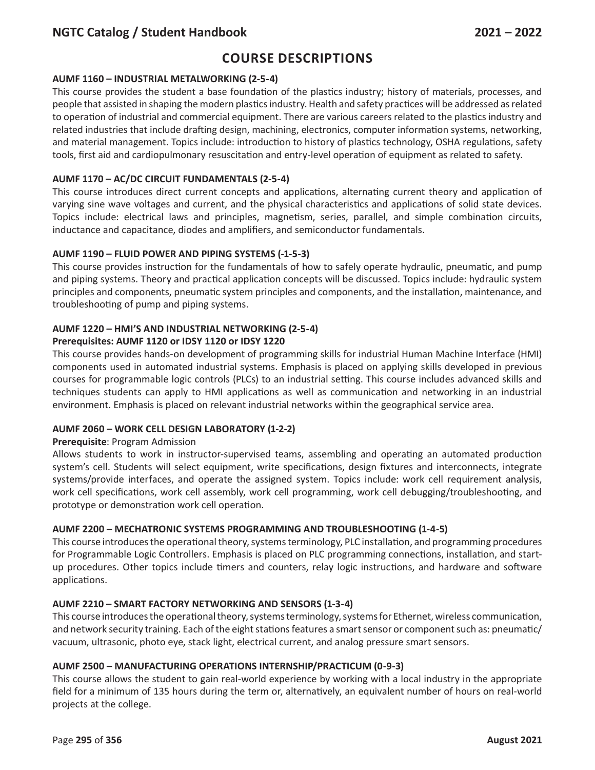# **Course Descriptions**

## **AUMF 1160 – INDUSTRIAL METALWORKING (2-5-4)**

This course provides the student a base foundation of the plastics industry; history of materials, processes, and people that assisted in shaping the modern plastics industry. Health and safety practices will be addressed as related to operation of industrial and commercial equipment. There are various careers related to the plastics industry and related industries that include drafting design, machining, electronics, computer information systems, networking, and material management. Topics include: introduction to history of plastics technology, OSHA regulations, safety tools, first aid and cardiopulmonary resuscitation and entry-level operation of equipment as related to safety.

## **AUMF 1170 – AC/DC CIRCUIT FUNDAMENTALS (2-5-4)**

This course introduces direct current concepts and applications, alternating current theory and application of varying sine wave voltages and current, and the physical characteristics and applications of solid state devices. Topics include: electrical laws and principles, magnetism, series, parallel, and simple combination circuits, inductance and capacitance, diodes and amplifiers, and semiconductor fundamentals.

## **AUMF 1190 – FLUID POWER AND PIPING SYSTEMS (-1-5-3)**

This course provides instruction for the fundamentals of how to safely operate hydraulic, pneumatic, and pump and piping systems. Theory and practical application concepts will be discussed. Topics include: hydraulic system principles and components, pneumatic system principles and components, and the installation, maintenance, and troubleshooting of pump and piping systems.

#### **AUMF 1220 – HMI'S AND INDUSTRIAL NETWORKING (2-5-4) Prerequisites: AUMF 1120 or IDSY 1120 or IDSY 1220**

This course provides hands-on development of programming skills for industrial Human Machine Interface (HMI) components used in automated industrial systems. Emphasis is placed on applying skills developed in previous courses for programmable logic controls (PLCs) to an industrial setting. This course includes advanced skills and techniques students can apply to HMI applications as well as communication and networking in an industrial environment. Emphasis is placed on relevant industrial networks within the geographical service area.

### **AUMF 2060 – WORK CELL DESIGN LABORATORY (1-2-2)**

## **Prerequisite**: Program Admission

Allows students to work in instructor-supervised teams, assembling and operating an automated production system's cell. Students will select equipment, write specifications, design fixtures and interconnects, integrate systems/provide interfaces, and operate the assigned system. Topics include: work cell requirement analysis, work cell specifications, work cell assembly, work cell programming, work cell debugging/troubleshooting, and prototype or demonstration work cell operation.

### **AUMF 2200 – MECHATRONIC SYSTEMS PROGRAMMING AND TROUBLESHOOTING (1-4-5)**

This course introduces the operational theory, systems terminology, PLC installation, and programming procedures for Programmable Logic Controllers. Emphasis is placed on PLC programming connections, installation, and startup procedures. Other topics include timers and counters, relay logic instructions, and hardware and software applications.

### **AUMF 2210 – SMART FACTORY NETWORKING AND SENSORS (1-3-4)**

This course introduces the operational theory, systems terminology, systems for Ethernet, wireless communication, and network security training. Each of the eight stations features a smart sensor or component such as: pneumatic/ vacuum, ultrasonic, photo eye, stack light, electrical current, and analog pressure smart sensors.

### **AUMF 2500 – MANUFACTURING OPERATIONS INTERNSHIP/PRACTICUM (0-9-3)**

This course allows the student to gain real-world experience by working with a local industry in the appropriate field for a minimum of 135 hours during the term or, alternatively, an equivalent number of hours on real-world projects at the college.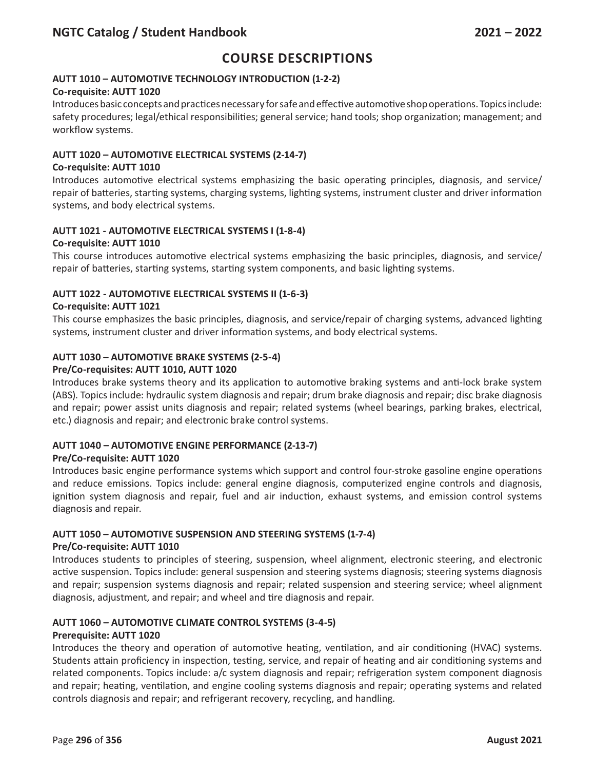## **AUTT 1010 – AUTOMOTIVE TECHNOLOGY INTRODUCTION (1-2-2)**

### **Co-requisite: AUTT 1020**

Introduces basic concepts and practices necessary for safe and effective automotive shop operations. Topics include: safety procedures; legal/ethical responsibilities; general service; hand tools; shop organization; management; and workflow systems.

#### **AUTT 1020 – AUTOMOTIVE ELECTRICAL SYSTEMS (2-14-7)**

#### **Co-requisite: AUTT 1010**

Introduces automotive electrical systems emphasizing the basic operating principles, diagnosis, and service/ repair of batteries, starting systems, charging systems, lighting systems, instrument cluster and driver information systems, and body electrical systems.

### **AUTT 1021 - AUTOMOTIVE ELECTRICAL SYSTEMS I (1-8-4) Co-requisite: AUTT 1010**

This course introduces automotive electrical systems emphasizing the basic principles, diagnosis, and service/ repair of batteries, starting systems, starting system components, and basic lighting systems.

## **AUTT 1022 - AUTOMOTIVE ELECTRICAL SYSTEMS II (1-6-3)**

#### **Co-requisite: AUTT 1021**

This course emphasizes the basic principles, diagnosis, and service/repair of charging systems, advanced lighting systems, instrument cluster and driver information systems, and body electrical systems.

### **AUTT 1030 – AUTOMOTIVE BRAKE SYSTEMS (2-5-4)**

#### **Pre/Co-requisites: AUTT 1010, AUTT 1020**

Introduces brake systems theory and its application to automotive braking systems and anti-lock brake system (ABS). Topics include: hydraulic system diagnosis and repair; drum brake diagnosis and repair; disc brake diagnosis and repair; power assist units diagnosis and repair; related systems (wheel bearings, parking brakes, electrical, etc.) diagnosis and repair; and electronic brake control systems.

### **AUTT 1040 – AUTOMOTIVE ENGINE PERFORMANCE (2-13-7)**

### **Pre/Co-requisite: AUTT 1020**

Introduces basic engine performance systems which support and control four-stroke gasoline engine operations and reduce emissions. Topics include: general engine diagnosis, computerized engine controls and diagnosis, ignition system diagnosis and repair, fuel and air induction, exhaust systems, and emission control systems diagnosis and repair.

## **AUTT 1050 – AUTOMOTIVE SUSPENSION AND STEERING SYSTEMS (1-7-4)**

#### **Pre/Co-requisite: AUTT 1010**

Introduces students to principles of steering, suspension, wheel alignment, electronic steering, and electronic active suspension. Topics include: general suspension and steering systems diagnosis; steering systems diagnosis and repair; suspension systems diagnosis and repair; related suspension and steering service; wheel alignment diagnosis, adjustment, and repair; and wheel and tire diagnosis and repair.

### **AUTT 1060 – AUTOMOTIVE CLIMATE CONTROL SYSTEMS (3-4-5)**

### **Prerequisite: AUTT 1020**

Introduces the theory and operation of automotive heating, ventilation, and air conditioning (HVAC) systems. Students attain proficiency in inspection, testing, service, and repair of heating and air conditioning systems and related components. Topics include: a/c system diagnosis and repair; refrigeration system component diagnosis and repair; heating, ventilation, and engine cooling systems diagnosis and repair; operating systems and related controls diagnosis and repair; and refrigerant recovery, recycling, and handling.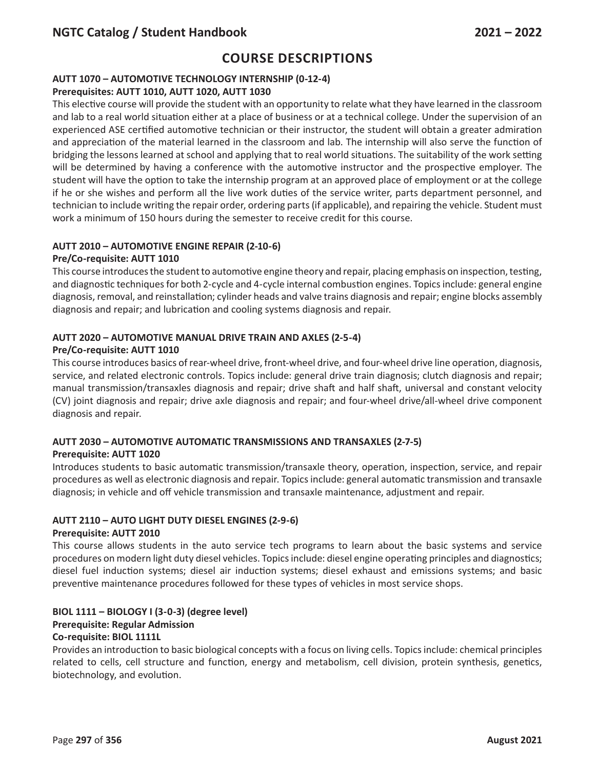## **AUTT 1070 – AUTOMOTIVE TECHNOLOGY INTERNSHIP (0-12-4)**

## **Prerequisites: AUTT 1010, AUTT 1020, AUTT 1030**

This elective course will provide the student with an opportunity to relate what they have learned in the classroom and lab to a real world situation either at a place of business or at a technical college. Under the supervision of an experienced ASE certified automotive technician or their instructor, the student will obtain a greater admiration and appreciation of the material learned in the classroom and lab. The internship will also serve the function of bridging the lessons learned at school and applying that to real world situations. The suitability of the work setting will be determined by having a conference with the automotive instructor and the prospective employer. The student will have the option to take the internship program at an approved place of employment or at the college if he or she wishes and perform all the live work duties of the service writer, parts department personnel, and technician to include writing the repair order, ordering parts (if applicable), and repairing the vehicle. Student must work a minimum of 150 hours during the semester to receive credit for this course.

## **AUTT 2010 – AUTOMOTIVE ENGINE REPAIR (2-10-6)**

## **Pre/Co-requisite: AUTT 1010**

This course introduces the student to automotive engine theory and repair, placing emphasis on inspection, testing, and diagnostic techniques for both 2-cycle and 4-cycle internal combustion engines. Topics include: general engine diagnosis, removal, and reinstallation; cylinder heads and valve trains diagnosis and repair; engine blocks assembly diagnosis and repair; and lubrication and cooling systems diagnosis and repair.

## **AUTT 2020 – AUTOMOTIVE MANUAL DRIVE TRAIN AND AXLES (2-5-4)**

## **Pre/Co-requisite: AUTT 1010**

This course introduces basics of rear-wheel drive, front-wheel drive, and four-wheel drive line operation, diagnosis, service, and related electronic controls. Topics include: general drive train diagnosis; clutch diagnosis and repair; manual transmission/transaxles diagnosis and repair; drive shaft and half shaft, universal and constant velocity (CV) joint diagnosis and repair; drive axle diagnosis and repair; and four-wheel drive/all-wheel drive component diagnosis and repair.

## **AUTT 2030 – AUTOMOTIVE AUTOMATIC TRANSMISSIONS AND TRANSAXLES (2-7-5)**

### **Prerequisite: AUTT 1020**

Introduces students to basic automatic transmission/transaxle theory, operation, inspection, service, and repair procedures as well as electronic diagnosis and repair. Topics include: general automatic transmission and transaxle diagnosis; in vehicle and off vehicle transmission and transaxle maintenance, adjustment and repair.

### **AUTT 2110 – AUTO LIGHT DUTY DIESEL ENGINES (2-9-6)**

### **Prerequisite: AUTT 2010**

This course allows students in the auto service tech programs to learn about the basic systems and service procedures on modern light duty diesel vehicles. Topics include: diesel engine operating principles and diagnostics; diesel fuel induction systems; diesel air induction systems; diesel exhaust and emissions systems; and basic preventive maintenance procedures followed for these types of vehicles in most service shops.

#### **BIOL 1111 – BIOLOGY I (3-0-3) (degree level) Prerequisite: Regular Admission Co-requisite: BIOL 1111L**

Provides an introduction to basic biological concepts with a focus on living cells. Topics include: chemical principles related to cells, cell structure and function, energy and metabolism, cell division, protein synthesis, genetics, biotechnology, and evolution.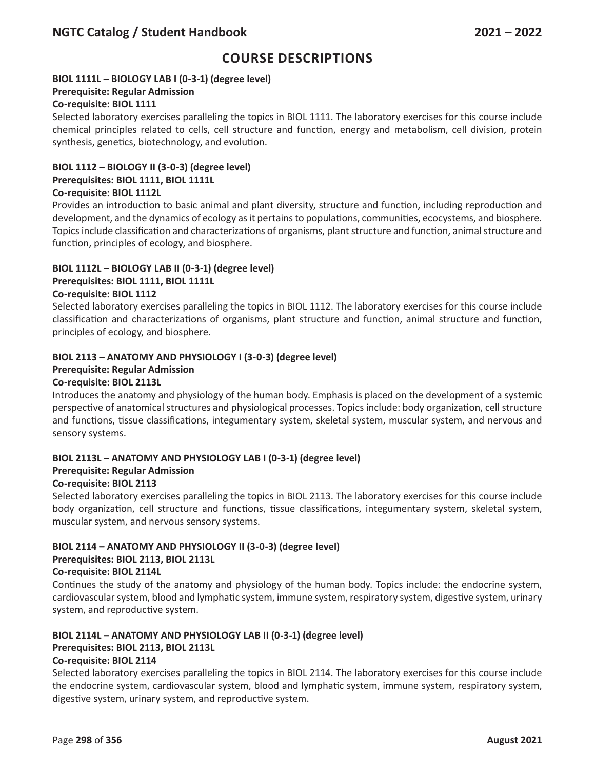## **BIOL 1111L – BIOLOGY LAB I (0-3-1) (degree level)**

## **Prerequisite: Regular Admission**

### **Co-requisite: BIOL 1111**

Selected laboratory exercises paralleling the topics in BIOL 1111. The laboratory exercises for this course include chemical principles related to cells, cell structure and function, energy and metabolism, cell division, protein synthesis, genetics, biotechnology, and evolution.

## **BIOL 1112 – BIOLOGY II (3-0-3) (degree level)**

## **Prerequisites: BIOL 1111, BIOL 1111L**

## **Co-requisite: BIOL 1112L**

Provides an introduction to basic animal and plant diversity, structure and function, including reproduction and development, and the dynamics of ecology as it pertains to populations, communities, ecocystems, and biosphere. Topics include classification and characterizations of organisms, plant structure and function, animal structure and function, principles of ecology, and biosphere.

## **BIOL 1112L – BIOLOGY LAB II (0-3-1) (degree level)**

## **Prerequisites: BIOL 1111, BIOL 1111L**

## **Co-requisite: BIOL 1112**

Selected laboratory exercises paralleling the topics in BIOL 1112. The laboratory exercises for this course include classification and characterizations of organisms, plant structure and function, animal structure and function, principles of ecology, and biosphere.

## **BIOL 2113 – ANATOMY AND PHYSIOLOGY I (3-0-3) (degree level)**

## **Prerequisite: Regular Admission**

## **Co-requisite: BIOL 2113L**

Introduces the anatomy and physiology of the human body. Emphasis is placed on the development of a systemic perspective of anatomical structures and physiological processes. Topics include: body organization, cell structure and functions, tissue classifications, integumentary system, skeletal system, muscular system, and nervous and sensory systems.

### **BIOL 2113L – ANATOMY AND PHYSIOLOGY LAB I (0-3-1) (degree level)**

### **Prerequisite: Regular Admission**

### **Co-requisite: BIOL 2113**

Selected laboratory exercises paralleling the topics in BIOL 2113. The laboratory exercises for this course include body organization, cell structure and functions, tissue classifications, integumentary system, skeletal system, muscular system, and nervous sensory systems.

## **BIOL 2114 – ANATOMY AND PHYSIOLOGY II (3-0-3) (degree level)**

### **Prerequisites: BIOL 2113, BIOL 2113L**

## **Co-requisite: BIOL 2114L**

Continues the study of the anatomy and physiology of the human body. Topics include: the endocrine system, cardiovascular system, blood and lymphatic system, immune system, respiratory system, digestive system, urinary system, and reproductive system.

## **BIOL 2114L – ANATOMY AND PHYSIOLOGY LAB II (0-3-1) (degree level)**

### **Prerequisites: BIOL 2113, BIOL 2113L**

### **Co-requisite: BIOL 2114**

Selected laboratory exercises paralleling the topics in BIOL 2114. The laboratory exercises for this course include the endocrine system, cardiovascular system, blood and lymphatic system, immune system, respiratory system, digestive system, urinary system, and reproductive system.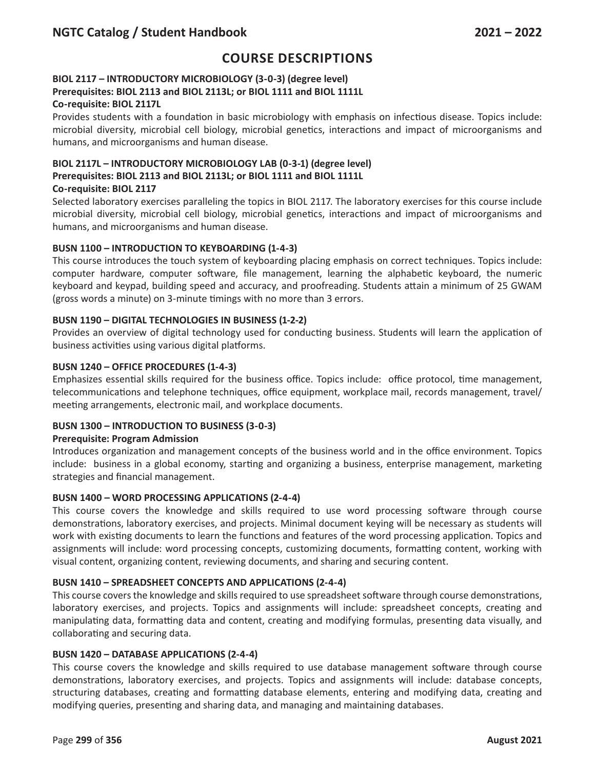## **BIOL 2117 – INTRODUCTORY MICROBIOLOGY (3-0-3) (degree level) Prerequisites: BIOL 2113 and BIOL 2113L; or BIOL 1111 and BIOL 1111L**

#### **Co-requisite: BIOL 2117L**

Provides students with a foundation in basic microbiology with emphasis on infectious disease. Topics include: microbial diversity, microbial cell biology, microbial genetics, interactions and impact of microorganisms and humans, and microorganisms and human disease.

## **BIOL 2117L – INTRODUCTORY MICROBIOLOGY LAB (0-3-1) (degree level) Prerequisites: BIOL 2113 and BIOL 2113L; or BIOL 1111 and BIOL 1111L Co-requisite: BIOL 2117**

Selected laboratory exercises paralleling the topics in BIOL 2117. The laboratory exercises for this course include microbial diversity, microbial cell biology, microbial genetics, interactions and impact of microorganisms and humans, and microorganisms and human disease.

### **BUSN 1100 – INTRODUCTION TO KEYBOARDING (1-4-3)**

This course introduces the touch system of keyboarding placing emphasis on correct techniques. Topics include: computer hardware, computer software, file management, learning the alphabetic keyboard, the numeric keyboard and keypad, building speed and accuracy, and proofreading. Students attain a minimum of 25 GWAM (gross words a minute) on 3-minute timings with no more than 3 errors.

#### **BUSN 1190 – DIGITAL TECHNOLOGIES IN BUSINESS (1-2-2)**

Provides an overview of digital technology used for conducting business. Students will learn the application of business activities using various digital platforms.

#### **BUSN 1240 – OFFICE PROCEDURES (1-4-3)**

Emphasizes essential skills required for the business office. Topics include: office protocol, time management, telecommunications and telephone techniques, office equipment, workplace mail, records management, travel/ meeting arrangements, electronic mail, and workplace documents.

### **BUSN 1300 – INTRODUCTION TO BUSINESS (3-0-3)**

#### **Prerequisite: Program Admission**

Introduces organization and management concepts of the business world and in the office environment. Topics include: business in a global economy, starting and organizing a business, enterprise management, marketing strategies and financial management.

### **BUSN 1400 – WORD PROCESSING APPLICATIONS (2-4-4)**

This course covers the knowledge and skills required to use word processing software through course demonstrations, laboratory exercises, and projects. Minimal document keying will be necessary as students will work with existing documents to learn the functions and features of the word processing application. Topics and assignments will include: word processing concepts, customizing documents, formatting content, working with visual content, organizing content, reviewing documents, and sharing and securing content.

#### **BUSN 1410 – SPREADSHEET CONCEPTS AND APPLICATIONS (2-4-4)**

This course covers the knowledge and skills required to use spreadsheet software through course demonstrations, laboratory exercises, and projects. Topics and assignments will include: spreadsheet concepts, creating and manipulating data, formatting data and content, creating and modifying formulas, presenting data visually, and collaborating and securing data.

#### **BUSN 1420 – DATABASE APPLICATIONS (2-4-4)**

This course covers the knowledge and skills required to use database management software through course demonstrations, laboratory exercises, and projects. Topics and assignments will include: database concepts, structuring databases, creating and formatting database elements, entering and modifying data, creating and modifying queries, presenting and sharing data, and managing and maintaining databases.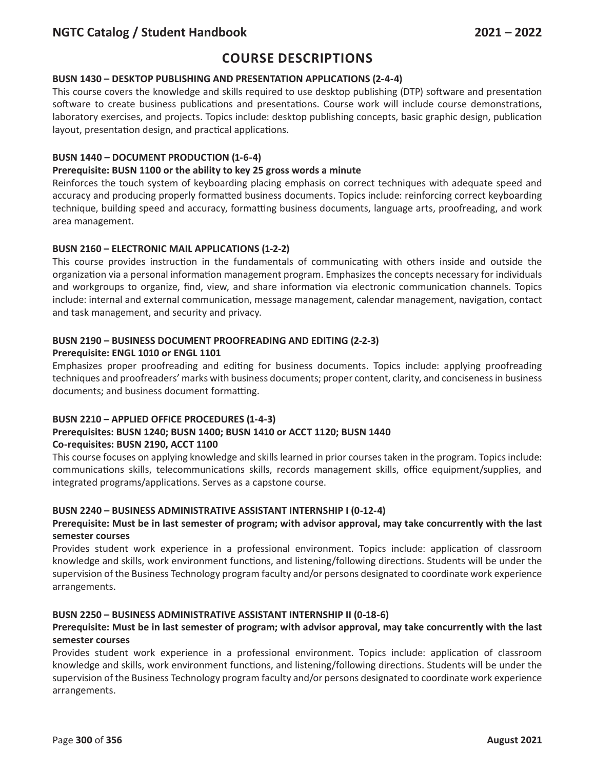# **Course Descriptions**

## **BUSN 1430 – DESKTOP PUBLISHING AND PRESENTATION APPLICATIONS (2-4-4)**

This course covers the knowledge and skills required to use desktop publishing (DTP) software and presentation software to create business publications and presentations. Course work will include course demonstrations, laboratory exercises, and projects. Topics include: desktop publishing concepts, basic graphic design, publication layout, presentation design, and practical applications.

## **BUSN 1440 – DOCUMENT PRODUCTION (1-6-4)**

### **Prerequisite: BUSN 1100 or the ability to key 25 gross words a minute**

Reinforces the touch system of keyboarding placing emphasis on correct techniques with adequate speed and accuracy and producing properly formatted business documents. Topics include: reinforcing correct keyboarding technique, building speed and accuracy, formatting business documents, language arts, proofreading, and work area management.

## **BUSN 2160 – ELECTRONIC MAIL APPLICATIONS (1-2-2)**

This course provides instruction in the fundamentals of communicating with others inside and outside the organization via a personal information management program. Emphasizes the concepts necessary for individuals and workgroups to organize, find, view, and share information via electronic communication channels. Topics include: internal and external communication, message management, calendar management, navigation, contact and task management, and security and privacy.

#### **BUSN 2190 – BUSINESS DOCUMENT PROOFREADING AND EDITING (2-2-3) Prerequisite: ENGL 1010 or ENGL 1101**

Emphasizes proper proofreading and editing for business documents. Topics include: applying proofreading techniques and proofreaders' marks with business documents; proper content, clarity, and conciseness in business documents; and business document formatting.

### **BUSN 2210 – APPLIED OFFICE PROCEDURES (1-4-3)**

## **Prerequisites: BUSN 1240; BUSN 1400; BUSN 1410 or ACCT 1120; BUSN 1440 Co-requisites: BUSN 2190, ACCT 1100**

This course focuses on applying knowledge and skills learned in prior courses taken in the program. Topics include: communications skills, telecommunications skills, records management skills, office equipment/supplies, and integrated programs/applications. Serves as a capstone course.

### **BUSN 2240 – BUSINESS ADMINISTRATIVE ASSISTANT INTERNSHIP I (0-12-4)**

### **Prerequisite: Must be in last semester of program; with advisor approval, may take concurrently with the last semester courses**

Provides student work experience in a professional environment. Topics include: application of classroom knowledge and skills, work environment functions, and listening/following directions. Students will be under the supervision of the Business Technology program faculty and/or persons designated to coordinate work experience arrangements.

### **BUSN 2250 – BUSINESS ADMINISTRATIVE ASSISTANT INTERNSHIP II (0-18-6)**

### **Prerequisite: Must be in last semester of program; with advisor approval, may take concurrently with the last semester courses**

Provides student work experience in a professional environment. Topics include: application of classroom knowledge and skills, work environment functions, and listening/following directions. Students will be under the supervision of the Business Technology program faculty and/or persons designated to coordinate work experience arrangements.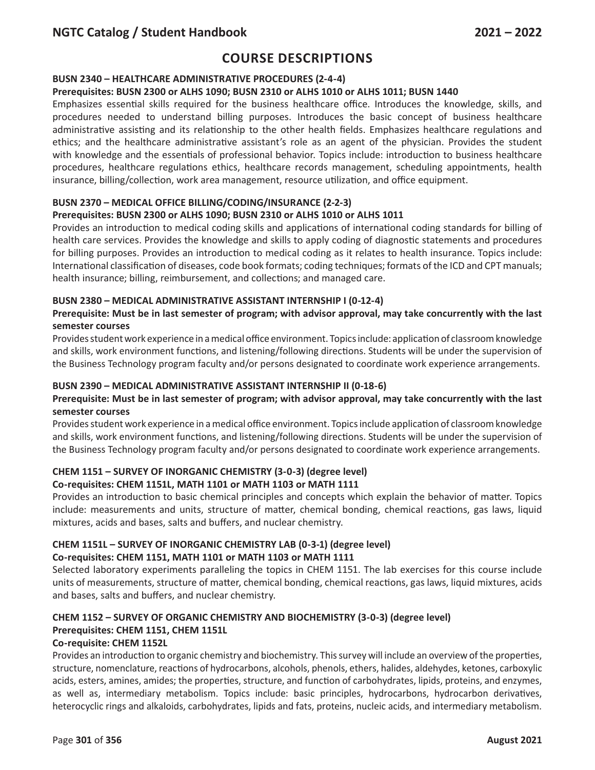## **BUSN 2340 – HEALTHCARE ADMINISTRATIVE PROCEDURES (2-4-4)**

### **Prerequisites: BUSN 2300 or ALHS 1090; BUSN 2310 or ALHS 1010 or ALHS 1011; BUSN 1440**

Emphasizes essential skills required for the business healthcare office. Introduces the knowledge, skills, and procedures needed to understand billing purposes. Introduces the basic concept of business healthcare administrative assisting and its relationship to the other health fields. Emphasizes healthcare regulations and ethics; and the healthcare administrative assistant's role as an agent of the physician. Provides the student with knowledge and the essentials of professional behavior. Topics include: introduction to business healthcare procedures, healthcare regulations ethics, healthcare records management, scheduling appointments, health insurance, billing/collection, work area management, resource utilization, and office equipment.

## **BUSN 2370 – MEDICAL OFFICE BILLING/CODING/INSURANCE (2-2-3)**

### **Prerequisites: BUSN 2300 or ALHS 1090; BUSN 2310 or ALHS 1010 or ALHS 1011**

Provides an introduction to medical coding skills and applications of international coding standards for billing of health care services. Provides the knowledge and skills to apply coding of diagnostic statements and procedures for billing purposes. Provides an introduction to medical coding as it relates to health insurance. Topics include: International classification of diseases, code book formats; coding techniques; formats of the ICD and CPT manuals; health insurance; billing, reimbursement, and collections; and managed care.

#### **BUSN 2380 – MEDICAL ADMINISTRATIVE ASSISTANT INTERNSHIP I (0-12-4)**

## **Prerequisite: Must be in last semester of program; with advisor approval, may take concurrently with the last semester courses**

Provides student work experience in a medical office environment. Topics include: application of classroom knowledge and skills, work environment functions, and listening/following directions. Students will be under the supervision of the Business Technology program faculty and/or persons designated to coordinate work experience arrangements.

### **BUSN 2390 – MEDICAL ADMINISTRATIVE ASSISTANT INTERNSHIP II (0-18-6)**

### **Prerequisite: Must be in last semester of program; with advisor approval, may take concurrently with the last semester courses**

Provides student work experience in a medical office environment. Topics include application of classroom knowledge and skills, work environment functions, and listening/following directions. Students will be under the supervision of the Business Technology program faculty and/or persons designated to coordinate work experience arrangements.

### **CHEM 1151 – SURVEY OF INORGANIC CHEMISTRY (3-0-3) (degree level)**

### **Co-requisites: CHEM 1151L, MATH 1101 or MATH 1103 or MATH 1111**

Provides an introduction to basic chemical principles and concepts which explain the behavior of matter. Topics include: measurements and units, structure of matter, chemical bonding, chemical reactions, gas laws, liquid mixtures, acids and bases, salts and buffers, and nuclear chemistry.

# **CHEM 1151L – SURVEY OF INORGANIC CHEMISTRY LAB (0-3-1) (degree level)**

## **Co-requisites: CHEM 1151, MATH 1101 or MATH 1103 or MATH 1111**

Selected laboratory experiments paralleling the topics in CHEM 1151. The lab exercises for this course include units of measurements, structure of matter, chemical bonding, chemical reactions, gas laws, liquid mixtures, acids and bases, salts and buffers, and nuclear chemistry.

## **CHEM 1152 – SURVEY OF ORGANIC CHEMISTRY AND BIOCHEMISTRY (3-0-3) (degree level) Prerequisites: CHEM 1151, CHEM 1151L**

### **Co-requisite: CHEM 1152L**

Provides an introduction to organic chemistry and biochemistry. This survey will include an overview of the properties, structure, nomenclature, reactions of hydrocarbons, alcohols, phenols, ethers, halides, aldehydes, ketones, carboxylic acids, esters, amines, amides; the properties, structure, and function of carbohydrates, lipids, proteins, and enzymes, as well as, intermediary metabolism. Topics include: basic principles, hydrocarbons, hydrocarbon derivatives, heterocyclic rings and alkaloids, carbohydrates, lipids and fats, proteins, nucleic acids, and intermediary metabolism.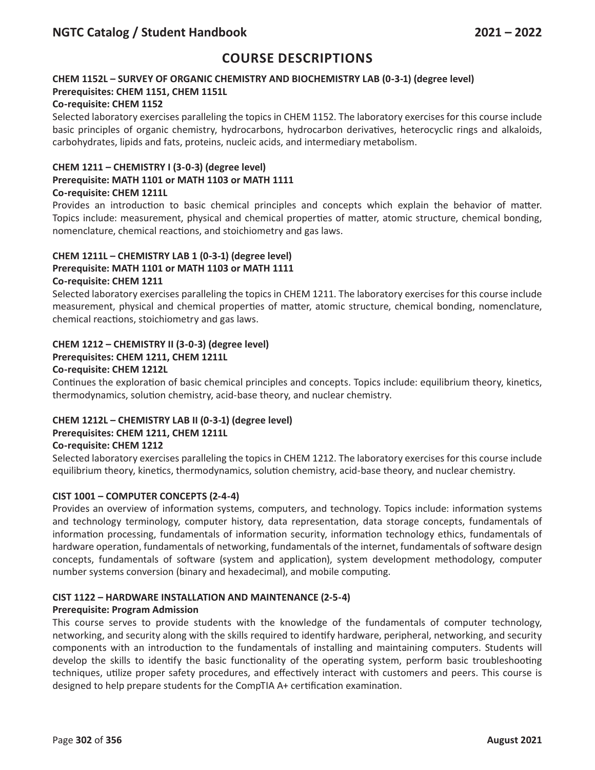## **CHEM 1152L – SURVEY OF ORGANIC CHEMISTRY AND BIOCHEMISTRY LAB (0-3-1) (degree level) Prerequisites: CHEM 1151, CHEM 1151L**

### **Co-requisite: CHEM 1152**

Selected laboratory exercises paralleling the topics in CHEM 1152. The laboratory exercises for this course include basic principles of organic chemistry, hydrocarbons, hydrocarbon derivatives, heterocyclic rings and alkaloids, carbohydrates, lipids and fats, proteins, nucleic acids, and intermediary metabolism.

## **CHEM 1211 – CHEMISTRY I (3-0-3) (degree level)**

## **Prerequisite: MATH 1101 or MATH 1103 or MATH 1111**

## **Co-requisite: CHEM 1211L**

Provides an introduction to basic chemical principles and concepts which explain the behavior of matter. Topics include: measurement, physical and chemical properties of matter, atomic structure, chemical bonding, nomenclature, chemical reactions, and stoichiometry and gas laws.

#### **CHEM 1211L – CHEMISTRY LAB 1 (0-3-1) (degree level) Prerequisite: MATH 1101 or MATH 1103 or MATH 1111 Co-requisite: CHEM 1211**

Selected laboratory exercises paralleling the topics in CHEM 1211. The laboratory exercises for this course include measurement, physical and chemical properties of matter, atomic structure, chemical bonding, nomenclature, chemical reactions, stoichiometry and gas laws.

## **CHEM 1212 – CHEMISTRY II (3-0-3) (degree level)**

## **Prerequisites: CHEM 1211, CHEM 1211L**

### **Co-requisite: CHEM 1212L**

Continues the exploration of basic chemical principles and concepts. Topics include: equilibrium theory, kinetics, thermodynamics, solution chemistry, acid-base theory, and nuclear chemistry.

## **CHEM 1212L – CHEMISTRY LAB II (0-3-1) (degree level)**

### **Prerequisites: CHEM 1211, CHEM 1211L**

### **Co-requisite: CHEM 1212**

Selected laboratory exercises paralleling the topics in CHEM 1212. The laboratory exercises for this course include equilibrium theory, kinetics, thermodynamics, solution chemistry, acid-base theory, and nuclear chemistry.

### **CIST 1001 – COMPUTER CONCEPTS (2-4-4)**

Provides an overview of information systems, computers, and technology. Topics include: information systems and technology terminology, computer history, data representation, data storage concepts, fundamentals of information processing, fundamentals of information security, information technology ethics, fundamentals of hardware operation, fundamentals of networking, fundamentals of the internet, fundamentals of software design concepts, fundamentals of software (system and application), system development methodology, computer number systems conversion (binary and hexadecimal), and mobile computing.

### **CIST 1122 – HARDWARE INSTALLATION AND MAINTENANCE (2-5-4)**

### **Prerequisite: Program Admission**

This course serves to provide students with the knowledge of the fundamentals of computer technology, networking, and security along with the skills required to identify hardware, peripheral, networking, and security components with an introduction to the fundamentals of installing and maintaining computers. Students will develop the skills to identify the basic functionality of the operating system, perform basic troubleshooting techniques, utilize proper safety procedures, and effectively interact with customers and peers. This course is designed to help prepare students for the CompTIA A+ certification examination.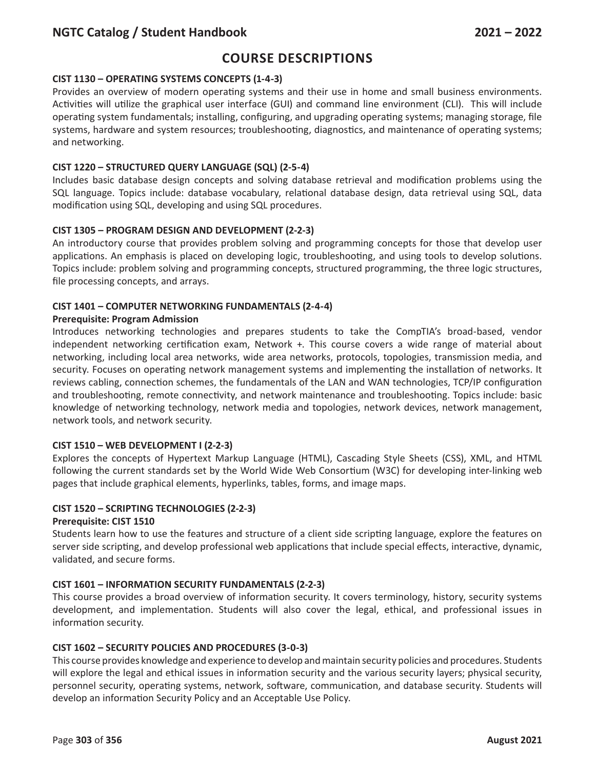# **Course Descriptions**

## **CIST 1130 – OPERATING SYSTEMS CONCEPTS (1-4-3)**

Provides an overview of modern operating systems and their use in home and small business environments. Activities will utilize the graphical user interface (GUI) and command line environment (CLI). This will include operating system fundamentals; installing, configuring, and upgrading operating systems; managing storage, file systems, hardware and system resources; troubleshooting, diagnostics, and maintenance of operating systems; and networking.

## **CIST 1220 – STRUCTURED QUERY LANGUAGE (SQL) (2-5-4)**

Includes basic database design concepts and solving database retrieval and modification problems using the SQL language. Topics include: database vocabulary, relational database design, data retrieval using SQL, data modification using SQL, developing and using SQL procedures.

## **CIST 1305 – PROGRAM DESIGN AND DEVELOPMENT (2-2-3)**

An introductory course that provides problem solving and programming concepts for those that develop user applications. An emphasis is placed on developing logic, troubleshooting, and using tools to develop solutions. Topics include: problem solving and programming concepts, structured programming, the three logic structures, file processing concepts, and arrays.

### **CIST 1401 – COMPUTER NETWORKING FUNDAMENTALS (2-4-4)**

### **Prerequisite: Program Admission**

Introduces networking technologies and prepares students to take the CompTIA's broad-based, vendor independent networking certification exam, Network +. This course covers a wide range of material about networking, including local area networks, wide area networks, protocols, topologies, transmission media, and security. Focuses on operating network management systems and implementing the installation of networks. It reviews cabling, connection schemes, the fundamentals of the LAN and WAN technologies, TCP/IP configuration and troubleshooting, remote connectivity, and network maintenance and troubleshooting. Topics include: basic knowledge of networking technology, network media and topologies, network devices, network management, network tools, and network security.

### **CIST 1510 – WEB DEVELOPMENT I (2-2-3)**

Explores the concepts of Hypertext Markup Language (HTML), Cascading Style Sheets (CSS), XML, and HTML following the current standards set by the World Wide Web Consortium (W3C) for developing inter-linking web pages that include graphical elements, hyperlinks, tables, forms, and image maps.

### **CIST 1520 – SCRIPTING TECHNOLOGIES (2-2-3)**

### **Prerequisite: CIST 1510**

Students learn how to use the features and structure of a client side scripting language, explore the features on server side scripting, and develop professional web applications that include special effects, interactive, dynamic, validated, and secure forms.

### **CIST 1601 – INFORMATION SECURITY FUNDAMENTALS (2-2-3)**

This course provides a broad overview of information security. It covers terminology, history, security systems development, and implementation. Students will also cover the legal, ethical, and professional issues in information security.

### **CIST 1602 – SECURITY POLICIES AND PROCEDURES (3-0-3)**

This course provides knowledge and experience to develop and maintain security policies and procedures. Students will explore the legal and ethical issues in information security and the various security layers; physical security, personnel security, operating systems, network, software, communication, and database security. Students will develop an information Security Policy and an Acceptable Use Policy.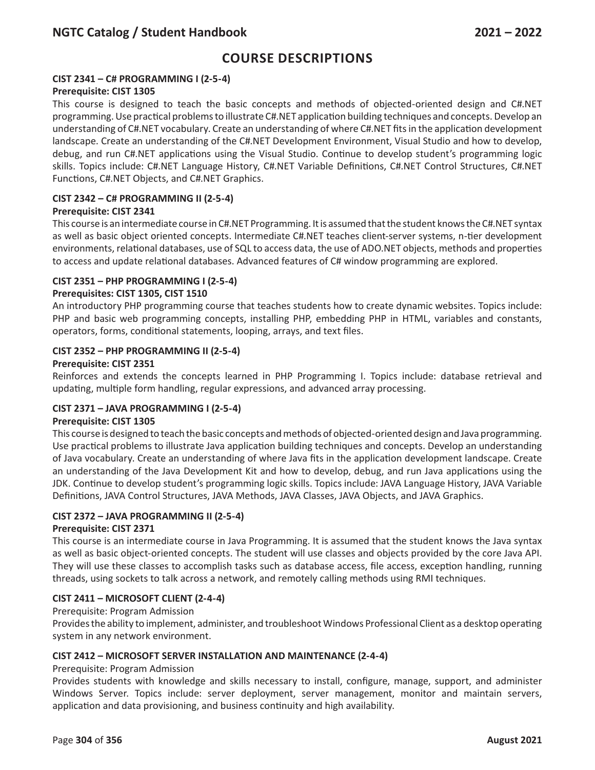## **CIST 2341 – C# PROGRAMMING I (2-5-4)**

#### **Prerequisite: CIST 1305**

This course is designed to teach the basic concepts and methods of objected-oriented design and C#.NET programming. Use practical problems to illustrate C#.NET application building techniques and concepts. Develop an understanding of C#.NET vocabulary. Create an understanding of where C#.NET fits in the application development landscape. Create an understanding of the C#.NET Development Environment, Visual Studio and how to develop, debug, and run C#.NET applications using the Visual Studio. Continue to develop student's programming logic skills. Topics include: C#.NET Language History, C#.NET Variable Definitions, C#.NET Control Structures, C#.NET Functions, C#.NET Objects, and C#.NET Graphics.

### **CIST 2342 – C# PROGRAMMING II (2-5-4)**

#### **Prerequisite: CIST 2341**

This course is an intermediate course in C#.NET Programming. It is assumed that the student knows the C#.NET syntax as well as basic object oriented concepts. Intermediate C#.NET teaches client-server systems, n-tier development environments, relational databases, use of SQL to access data, the use of ADO.NET objects, methods and properties to access and update relational databases. Advanced features of C# window programming are explored.

#### **CIST 2351 – PHP PROGRAMMING I (2-5-4)**

#### **Prerequisites: CIST 1305, CIST 1510**

An introductory PHP programming course that teaches students how to create dynamic websites. Topics include: PHP and basic web programming concepts, installing PHP, embedding PHP in HTML, variables and constants, operators, forms, conditional statements, looping, arrays, and text files.

#### **CIST 2352 – PHP PROGRAMMING II (2-5-4)**

#### **Prerequisite: CIST 2351**

Reinforces and extends the concepts learned in PHP Programming I. Topics include: database retrieval and updating, multiple form handling, regular expressions, and advanced array processing.

#### **CIST 2371 – JAVA PROGRAMMING I (2-5-4)**

#### **Prerequisite: CIST 1305**

This course is designed to teach the basic concepts and methods of objected-oriented design and Java programming. Use practical problems to illustrate Java application building techniques and concepts. Develop an understanding of Java vocabulary. Create an understanding of where Java fits in the application development landscape. Create an understanding of the Java Development Kit and how to develop, debug, and run Java applications using the JDK. Continue to develop student's programming logic skills. Topics include: JAVA Language History, JAVA Variable Definitions, JAVA Control Structures, JAVA Methods, JAVA Classes, JAVA Objects, and JAVA Graphics.

### **CIST 2372 – JAVA PROGRAMMING II (2-5-4)**

#### **Prerequisite: CIST 2371**

This course is an intermediate course in Java Programming. It is assumed that the student knows the Java syntax as well as basic object-oriented concepts. The student will use classes and objects provided by the core Java API. They will use these classes to accomplish tasks such as database access, file access, exception handling, running threads, using sockets to talk across a network, and remotely calling methods using RMI techniques.

### **CIST 2411 – MICROSOFT CLIENT (2-4-4)**

#### Prerequisite: Program Admission

Provides the ability to implement, administer, and troubleshoot Windows Professional Client as a desktop operating system in any network environment.

#### **CIST 2412 – MICROSOFT SERVER INSTALLATION AND MAINTENANCE (2-4-4)**

#### Prerequisite: Program Admission

Provides students with knowledge and skills necessary to install, configure, manage, support, and administer Windows Server. Topics include: server deployment, server management, monitor and maintain servers, application and data provisioning, and business continuity and high availability.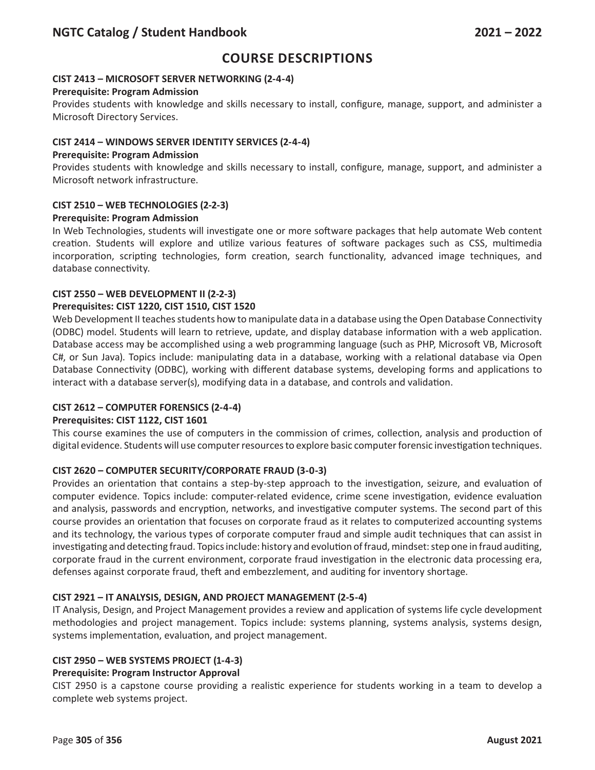## **CIST 2413 – MICROSOFT SERVER NETWORKING (2-4-4)**

#### **Prerequisite: Program Admission**

Provides students with knowledge and skills necessary to install, configure, manage, support, and administer a Microsoft Directory Services.

### **CIST 2414 – WINDOWS SERVER IDENTITY SERVICES (2-4-4)**

#### **Prerequisite: Program Admission**

Provides students with knowledge and skills necessary to install, configure, manage, support, and administer a Microsoft network infrastructure.

## **CIST 2510 – WEB TECHNOLOGIES (2-2-3)**

#### **Prerequisite: Program Admission**

In Web Technologies, students will investigate one or more software packages that help automate Web content creation. Students will explore and utilize various features of software packages such as CSS, multimedia incorporation, scripting technologies, form creation, search functionality, advanced image techniques, and database connectivity.

### **CIST 2550 – WEB DEVELOPMENT II (2-2-3)**

### **Prerequisites: CIST 1220, CIST 1510, CIST 1520**

Web Development II teaches students how to manipulate data in a database using the Open Database Connectivity (ODBC) model. Students will learn to retrieve, update, and display database information with a web application. Database access may be accomplished using a web programming language (such as PHP, Microsoft VB, Microsoft C#, or Sun Java). Topics include: manipulating data in a database, working with a relational database via Open Database Connectivity (ODBC), working with different database systems, developing forms and applications to interact with a database server(s), modifying data in a database, and controls and validation.

### **CIST 2612 – COMPUTER FORENSICS (2-4-4)**

### **Prerequisites: CIST 1122, CIST 1601**

This course examines the use of computers in the commission of crimes, collection, analysis and production of digital evidence. Students will use computer resources to explore basic computer forensic investigation techniques.

### **CIST 2620 – COMPUTER SECURITY/CORPORATE FRAUD (3-0-3)**

Provides an orientation that contains a step-by-step approach to the investigation, seizure, and evaluation of computer evidence. Topics include: computer-related evidence, crime scene investigation, evidence evaluation and analysis, passwords and encryption, networks, and investigative computer systems. The second part of this course provides an orientation that focuses on corporate fraud as it relates to computerized accounting systems and its technology, the various types of corporate computer fraud and simple audit techniques that can assist in investigating and detecting fraud. Topics include: history and evolution of fraud, mindset: step one in fraud auditing, corporate fraud in the current environment, corporate fraud investigation in the electronic data processing era, defenses against corporate fraud, theft and embezzlement, and auditing for inventory shortage.

### **CIST 2921 – IT ANALYSIS, DESIGN, AND PROJECT MANAGEMENT (2-5-4)**

IT Analysis, Design, and Project Management provides a review and application of systems life cycle development methodologies and project management. Topics include: systems planning, systems analysis, systems design, systems implementation, evaluation, and project management.

### **CIST 2950 – WEB SYSTEMS PROJECT (1-4-3)**

### **Prerequisite: Program Instructor Approval**

CIST 2950 is a capstone course providing a realistic experience for students working in a team to develop a complete web systems project.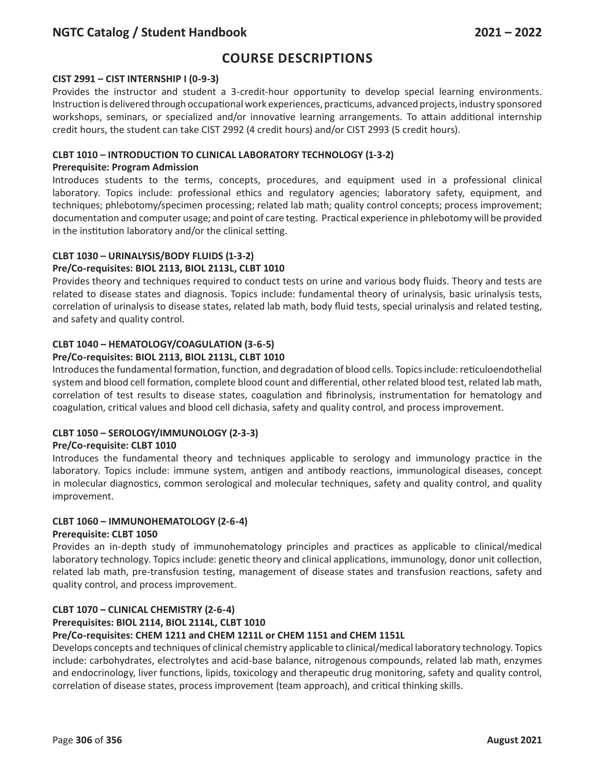# **Course Descriptions**

#### **CIST 2991 – CIST INTERNSHIP I (0-9-3)**

Provides the instructor and student a 3-credit-hour opportunity to develop special learning environments. Instruction is delivered through occupational work experiences, practicums, advanced projects, industry sponsored workshops, seminars, or specialized and/or innovative learning arrangements. To attain additional internship credit hours, the student can take CIST 2992 (4 credit hours) and/or CIST 2993 (5 credit hours).

#### **CLBT 1010 – INTRODUCTION TO CLINICAL LABORATORY TECHNOLOGY (1-3-2)**

#### **Prerequisite: Program Admission**

Introduces students to the terms, concepts, procedures, and equipment used in a professional clinical laboratory. Topics include: professional ethics and regulatory agencies; laboratory safety, equipment, and techniques; phlebotomy/specimen processing; related lab math; quality control concepts; process improvement; documentation and computer usage; and point of care testing. Practical experience in phlebotomy will be provided in the institution laboratory and/or the clinical setting.

## **CLBT 1030 – URINALYSIS/BODY FLUIDS (1-3-2)**

### **Pre/Co-requisites: BIOL 2113, BIOL 2113L, CLBT 1010**

Provides theory and techniques required to conduct tests on urine and various body fluids. Theory and tests are related to disease states and diagnosis. Topics include: fundamental theory of urinalysis, basic urinalysis tests, correlation of urinalysis to disease states, related lab math, body fluid tests, special urinalysis and related testing, and safety and quality control.

### **CLBT 1040 – HEMATOLOGY/COAGULATION (3-6-5)**

### **Pre/Co-requisites: BIOL 2113, BIOL 2113L, CLBT 1010**

Introduces the fundamental formation, function, and degradation of blood cells. Topics include: reticuloendothelial system and blood cell formation, complete blood count and differential, other related blood test, related lab math, correlation of test results to disease states, coagulation and fibrinolysis, instrumentation for hematology and coagulation, critical values and blood cell dichasia, safety and quality control, and process improvement.

### **CLBT 1050 – SEROLOGY/IMMUNOLOGY (2-3-3)**

### **Pre/Co-requisite: CLBT 1010**

Introduces the fundamental theory and techniques applicable to serology and immunology practice in the laboratory. Topics include: immune system, antigen and antibody reactions, immunological diseases, concept in molecular diagnostics, common serological and molecular techniques, safety and quality control, and quality improvement.

## **CLBT 1060 – IMMUNOHEMATOLOGY (2-6-4)**

#### **Prerequisite: CLBT 1050**

Provides an in-depth study of immunohematology principles and practices as applicable to clinical/medical laboratory technology. Topics include: genetic theory and clinical applications, immunology, donor unit collection, related lab math, pre-transfusion testing, management of disease states and transfusion reactions, safety and quality control, and process improvement.

### **CLBT 1070 – CLINICAL CHEMISTRY (2-6-4)**

### **Prerequisites: BIOL 2114, BIOL 2114L, CLBT 1010**

#### **Pre/Co-requisites: CHEM 1211 and CHEM 1211L or CHEM 1151 and CHEM 1151L**

Develops concepts and techniques of clinical chemistry applicable to clinical/medical laboratory technology. Topics include: carbohydrates, electrolytes and acid-base balance, nitrogenous compounds, related lab math, enzymes and endocrinology, liver functions, lipids, toxicology and therapeutic drug monitoring, safety and quality control, correlation of disease states, process improvement (team approach), and critical thinking skills.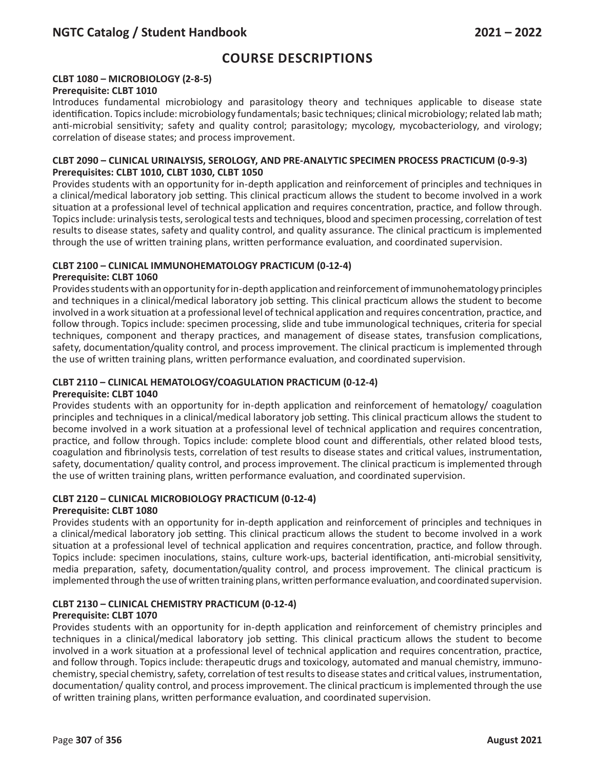## **CLBT 1080 – MICROBIOLOGY (2-8-5)**

#### **Prerequisite: CLBT 1010**

Introduces fundamental microbiology and parasitology theory and techniques applicable to disease state identification. Topics include: microbiology fundamentals; basic techniques; clinical microbiology; related lab math; anti-microbial sensitivity; safety and quality control; parasitology; mycology, mycobacteriology, and virology; correlation of disease states; and process improvement.

#### **CLBT 2090 – CLINICAL URINALYSIS, SEROLOGY, AND PRE-ANALYTIC SPECIMEN PROCESS PRACTICUM (0-9-3) Prerequisites: CLBT 1010, CLBT 1030, CLBT 1050**

Provides students with an opportunity for in-depth application and reinforcement of principles and techniques in a clinical/medical laboratory job setting. This clinical practicum allows the student to become involved in a work situation at a professional level of technical application and requires concentration, practice, and follow through. Topics include: urinalysis tests, serological tests and techniques, blood and specimen processing, correlation of test results to disease states, safety and quality control, and quality assurance. The clinical practicum is implemented through the use of written training plans, written performance evaluation, and coordinated supervision.

### **CLBT 2100 – CLINICAL IMMUNOHEMATOLOGY PRACTICUM (0-12-4)**

#### **Prerequisite: CLBT 1060**

Provides students with an opportunity for in-depth application and reinforcement of immunohematology principles and techniques in a clinical/medical laboratory job setting. This clinical practicum allows the student to become involved in a work situation at a professional level of technical application and requires concentration, practice, and follow through. Topics include: specimen processing, slide and tube immunological techniques, criteria for special techniques, component and therapy practices, and management of disease states, transfusion complications, safety, documentation/quality control, and process improvement. The clinical practicum is implemented through the use of written training plans, written performance evaluation, and coordinated supervision.

# **CLBT 2110 – CLINICAL HEMATOLOGY/COAGULATION PRACTICUM (0-12-4)**

## **Prerequisite: CLBT 1040**

Provides students with an opportunity for in-depth application and reinforcement of hematology/ coagulation principles and techniques in a clinical/medical laboratory job setting. This clinical practicum allows the student to become involved in a work situation at a professional level of technical application and requires concentration, practice, and follow through. Topics include: complete blood count and differentials, other related blood tests, coagulation and fibrinolysis tests, correlation of test results to disease states and critical values, instrumentation, safety, documentation/ quality control, and process improvement. The clinical practicum is implemented through the use of written training plans, written performance evaluation, and coordinated supervision.

### **CLBT 2120 – CLINICAL MICROBIOLOGY PRACTICUM (0-12-4)**

### **Prerequisite: CLBT 1080**

Provides students with an opportunity for in-depth application and reinforcement of principles and techniques in a clinical/medical laboratory job setting. This clinical practicum allows the student to become involved in a work situation at a professional level of technical application and requires concentration, practice, and follow through. Topics include: specimen inoculations, stains, culture work-ups, bacterial identification, anti-microbial sensitivity, media preparation, safety, documentation/quality control, and process improvement. The clinical practicum is implemented through the use of written training plans, written performance evaluation, and coordinated supervision.

### **CLBT 2130 – CLINICAL CHEMISTRY PRACTICUM (0-12-4)**

#### **Prerequisite: CLBT 1070**

Provides students with an opportunity for in-depth application and reinforcement of chemistry principles and techniques in a clinical/medical laboratory job setting. This clinical practicum allows the student to become involved in a work situation at a professional level of technical application and requires concentration, practice, and follow through. Topics include: therapeutic drugs and toxicology, automated and manual chemistry, immunochemistry, special chemistry, safety, correlation of test results to disease states and critical values, instrumentation, documentation/ quality control, and process improvement. The clinical practicum is implemented through the use of written training plans, written performance evaluation, and coordinated supervision.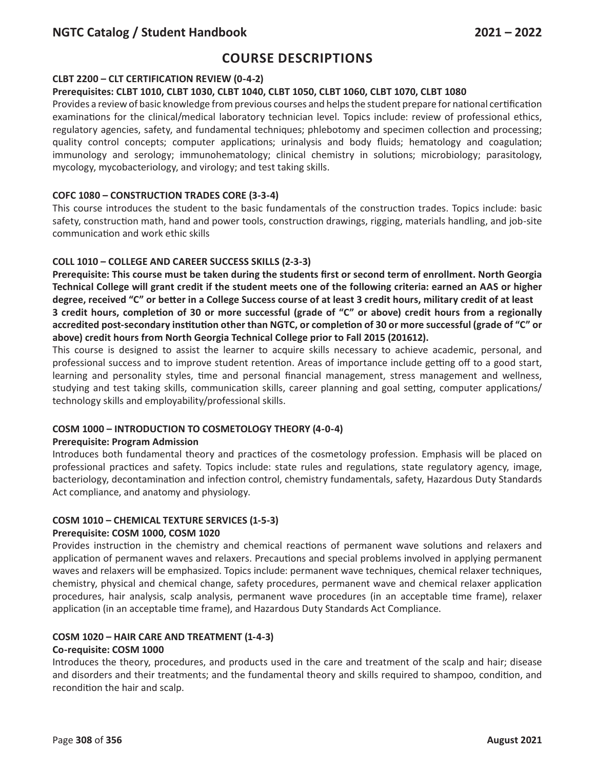# **Course Descriptions**

## **CLBT 2200 – CLT CERTIFICATION REVIEW (0-4-2)**

#### **Prerequisites: CLBT 1010, CLBT 1030, CLBT 1040, CLBT 1050, CLBT 1060, CLBT 1070, CLBT 1080**

Provides a review of basic knowledge from previous courses and helps the student prepare for national certification examinations for the clinical/medical laboratory technician level. Topics include: review of professional ethics, regulatory agencies, safety, and fundamental techniques; phlebotomy and specimen collection and processing; quality control concepts; computer applications; urinalysis and body fluids; hematology and coagulation; immunology and serology; immunohematology; clinical chemistry in solutions; microbiology; parasitology, mycology, mycobacteriology, and virology; and test taking skills.

#### **COFC 1080 – CONSTRUCTION TRADES CORE (3-3-4)**

This course introduces the student to the basic fundamentals of the construction trades. Topics include: basic safety, construction math, hand and power tools, construction drawings, rigging, materials handling, and job-site communication and work ethic skills

### **COLL 1010 – COLLEGE AND CAREER SUCCESS SKILLS (2-3-3)**

**Prerequisite: This course must be taken during the students first or second term of enrollment. North Georgia Technical College will grant credit if the student meets one of the following criteria: earned an AAS or higher degree, received "C" or better in a College Success course of at least 3 credit hours, military credit of at least 3 credit hours, completion of 30 or more successful (grade of "C" or above) credit hours from a regionally accredited post-secondary institution other than NGTC, or completion of 30 or more successful (grade of "C" or above) credit hours from North Georgia Technical College prior to Fall 2015 (201612).**

This course is designed to assist the learner to acquire skills necessary to achieve academic, personal, and professional success and to improve student retention. Areas of importance include getting off to a good start, learning and personality styles, time and personal financial management, stress management and wellness, studying and test taking skills, communication skills, career planning and goal setting, computer applications/ technology skills and employability/professional skills.

### **COSM 1000 – INTRODUCTION TO COSMETOLOGY THEORY (4-0-4)**

#### **Prerequisite: Program Admission**

Introduces both fundamental theory and practices of the cosmetology profession. Emphasis will be placed on professional practices and safety. Topics include: state rules and regulations, state regulatory agency, image, bacteriology, decontamination and infection control, chemistry fundamentals, safety, Hazardous Duty Standards Act compliance, and anatomy and physiology.

### **COSM 1010 – CHEMICAL TEXTURE SERVICES (1-5-3)**

#### **Prerequisite: COSM 1000, COSM 1020**

Provides instruction in the chemistry and chemical reactions of permanent wave solutions and relaxers and application of permanent waves and relaxers. Precautions and special problems involved in applying permanent waves and relaxers will be emphasized. Topics include: permanent wave techniques, chemical relaxer techniques, chemistry, physical and chemical change, safety procedures, permanent wave and chemical relaxer application procedures, hair analysis, scalp analysis, permanent wave procedures (in an acceptable time frame), relaxer application (in an acceptable time frame), and Hazardous Duty Standards Act Compliance.

#### **COSM 1020 – HAIR CARE AND TREATMENT (1-4-3)**

#### **Co-requisite: COSM 1000**

Introduces the theory, procedures, and products used in the care and treatment of the scalp and hair; disease and disorders and their treatments; and the fundamental theory and skills required to shampoo, condition, and recondition the hair and scalp.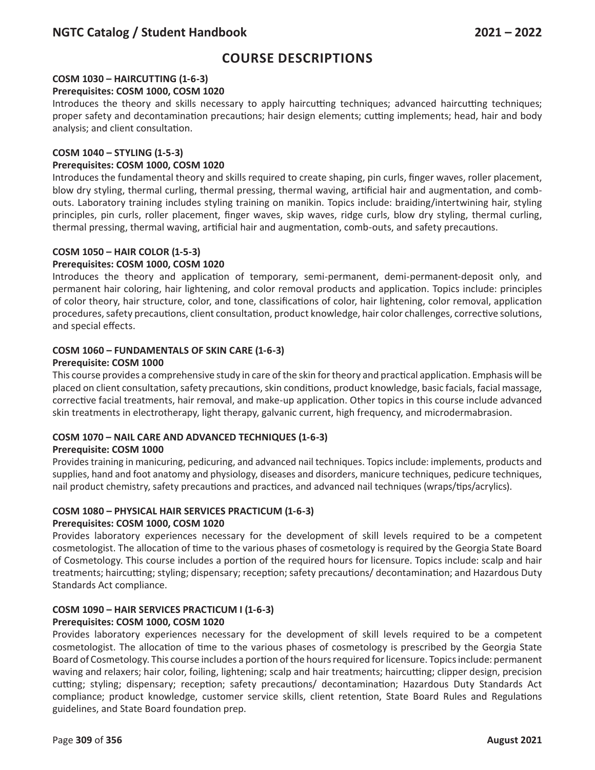## **COSM 1030 – HAIRCUTTING (1-6-3)**

#### **Prerequisites: COSM 1000, COSM 1020**

Introduces the theory and skills necessary to apply haircutting techniques; advanced haircutting techniques; proper safety and decontamination precautions; hair design elements; cutting implements; head, hair and body analysis; and client consultation.

#### **COSM 1040 – STYLING (1-5-3)**

#### **Prerequisites: COSM 1000, COSM 1020**

Introduces the fundamental theory and skills required to create shaping, pin curls, finger waves, roller placement, blow dry styling, thermal curling, thermal pressing, thermal waving, artificial hair and augmentation, and combouts. Laboratory training includes styling training on manikin. Topics include: braiding/intertwining hair, styling principles, pin curls, roller placement, finger waves, skip waves, ridge curls, blow dry styling, thermal curling, thermal pressing, thermal waving, artificial hair and augmentation, comb-outs, and safety precautions.

#### **COSM 1050 – HAIR COLOR (1-5-3)**

#### **Prerequisites: COSM 1000, COSM 1020**

Introduces the theory and application of temporary, semi-permanent, demi-permanent-deposit only, and permanent hair coloring, hair lightening, and color removal products and application. Topics include: principles of color theory, hair structure, color, and tone, classifications of color, hair lightening, color removal, application procedures, safety precautions, client consultation, product knowledge, hair color challenges, corrective solutions, and special effects.

## **COSM 1060 – FUNDAMENTALS OF SKIN CARE (1-6-3)**

#### **Prerequisite: COSM 1000**

This course provides a comprehensive study in care of the skin for theory and practical application. Emphasis will be placed on client consultation, safety precautions, skin conditions, product knowledge, basic facials, facial massage, corrective facial treatments, hair removal, and make-up application. Other topics in this course include advanced skin treatments in electrotherapy, light therapy, galvanic current, high frequency, and microdermabrasion.

### **COSM 1070 – NAIL CARE AND ADVANCED TECHNIQUES (1-6-3)**

### **Prerequisite: COSM 1000**

Provides training in manicuring, pedicuring, and advanced nail techniques. Topics include: implements, products and supplies, hand and foot anatomy and physiology, diseases and disorders, manicure techniques, pedicure techniques, nail product chemistry, safety precautions and practices, and advanced nail techniques (wraps/tips/acrylics).

#### **COSM 1080 – PHYSICAL HAIR SERVICES PRACTICUM (1-6-3) Prerequisites: COSM 1000, COSM 1020**

Provides laboratory experiences necessary for the development of skill levels required to be a competent cosmetologist. The allocation of time to the various phases of cosmetology is required by the Georgia State Board of Cosmetology. This course includes a portion of the required hours for licensure. Topics include: scalp and hair treatments; haircutting; styling; dispensary; reception; safety precautions/ decontamination; and Hazardous Duty Standards Act compliance.

## **COSM 1090 – HAIR SERVICES PRACTICUM I (1-6-3)**

### **Prerequisites: COSM 1000, COSM 1020**

Provides laboratory experiences necessary for the development of skill levels required to be a competent cosmetologist. The allocation of time to the various phases of cosmetology is prescribed by the Georgia State Board of Cosmetology. This course includes a portion of the hours required for licensure. Topics include: permanent waving and relaxers; hair color, foiling, lightening; scalp and hair treatments; haircutting; clipper design, precision cutting; styling; dispensary; reception; safety precautions/ decontamination; Hazardous Duty Standards Act compliance; product knowledge, customer service skills, client retention, State Board Rules and Regulations guidelines, and State Board foundation prep.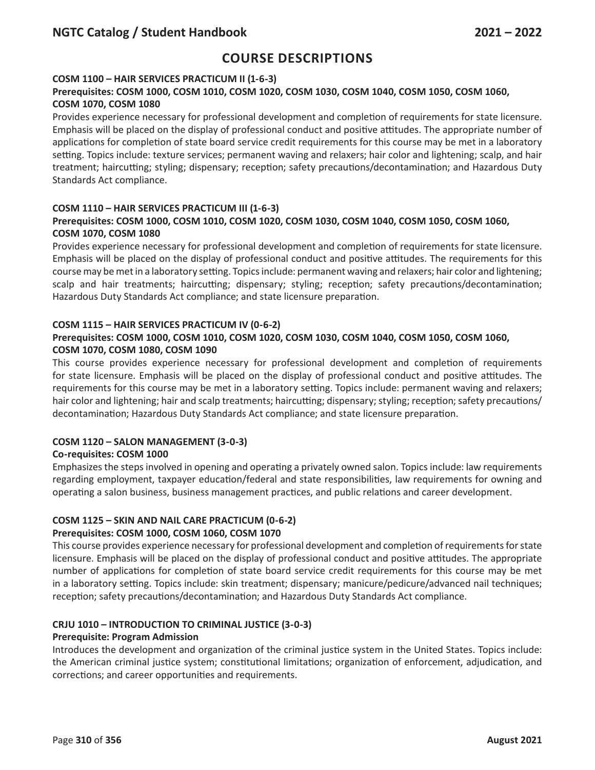## **COSM 1100 – HAIR SERVICES PRACTICUM II (1-6-3)**

## **Prerequisites: COSM 1000, COSM 1010, COSM 1020, COSM 1030, COSM 1040, COSM 1050, COSM 1060, COSM 1070, COSM 1080**

Provides experience necessary for professional development and completion of requirements for state licensure. Emphasis will be placed on the display of professional conduct and positive attitudes. The appropriate number of applications for completion of state board service credit requirements for this course may be met in a laboratory setting. Topics include: texture services; permanent waving and relaxers; hair color and lightening; scalp, and hair treatment; haircutting; styling; dispensary; reception; safety precautions/decontamination; and Hazardous Duty Standards Act compliance.

## **COSM 1110 – HAIR SERVICES PRACTICUM III (1-6-3)**

## **Prerequisites: COSM 1000, COSM 1010, COSM 1020, COSM 1030, COSM 1040, COSM 1050, COSM 1060, COSM 1070, COSM 1080**

Provides experience necessary for professional development and completion of requirements for state licensure. Emphasis will be placed on the display of professional conduct and positive attitudes. The requirements for this course may be met in a laboratory setting. Topics include: permanent waving and relaxers; hair color and lightening; scalp and hair treatments; haircutting; dispensary; styling; reception; safety precautions/decontamination; Hazardous Duty Standards Act compliance; and state licensure preparation.

#### **COSM 1115 – HAIR SERVICES PRACTICUM IV (0-6-2)**

## **Prerequisites: COSM 1000, COSM 1010, COSM 1020, COSM 1030, COSM 1040, COSM 1050, COSM 1060, COSM 1070, COSM 1080, COSM 1090**

This course provides experience necessary for professional development and completion of requirements for state licensure. Emphasis will be placed on the display of professional conduct and positive attitudes. The requirements for this course may be met in a laboratory setting. Topics include: permanent waving and relaxers; hair color and lightening; hair and scalp treatments; haircutting; dispensary; styling; reception; safety precautions/ decontamination; Hazardous Duty Standards Act compliance; and state licensure preparation.

### **COSM 1120 – SALON MANAGEMENT (3-0-3)**

### **Co-requisites: COSM 1000**

Emphasizes the steps involved in opening and operating a privately owned salon. Topics include: law requirements regarding employment, taxpayer education/federal and state responsibilities, law requirements for owning and operating a salon business, business management practices, and public relations and career development.

### **COSM 1125 – SKIN AND NAIL CARE PRACTICUM (0-6-2)**

### **Prerequisites: COSM 1000, COSM 1060, COSM 1070**

This course provides experience necessary for professional development and completion of requirements for state licensure. Emphasis will be placed on the display of professional conduct and positive attitudes. The appropriate number of applications for completion of state board service credit requirements for this course may be met in a laboratory setting. Topics include: skin treatment; dispensary; manicure/pedicure/advanced nail techniques; reception; safety precautions/decontamination; and Hazardous Duty Standards Act compliance.

### **CRJU 1010 – INTRODUCTION TO CRIMINAL JUSTICE (3-0-3)**

### **Prerequisite: Program Admission**

Introduces the development and organization of the criminal justice system in the United States. Topics include: the American criminal justice system; constitutional limitations; organization of enforcement, adjudication, and corrections; and career opportunities and requirements.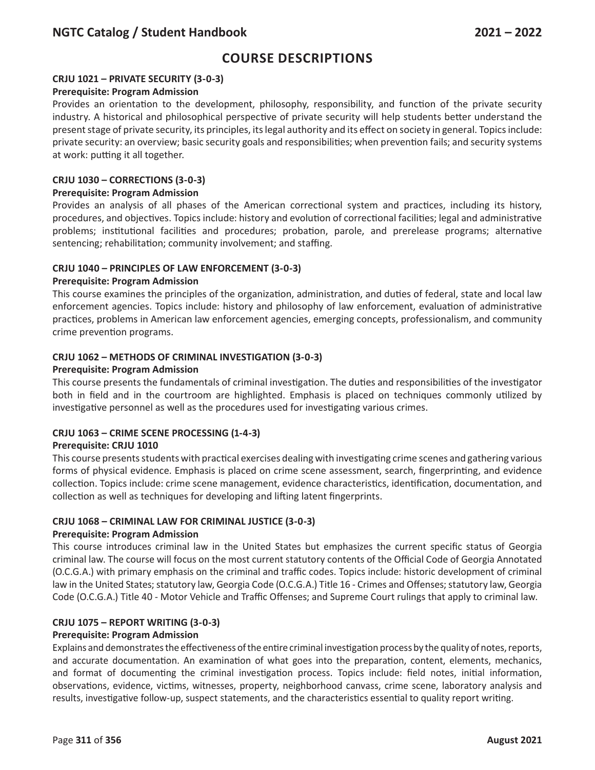## **CRJU 1021 – PRIVATE SECURITY (3-0-3)**

### **Prerequisite: Program Admission**

Provides an orientation to the development, philosophy, responsibility, and function of the private security industry. A historical and philosophical perspective of private security will help students better understand the present stage of private security, its principles, its legal authority and its effect on society in general. Topics include: private security: an overview; basic security goals and responsibilities; when prevention fails; and security systems at work: putting it all together.

#### **CRJU 1030 – CORRECTIONS (3-0-3)**

#### **Prerequisite: Program Admission**

Provides an analysis of all phases of the American correctional system and practices, including its history, procedures, and objectives. Topics include: history and evolution of correctional facilities; legal and administrative problems; institutional facilities and procedures; probation, parole, and prerelease programs; alternative sentencing; rehabilitation; community involvement; and staffing.

### **CRJU 1040 – PRINCIPLES OF LAW ENFORCEMENT (3-0-3)**

#### **Prerequisite: Program Admission**

This course examines the principles of the organization, administration, and duties of federal, state and local law enforcement agencies. Topics include: history and philosophy of law enforcement, evaluation of administrative practices, problems in American law enforcement agencies, emerging concepts, professionalism, and community crime prevention programs.

#### **CRJU 1062 – METHODS OF CRIMINAL INVESTIGATION (3-0-3)**

#### **Prerequisite: Program Admission**

This course presents the fundamentals of criminal investigation. The duties and responsibilities of the investigator both in field and in the courtroom are highlighted. Emphasis is placed on techniques commonly utilized by investigative personnel as well as the procedures used for investigating various crimes.

### **CRJU 1063 – CRIME SCENE PROCESSING (1-4-3)**

#### **Prerequisite: CRJU 1010**

This course presents students with practical exercises dealing with investigating crime scenes and gathering various forms of physical evidence. Emphasis is placed on crime scene assessment, search, fingerprinting, and evidence collection. Topics include: crime scene management, evidence characteristics, identification, documentation, and collection as well as techniques for developing and lifting latent fingerprints.

### **CRJU 1068 – CRIMINAL LAW FOR CRIMINAL JUSTICE (3-0-3)**

## **Prerequisite: Program Admission**

This course introduces criminal law in the United States but emphasizes the current specific status of Georgia criminal law. The course will focus on the most current statutory contents of the Official Code of Georgia Annotated (O.C.G.A.) with primary emphasis on the criminal and traffic codes. Topics include: historic development of criminal law in the United States; statutory law, Georgia Code (O.C.G.A.) Title 16 - Crimes and Offenses; statutory law, Georgia Code (O.C.G.A.) Title 40 - Motor Vehicle and Traffic Offenses; and Supreme Court rulings that apply to criminal law.

## **CRJU 1075 – REPORT WRITING (3-0-3)**

## **Prerequisite: Program Admission**

Explains and demonstrates the effectiveness of the entire criminal investigation process by the quality of notes, reports, and accurate documentation. An examination of what goes into the preparation, content, elements, mechanics, and format of documenting the criminal investigation process. Topics include: field notes, initial information, observations, evidence, victims, witnesses, property, neighborhood canvass, crime scene, laboratory analysis and results, investigative follow-up, suspect statements, and the characteristics essential to quality report writing.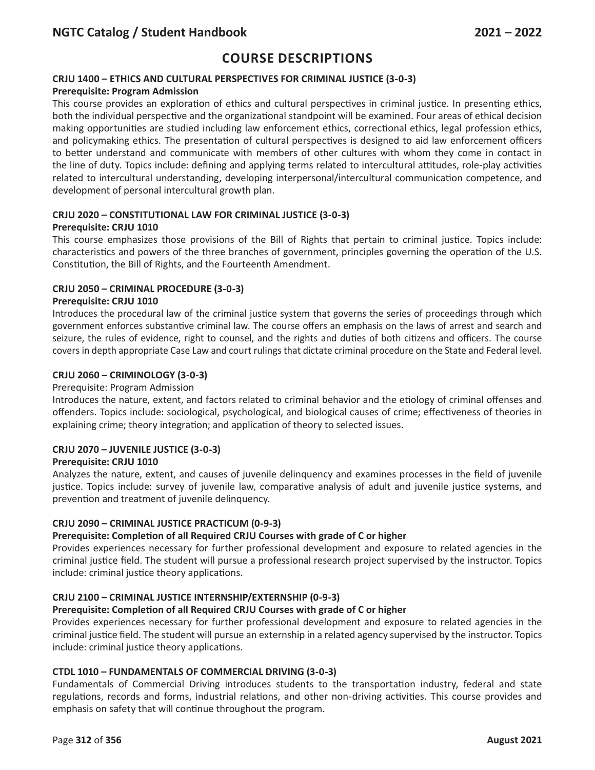## **CRJU 1400 – ETHICS AND CULTURAL PERSPECTIVES FOR CRIMINAL JUSTICE (3-0-3)**

## **Prerequisite: Program Admission**

This course provides an exploration of ethics and cultural perspectives in criminal justice. In presenting ethics, both the individual perspective and the organizational standpoint will be examined. Four areas of ethical decision making opportunities are studied including law enforcement ethics, correctional ethics, legal profession ethics, and policymaking ethics. The presentation of cultural perspectives is designed to aid law enforcement officers to better understand and communicate with members of other cultures with whom they come in contact in the line of duty. Topics include: defining and applying terms related to intercultural attitudes, role-play activities related to intercultural understanding, developing interpersonal/intercultural communication competence, and development of personal intercultural growth plan.

#### **CRJU 2020 – CONSTITUTIONAL LAW FOR CRIMINAL JUSTICE (3-0-3) Prerequisite: CRJU 1010**

This course emphasizes those provisions of the Bill of Rights that pertain to criminal justice. Topics include: characteristics and powers of the three branches of government, principles governing the operation of the U.S. Constitution, the Bill of Rights, and the Fourteenth Amendment.

### **CRJU 2050 – CRIMINAL PROCEDURE (3-0-3)**

### **Prerequisite: CRJU 1010**

Introduces the procedural law of the criminal justice system that governs the series of proceedings through which government enforces substantive criminal law. The course offers an emphasis on the laws of arrest and search and seizure, the rules of evidence, right to counsel, and the rights and duties of both citizens and officers. The course covers in depth appropriate Case Law and court rulings that dictate criminal procedure on the State and Federal level.

#### **CRJU 2060 – CRIMINOLOGY (3-0-3)**

#### Prerequisite: Program Admission

Introduces the nature, extent, and factors related to criminal behavior and the etiology of criminal offenses and offenders. Topics include: sociological, psychological, and biological causes of crime; effectiveness of theories in explaining crime; theory integration; and application of theory to selected issues.

### **CRJU 2070 – JUVENILE JUSTICE (3-0-3)**

### **Prerequisite: CRJU 1010**

Analyzes the nature, extent, and causes of juvenile delinquency and examines processes in the field of juvenile justice. Topics include: survey of juvenile law, comparative analysis of adult and juvenile justice systems, and prevention and treatment of juvenile delinquency.

### **CRJU 2090 – CRIMINAL JUSTICE PRACTICUM (0-9-3)**

#### **Prerequisite: Completion of all Required CRJU Courses with grade of C or higher**

Provides experiences necessary for further professional development and exposure to related agencies in the criminal justice field. The student will pursue a professional research project supervised by the instructor. Topics include: criminal justice theory applications.

### **CRJU 2100 – CRIMINAL JUSTICE INTERNSHIP/EXTERNSHIP (0-9-3)**

### **Prerequisite: Completion of all Required CRJU Courses with grade of C or higher**

Provides experiences necessary for further professional development and exposure to related agencies in the criminal justice field. The student will pursue an externship in a related agency supervised by the instructor. Topics include: criminal justice theory applications.

### **CTDL 1010 – FUNDAMENTALS OF COMMERCIAL DRIVING (3-0-3)**

Fundamentals of Commercial Driving introduces students to the transportation industry, federal and state regulations, records and forms, industrial relations, and other non-driving activities. This course provides and emphasis on safety that will continue throughout the program.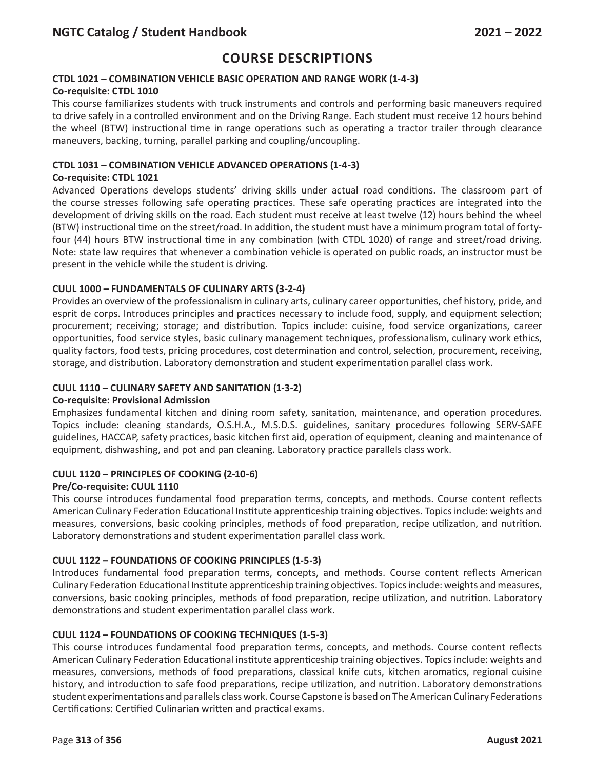## **CTDL 1021 – COMBINATION VEHICLE BASIC OPERATION AND RANGE WORK (1-4-3)**

### **Co-requisite: CTDL 1010**

This course familiarizes students with truck instruments and controls and performing basic maneuvers required to drive safely in a controlled environment and on the Driving Range. Each student must receive 12 hours behind the wheel (BTW) instructional time in range operations such as operating a tractor trailer through clearance maneuvers, backing, turning, parallel parking and coupling/uncoupling.

## **CTDL 1031 – COMBINATION VEHICLE ADVANCED OPERATIONS (1-4-3)**

## **Co-requisite: CTDL 1021**

Advanced Operations develops students' driving skills under actual road conditions. The classroom part of the course stresses following safe operating practices. These safe operating practices are integrated into the development of driving skills on the road. Each student must receive at least twelve (12) hours behind the wheel (BTW) instructional time on the street/road. In addition, the student must have a minimum program total of fortyfour (44) hours BTW instructional time in any combination (with CTDL 1020) of range and street/road driving. Note: state law requires that whenever a combination vehicle is operated on public roads, an instructor must be present in the vehicle while the student is driving.

## **CUUL 1000 – FUNDAMENTALS OF CULINARY ARTS (3-2-4)**

Provides an overview of the professionalism in culinary arts, culinary career opportunities, chef history, pride, and esprit de corps. Introduces principles and practices necessary to include food, supply, and equipment selection; procurement; receiving; storage; and distribution. Topics include: cuisine, food service organizations, career opportunities, food service styles, basic culinary management techniques, professionalism, culinary work ethics, quality factors, food tests, pricing procedures, cost determination and control, selection, procurement, receiving, storage, and distribution. Laboratory demonstration and student experimentation parallel class work.

## **CUUL 1110 – CULINARY SAFETY AND SANITATION (1-3-2)**

### **Co-requisite: Provisional Admission**

Emphasizes fundamental kitchen and dining room safety, sanitation, maintenance, and operation procedures. Topics include: cleaning standards, O.S.H.A., M.S.D.S. guidelines, sanitary procedures following SERV-SAFE guidelines, HACCAP, safety practices, basic kitchen first aid, operation of equipment, cleaning and maintenance of equipment, dishwashing, and pot and pan cleaning. Laboratory practice parallels class work.

### **CUUL 1120 – PRINCIPLES OF COOKING (2-10-6)**

### **Pre/Co-requisite: CUUL 1110**

This course introduces fundamental food preparation terms, concepts, and methods. Course content reflects American Culinary Federation Educational Institute apprenticeship training objectives. Topics include: weights and measures, conversions, basic cooking principles, methods of food preparation, recipe utilization, and nutrition. Laboratory demonstrations and student experimentation parallel class work.

### **CUUL 1122 – FOUNDATIONS OF COOKING PRINCIPLES (1-5-3)**

Introduces fundamental food preparation terms, concepts, and methods. Course content reflects American Culinary Federation Educational Institute apprenticeship training objectives. Topics include: weights and measures, conversions, basic cooking principles, methods of food preparation, recipe utilization, and nutrition. Laboratory demonstrations and student experimentation parallel class work.

### **CUUL 1124 – FOUNDATIONS OF COOKING TECHNIQUES (1-5-3)**

This course introduces fundamental food preparation terms, concepts, and methods. Course content reflects American Culinary Federation Educational institute apprenticeship training objectives. Topics include: weights and measures, conversions, methods of food preparations, classical knife cuts, kitchen aromatics, regional cuisine history, and introduction to safe food preparations, recipe utilization, and nutrition. Laboratory demonstrations student experimentations and parallels class work. Course Capstone is based on The American Culinary Federations Certifications: Certified Culinarian written and practical exams.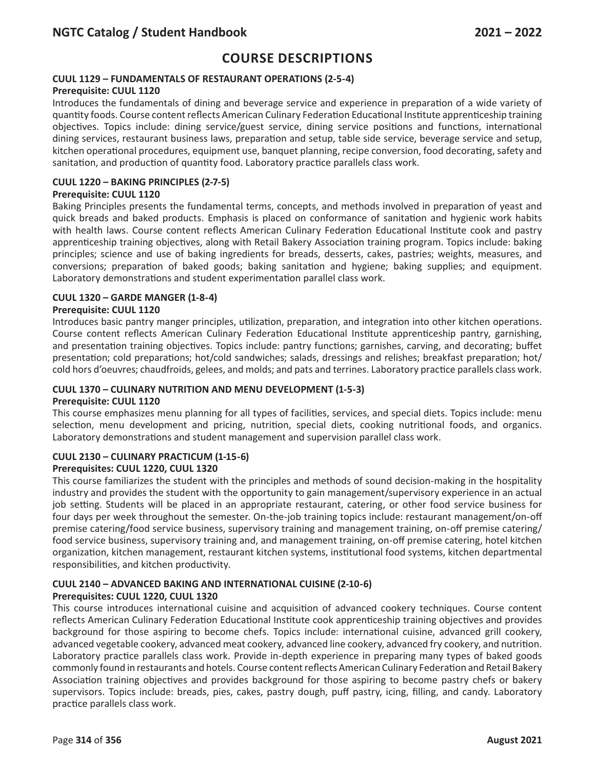## **CUUL 1129 – FUNDAMENTALS OF RESTAURANT OPERATIONS (2-5-4)**

## **Prerequisite: CUUL 1120**

Introduces the fundamentals of dining and beverage service and experience in preparation of a wide variety of quantity foods. Course content reflects American Culinary Federation Educational Institute apprenticeship training objectives. Topics include: dining service/guest service, dining service positions and functions, international dining services, restaurant business laws, preparation and setup, table side service, beverage service and setup, kitchen operational procedures, equipment use, banquet planning, recipe conversion, food decorating, safety and sanitation, and production of quantity food. Laboratory practice parallels class work.

## **CUUL 1220 – BAKING PRINCIPLES (2-7-5)**

### **Prerequisite: CUUL 1120**

Baking Principles presents the fundamental terms, concepts, and methods involved in preparation of yeast and quick breads and baked products. Emphasis is placed on conformance of sanitation and hygienic work habits with health laws. Course content reflects American Culinary Federation Educational Institute cook and pastry apprenticeship training objectives, along with Retail Bakery Association training program. Topics include: baking principles; science and use of baking ingredients for breads, desserts, cakes, pastries; weights, measures, and conversions; preparation of baked goods; baking sanitation and hygiene; baking supplies; and equipment. Laboratory demonstrations and student experimentation parallel class work.

### **CUUL 1320 – GARDE MANGER (1-8-4)**

### **Prerequisite: CUUL 1120**

Introduces basic pantry manger principles, utilization, preparation, and integration into other kitchen operations. Course content reflects American Culinary Federation Educational Institute apprenticeship pantry, garnishing, and presentation training objectives. Topics include: pantry functions; garnishes, carving, and decorating; buffet presentation; cold preparations; hot/cold sandwiches; salads, dressings and relishes; breakfast preparation; hot/ cold hors d'oeuvres; chaudfroids, gelees, and molds; and pats and terrines. Laboratory practice parallels class work.

### **CUUL 1370 – CULINARY NUTRITION AND MENU DEVELOPMENT (1-5-3)**

#### **Prerequisite: CUUL 1120**

This course emphasizes menu planning for all types of facilities, services, and special diets. Topics include: menu selection, menu development and pricing, nutrition, special diets, cooking nutritional foods, and organics. Laboratory demonstrations and student management and supervision parallel class work.

### **CUUL 2130 – CULINARY PRACTICUM (1-15-6)**

### **Prerequisites: CUUL 1220, CUUL 1320**

This course familiarizes the student with the principles and methods of sound decision-making in the hospitality industry and provides the student with the opportunity to gain management/supervisory experience in an actual job setting. Students will be placed in an appropriate restaurant, catering, or other food service business for four days per week throughout the semester. On-the-job training topics include: restaurant management/on-off premise catering/food service business, supervisory training and management training, on-off premise catering/ food service business, supervisory training and, and management training, on-off premise catering, hotel kitchen organization, kitchen management, restaurant kitchen systems, institutional food systems, kitchen departmental responsibilities, and kitchen productivity.

### **CUUL 2140 – ADVANCED BAKING AND INTERNATIONAL CUISINE (2-10-6) Prerequisites: CUUL 1220, CUUL 1320**

This course introduces international cuisine and acquisition of advanced cookery techniques. Course content reflects American Culinary Federation Educational Institute cook apprenticeship training objectives and provides background for those aspiring to become chefs. Topics include: international cuisine, advanced grill cookery, advanced vegetable cookery, advanced meat cookery, advanced line cookery, advanced fry cookery, and nutrition. Laboratory practice parallels class work. Provide in-depth experience in preparing many types of baked goods commonly found in restaurants and hotels. Course content reflects American Culinary Federation and Retail Bakery Association training objectives and provides background for those aspiring to become pastry chefs or bakery supervisors. Topics include: breads, pies, cakes, pastry dough, puff pastry, icing, filling, and candy. Laboratory practice parallels class work.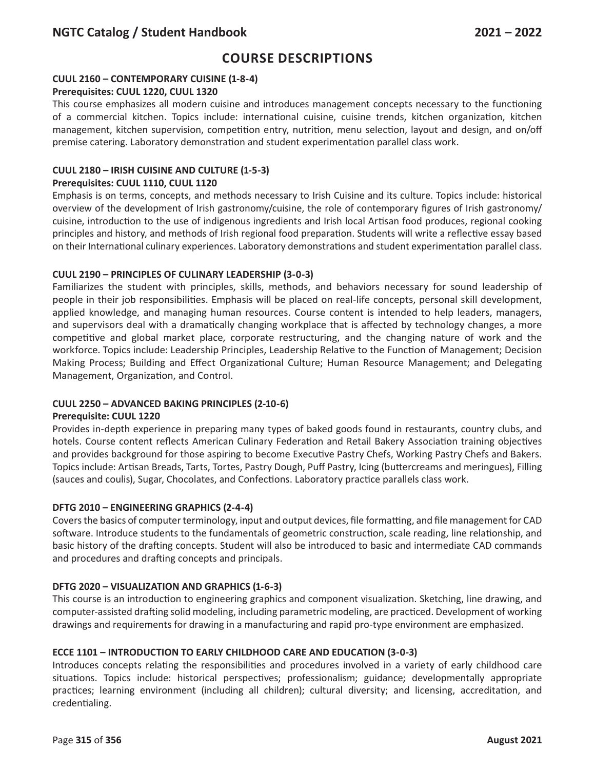## **CUUL 2160 – CONTEMPORARY CUISINE (1-8-4)**

### **Prerequisites: CUUL 1220, CUUL 1320**

This course emphasizes all modern cuisine and introduces management concepts necessary to the functioning of a commercial kitchen. Topics include: international cuisine, cuisine trends, kitchen organization, kitchen management, kitchen supervision, competition entry, nutrition, menu selection, layout and design, and on/off premise catering. Laboratory demonstration and student experimentation parallel class work.

## **CUUL 2180 – IRISH CUISINE AND CULTURE (1-5-3)**

### **Prerequisites: CUUL 1110, CUUL 1120**

Emphasis is on terms, concepts, and methods necessary to Irish Cuisine and its culture. Topics include: historical overview of the development of Irish gastronomy/cuisine, the role of contemporary figures of Irish gastronomy/ cuisine, introduction to the use of indigenous ingredients and Irish local Artisan food produces, regional cooking principles and history, and methods of Irish regional food preparation. Students will write a reflective essay based on their International culinary experiences. Laboratory demonstrations and student experimentation parallel class.

## **CUUL 2190 – PRINCIPLES OF CULINARY LEADERSHIP (3-0-3)**

Familiarizes the student with principles, skills, methods, and behaviors necessary for sound leadership of people in their job responsibilities. Emphasis will be placed on real-life concepts, personal skill development, applied knowledge, and managing human resources. Course content is intended to help leaders, managers, and supervisors deal with a dramatically changing workplace that is affected by technology changes, a more competitive and global market place, corporate restructuring, and the changing nature of work and the workforce. Topics include: Leadership Principles, Leadership Relative to the Function of Management; Decision Making Process; Building and Effect Organizational Culture; Human Resource Management; and Delegating Management, Organization, and Control.

### **CUUL 2250 – ADVANCED BAKING PRINCIPLES (2-10-6)**

### **Prerequisite: CUUL 1220**

Provides in-depth experience in preparing many types of baked goods found in restaurants, country clubs, and hotels. Course content reflects American Culinary Federation and Retail Bakery Association training objectives and provides background for those aspiring to become Executive Pastry Chefs, Working Pastry Chefs and Bakers. Topics include: Artisan Breads, Tarts, Tortes, Pastry Dough, Puff Pastry, Icing (buttercreams and meringues), Filling (sauces and coulis), Sugar, Chocolates, and Confections. Laboratory practice parallels class work.

### **DFTG 2010 – ENGINEERING GRAPHICS (2-4-4)**

Covers the basics of computer terminology, input and output devices, file formatting, and file management for CAD software. Introduce students to the fundamentals of geometric construction, scale reading, line relationship, and basic history of the drafting concepts. Student will also be introduced to basic and intermediate CAD commands and procedures and drafting concepts and principals.

### **DFTG 2020 – VISUALIZATION AND GRAPHICS (1-6-3)**

This course is an introduction to engineering graphics and component visualization. Sketching, line drawing, and computer-assisted drafting solid modeling, including parametric modeling, are practiced. Development of working drawings and requirements for drawing in a manufacturing and rapid pro-type environment are emphasized.

## **ECCE 1101 – INTRODUCTION TO EARLY CHILDHOOD CARE AND EDUCATION (3-0-3)**

Introduces concepts relating the responsibilities and procedures involved in a variety of early childhood care situations. Topics include: historical perspectives; professionalism; guidance; developmentally appropriate practices; learning environment (including all children); cultural diversity; and licensing, accreditation, and credentialing.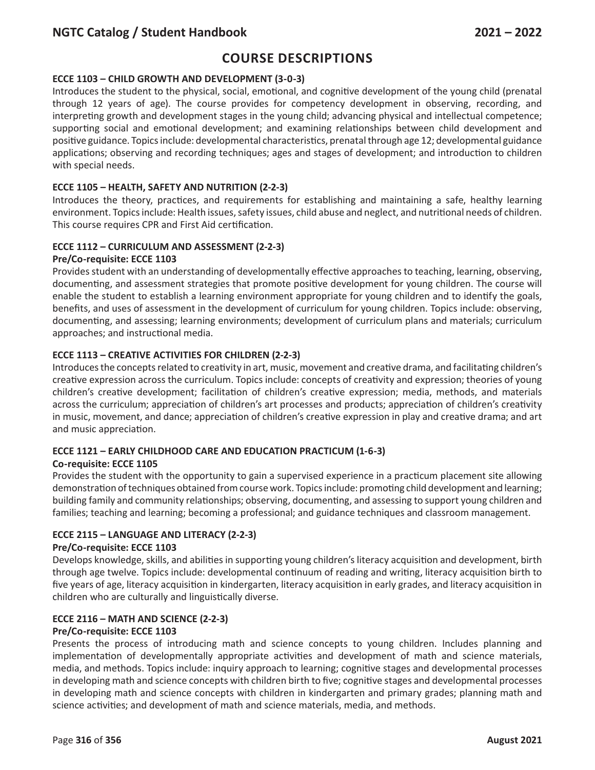# **Course Descriptions**

## **ECCE 1103 – CHILD GROWTH AND DEVELOPMENT (3-0-3)**

Introduces the student to the physical, social, emotional, and cognitive development of the young child (prenatal through 12 years of age). The course provides for competency development in observing, recording, and interpreting growth and development stages in the young child; advancing physical and intellectual competence; supporting social and emotional development; and examining relationships between child development and positive guidance. Topics include: developmental characteristics, prenatal through age 12; developmental guidance applications; observing and recording techniques; ages and stages of development; and introduction to children with special needs.

## **ECCE 1105 – HEALTH, SAFETY AND NUTRITION (2-2-3)**

Introduces the theory, practices, and requirements for establishing and maintaining a safe, healthy learning environment. Topics include: Health issues, safety issues, child abuse and neglect, and nutritional needs of children. This course requires CPR and First Aid certification.

## **ECCE 1112 – CURRICULUM AND ASSESSMENT (2-2-3)**

### **Pre/Co-requisite: ECCE 1103**

Provides student with an understanding of developmentally effective approaches to teaching, learning, observing, documenting, and assessment strategies that promote positive development for young children. The course will enable the student to establish a learning environment appropriate for young children and to identify the goals, benefits, and uses of assessment in the development of curriculum for young children. Topics include: observing, documenting, and assessing; learning environments; development of curriculum plans and materials; curriculum approaches; and instructional media.

### **ECCE 1113 – CREATIVE ACTIVITIES FOR CHILDREN (2-2-3)**

Introduces the concepts related to creativity in art, music, movement and creative drama, and facilitating children's creative expression across the curriculum. Topics include: concepts of creativity and expression; theories of young children's creative development; facilitation of children's creative expression; media, methods, and materials across the curriculum; appreciation of children's art processes and products; appreciation of children's creativity in music, movement, and dance; appreciation of children's creative expression in play and creative drama; and art and music appreciation.

## **ECCE 1121 – EARLY CHILDHOOD CARE AND EDUCATION PRACTICUM (1-6-3)**

### **Co-requisite: ECCE 1105**

Provides the student with the opportunity to gain a supervised experience in a practicum placement site allowing demonstration of techniques obtained from course work. Topics include: promoting child development and learning; building family and community relationships; observing, documenting, and assessing to support young children and families; teaching and learning; becoming a professional; and guidance techniques and classroom management.

## **ECCE 2115 – LANGUAGE AND LITERACY (2-2-3)**

### **Pre/Co-requisite: ECCE 1103**

Develops knowledge, skills, and abilities in supporting young children's literacy acquisition and development, birth through age twelve. Topics include: developmental continuum of reading and writing, literacy acquisition birth to five years of age, literacy acquisition in kindergarten, literacy acquisition in early grades, and literacy acquisition in children who are culturally and linguistically diverse.

### **ECCE 2116 – MATH AND SCIENCE (2-2-3)**

### **Pre/Co-requisite: ECCE 1103**

Presents the process of introducing math and science concepts to young children. Includes planning and implementation of developmentally appropriate activities and development of math and science materials, media, and methods. Topics include: inquiry approach to learning; cognitive stages and developmental processes in developing math and science concepts with children birth to five; cognitive stages and developmental processes in developing math and science concepts with children in kindergarten and primary grades; planning math and science activities; and development of math and science materials, media, and methods.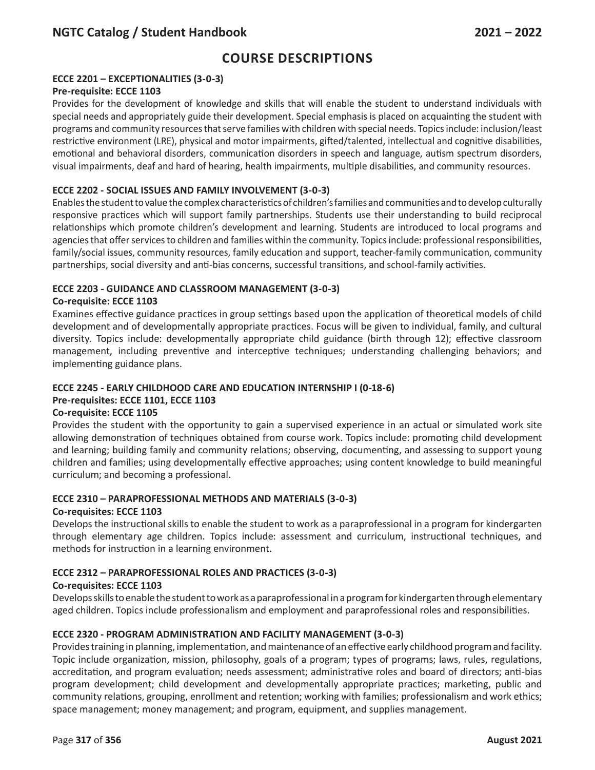## **ECCE 2201 – EXCEPTIONALITIES (3-0-3)**

#### **Pre-requisite: ECCE 1103**

Provides for the development of knowledge and skills that will enable the student to understand individuals with special needs and appropriately guide their development. Special emphasis is placed on acquainting the student with programs and community resources that serve families with children with special needs. Topics include: inclusion/least restrictive environment (LRE), physical and motor impairments, gifted/talented, intellectual and cognitive disabilities, emotional and behavioral disorders, communication disorders in speech and language, autism spectrum disorders, visual impairments, deaf and hard of hearing, health impairments, multiple disabilities, and community resources.

### **ECCE 2202 - SOCIAL ISSUES AND FAMILY INVOLVEMENT (3-0-3)**

Enables the student to value the complex characteristics of children's families and communities and to develop culturally responsive practices which will support family partnerships. Students use their understanding to build reciprocal relationships which promote children's development and learning. Students are introduced to local programs and agencies that offer services to children and families within the community. Topics include: professional responsibilities, family/social issues, community resources, family education and support, teacher-family communication, community partnerships, social diversity and anti-bias concerns, successful transitions, and school-family activities.

### **ECCE 2203 - GUIDANCE AND CLASSROOM MANAGEMENT (3-0-3)**

### **Co-requisite: ECCE 1103**

Examines effective guidance practices in group settings based upon the application of theoretical models of child development and of developmentally appropriate practices. Focus will be given to individual, family, and cultural diversity. Topics include: developmentally appropriate child guidance (birth through 12); effective classroom management, including preventive and interceptive techniques; understanding challenging behaviors; and implementing guidance plans.

## **ECCE 2245 - EARLY CHILDHOOD CARE AND EDUCATION INTERNSHIP I (0-18-6)**

### **Pre-requisites: ECCE 1101, ECCE 1103**

### **Co-requisite: ECCE 1105**

Provides the student with the opportunity to gain a supervised experience in an actual or simulated work site allowing demonstration of techniques obtained from course work. Topics include: promoting child development and learning; building family and community relations; observing, documenting, and assessing to support young children and families; using developmentally effective approaches; using content knowledge to build meaningful curriculum; and becoming a professional.

### **ECCE 2310 – PARAPROFESSIONAL METHODS AND MATERIALS (3-0-3)**

#### **Co-requisites: ECCE 1103**

Develops the instructional skills to enable the student to work as a paraprofessional in a program for kindergarten through elementary age children. Topics include: assessment and curriculum, instructional techniques, and methods for instruction in a learning environment.

### **ECCE 2312 – PARAPROFESSIONAL ROLES AND PRACTICES (3-0-3)**

#### **Co-requisites: ECCE 1103**

Develops skills to enable the student to work as a paraprofessional in a program for kindergarten through elementary aged children. Topics include professionalism and employment and paraprofessional roles and responsibilities.

#### **ECCE 2320 - PROGRAM ADMINISTRATION AND FACILITY MANAGEMENT (3-0-3)**

Provides training in planning, implementation, and maintenance of an effective early childhood program and facility. Topic include organization, mission, philosophy, goals of a program; types of programs; laws, rules, regulations, accreditation, and program evaluation; needs assessment; administrative roles and board of directors; anti-bias program development; child development and developmentally appropriate practices; marketing, public and community relations, grouping, enrollment and retention; working with families; professionalism and work ethics; space management; money management; and program, equipment, and supplies management.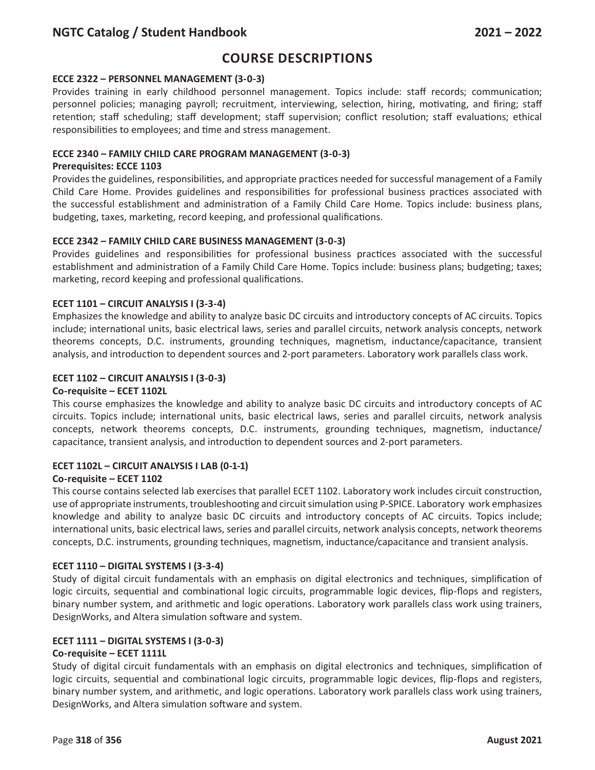# **Course Descriptions**

#### **ECCE 2322 – PERSONNEL MANAGEMENT (3-0-3)**

Provides training in early childhood personnel management. Topics include: staff records; communication; personnel policies; managing payroll; recruitment, interviewing, selection, hiring, motivating, and firing; staff retention; staff scheduling; staff development; staff supervision; conflict resolution; staff evaluations; ethical responsibilities to employees; and time and stress management.

### **ECCE 2340 – FAMILY CHILD CARE PROGRAM MANAGEMENT (3-0-3)**

#### **Prerequisites: ECCE 1103**

Provides the guidelines, responsibilities, and appropriate practices needed for successful management of a Family Child Care Home. Provides guidelines and responsibilities for professional business practices associated with the successful establishment and administration of a Family Child Care Home. Topics include: business plans, budgeting, taxes, marketing, record keeping, and professional qualifications.

### **ECCE 2342 – FAMILY CHILD CARE BUSINESS MANAGEMENT (3-0-3)**

Provides guidelines and responsibilities for professional business practices associated with the successful establishment and administration of a Family Child Care Home. Topics include: business plans; budgeting; taxes; marketing, record keeping and professional qualifications.

#### **ECET 1101 – CIRCUIT ANALYSIS I (3-3-4)**

Emphasizes the knowledge and ability to analyze basic DC circuits and introductory concepts of AC circuits. Topics include; international units, basic electrical laws, series and parallel circuits, network analysis concepts, network theorems concepts, D.C. instruments, grounding techniques, magnetism, inductance/capacitance, transient analysis, and introduction to dependent sources and 2-port parameters. Laboratory work parallels class work.

#### **ECET 1102 – CIRCUIT ANALYSIS I (3-0-3)**

#### **Co-requisite – ECET 1102L**

This course emphasizes the knowledge and ability to analyze basic DC circuits and introductory concepts of AC circuits. Topics include; international units, basic electrical laws, series and parallel circuits, network analysis concepts, network theorems concepts, D.C. instruments, grounding techniques, magnetism, inductance/ capacitance, transient analysis, and introduction to dependent sources and 2-port parameters.

#### **ECET 1102L – CIRCUIT ANALYSIS I LAB (0-1-1)**

#### **Co-requisite – ECET 1102**

This course contains selected lab exercises that parallel ECET 1102. Laboratory work includes circuit construction, use of appropriate instruments, troubleshooting and circuit simulation using P-SPICE. Laboratory work emphasizes knowledge and ability to analyze basic DC circuits and introductory concepts of AC circuits. Topics include; international units, basic electrical laws, series and parallel circuits, network analysis concepts, network theorems concepts, D.C. instruments, grounding techniques, magnetism, inductance/capacitance and transient analysis.

### **ECET 1110 – DIGITAL SYSTEMS I (3-3-4)**

Study of digital circuit fundamentals with an emphasis on digital electronics and techniques, simplification of logic circuits, sequential and combinational logic circuits, programmable logic devices, flip-flops and registers, binary number system, and arithmetic and logic operations. Laboratory work parallels class work using trainers, DesignWorks, and Altera simulation software and system.

### **ECET 1111 – DIGITAL SYSTEMS I (3-0-3)**

#### **Co-requisite – ECET 1111L**

Study of digital circuit fundamentals with an emphasis on digital electronics and techniques, simplification of logic circuits, sequential and combinational logic circuits, programmable logic devices, flip-flops and registers, binary number system, and arithmetic, and logic operations. Laboratory work parallels class work using trainers, DesignWorks, and Altera simulation software and system.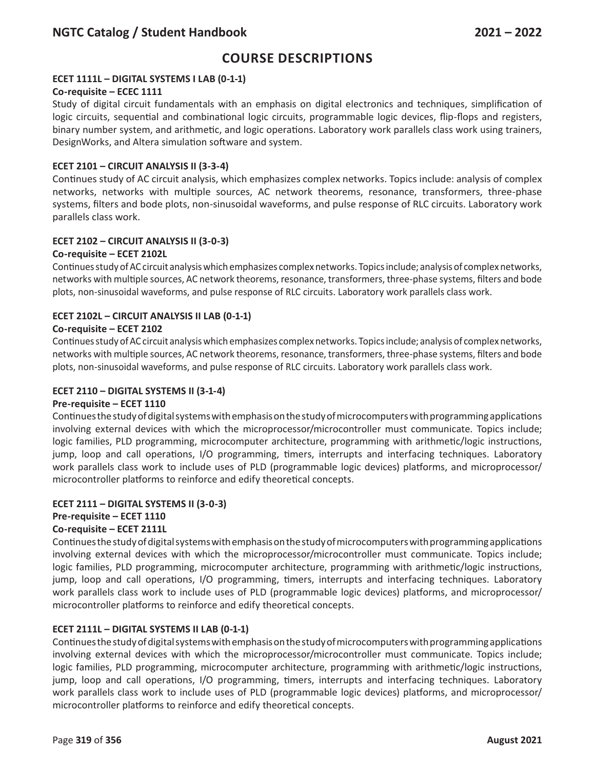## **ECET 1111L – DIGITAL SYSTEMS I LAB (0-1-1)**

### **Co-requisite – ECEC 1111**

Study of digital circuit fundamentals with an emphasis on digital electronics and techniques, simplification of logic circuits, sequential and combinational logic circuits, programmable logic devices, flip-flops and registers, binary number system, and arithmetic, and logic operations. Laboratory work parallels class work using trainers, DesignWorks, and Altera simulation software and system.

#### **ECET 2101 – CIRCUIT ANALYSIS II (3-3-4)**

Continues study of AC circuit analysis, which emphasizes complex networks. Topics include: analysis of complex networks, networks with multiple sources, AC network theorems, resonance, transformers, three-phase systems, filters and bode plots, non-sinusoidal waveforms, and pulse response of RLC circuits. Laboratory work parallels class work.

#### **ECET 2102 – CIRCUIT ANALYSIS II (3-0-3)**

#### **Co-requisite – ECET 2102L**

Continues study of AC circuit analysis which emphasizes complex networks. Topics include; analysis of complex networks, networks with multiple sources, AC network theorems, resonance, transformers, three-phase systems, filters and bode plots, non-sinusoidal waveforms, and pulse response of RLC circuits. Laboratory work parallels class work.

### **ECET 2102L – CIRCUIT ANALYSIS II LAB (0-1-1)**

#### **Co-requisite – ECET 2102**

Continues study of AC circuit analysis which emphasizes complex networks. Topics include; analysis of complex networks, networks with multiple sources, AC network theorems, resonance, transformers, three-phase systems, filters and bode plots, non-sinusoidal waveforms, and pulse response of RLC circuits. Laboratory work parallels class work.

#### **ECET 2110 – DIGITAL SYSTEMS II (3-1-4)**

#### **Pre-requisite – ECET 1110**

Continues the study of digital systems with emphasis on the study of microcomputers with programming applications involving external devices with which the microprocessor/microcontroller must communicate. Topics include; logic families, PLD programming, microcomputer architecture, programming with arithmetic/logic instructions, jump, loop and call operations, I/O programming, timers, interrupts and interfacing techniques. Laboratory work parallels class work to include uses of PLD (programmable logic devices) platforms, and microprocessor/ microcontroller platforms to reinforce and edify theoretical concepts.

#### **ECET 2111 – DIGITAL SYSTEMS II (3-0-3) Pre-requisite – ECET 1110 Co-requisite – ECET 2111L**

Continues the study of digital systems with emphasis on the study of microcomputers with programming applications involving external devices with which the microprocessor/microcontroller must communicate. Topics include; logic families, PLD programming, microcomputer architecture, programming with arithmetic/logic instructions, jump, loop and call operations, I/O programming, timers, interrupts and interfacing techniques. Laboratory work parallels class work to include uses of PLD (programmable logic devices) platforms, and microprocessor/ microcontroller platforms to reinforce and edify theoretical concepts.

#### **ECET 2111L – DIGITAL SYSTEMS II LAB (0-1-1)**

Continues the study of digital systems with emphasis on the study of microcomputers with programming applications involving external devices with which the microprocessor/microcontroller must communicate. Topics include; logic families, PLD programming, microcomputer architecture, programming with arithmetic/logic instructions, jump, loop and call operations, I/O programming, timers, interrupts and interfacing techniques. Laboratory work parallels class work to include uses of PLD (programmable logic devices) platforms, and microprocessor/ microcontroller platforms to reinforce and edify theoretical concepts.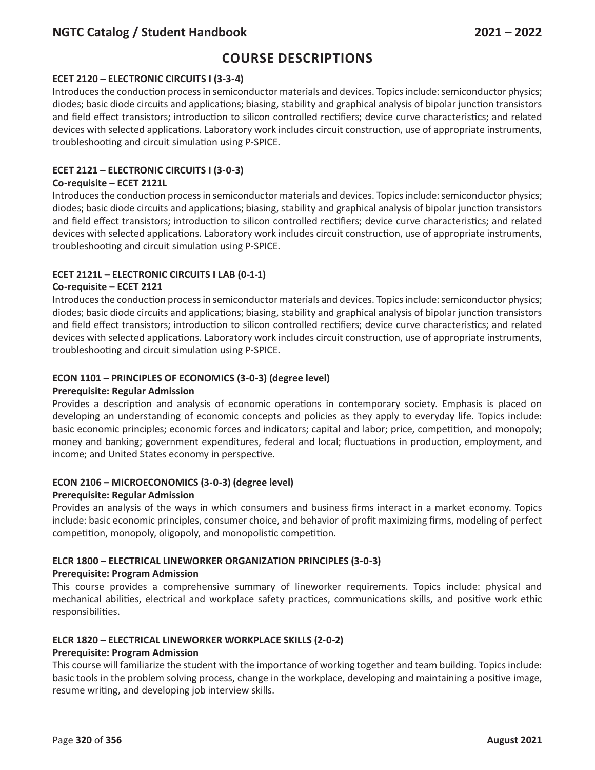# **Course Descriptions**

## **ECET 2120 – ELECTRONIC CIRCUITS I (3-3-4)**

Introduces the conduction process in semiconductor materials and devices. Topics include: semiconductor physics; diodes; basic diode circuits and applications; biasing, stability and graphical analysis of bipolar junction transistors and field effect transistors; introduction to silicon controlled rectifiers; device curve characteristics; and related devices with selected applications. Laboratory work includes circuit construction, use of appropriate instruments, troubleshooting and circuit simulation using P-SPICE.

## **ECET 2121 – ELECTRONIC CIRCUITS I (3-0-3)**

#### **Co-requisite – ECET 2121L**

Introduces the conduction process in semiconductor materials and devices. Topics include: semiconductor physics; diodes; basic diode circuits and applications; biasing, stability and graphical analysis of bipolar junction transistors and field effect transistors; introduction to silicon controlled rectifiers; device curve characteristics; and related devices with selected applications. Laboratory work includes circuit construction, use of appropriate instruments, troubleshooting and circuit simulation using P-SPICE.

## **ECET 2121L – ELECTRONIC CIRCUITS I LAB (0-1-1)**

### **Co-requisite – ECET 2121**

Introduces the conduction process in semiconductor materials and devices. Topics include: semiconductor physics; diodes; basic diode circuits and applications; biasing, stability and graphical analysis of bipolar junction transistors and field effect transistors; introduction to silicon controlled rectifiers; device curve characteristics; and related devices with selected applications. Laboratory work includes circuit construction, use of appropriate instruments, troubleshooting and circuit simulation using P-SPICE.

### **ECON 1101 – PRINCIPLES OF ECONOMICS (3-0-3) (degree level)**

#### **Prerequisite: Regular Admission**

Provides a description and analysis of economic operations in contemporary society. Emphasis is placed on developing an understanding of economic concepts and policies as they apply to everyday life. Topics include: basic economic principles; economic forces and indicators; capital and labor; price, competition, and monopoly; money and banking; government expenditures, federal and local; fluctuations in production, employment, and income; and United States economy in perspective.

### **ECON 2106 – MICROECONOMICS (3-0-3) (degree level)**

#### **Prerequisite: Regular Admission**

Provides an analysis of the ways in which consumers and business firms interact in a market economy. Topics include: basic economic principles, consumer choice, and behavior of profit maximizing firms, modeling of perfect competition, monopoly, oligopoly, and monopolistic competition.

### **ELCR 1800 – ELECTRICAL LINEWORKER ORGANIZATION PRINCIPLES (3-0-3)**

### **Prerequisite: Program Admission**

This course provides a comprehensive summary of lineworker requirements. Topics include: physical and mechanical abilities, electrical and workplace safety practices, communications skills, and positive work ethic responsibilities.

### **ELCR 1820 – ELECTRICAL LINEWORKER WORKPLACE SKILLS (2-0-2)**

### **Prerequisite: Program Admission**

This course will familiarize the student with the importance of working together and team building. Topics include: basic tools in the problem solving process, change in the workplace, developing and maintaining a positive image, resume writing, and developing job interview skills.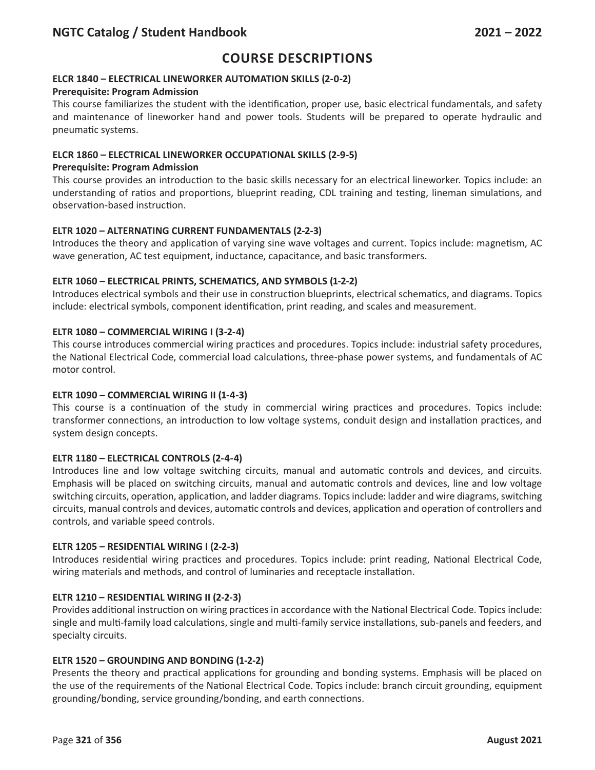## **ELCR 1840 – ELECTRICAL LINEWORKER AUTOMATION SKILLS (2-0-2)**

### **Prerequisite: Program Admission**

This course familiarizes the student with the identification, proper use, basic electrical fundamentals, and safety and maintenance of lineworker hand and power tools. Students will be prepared to operate hydraulic and pneumatic systems.

## **ELCR 1860 – ELECTRICAL LINEWORKER OCCUPATIONAL SKILLS (2-9-5)**

### **Prerequisite: Program Admission**

This course provides an introduction to the basic skills necessary for an electrical lineworker. Topics include: an understanding of ratios and proportions, blueprint reading, CDL training and testing, lineman simulations, and observation-based instruction.

### **ELTR 1020 – ALTERNATING CURRENT FUNDAMENTALS (2-2-3)**

Introduces the theory and application of varying sine wave voltages and current. Topics include: magnetism, AC wave generation, AC test equipment, inductance, capacitance, and basic transformers.

### **ELTR 1060 – ELECTRICAL PRINTS, SCHEMATICS, AND SYMBOLS (1-2-2)**

Introduces electrical symbols and their use in construction blueprints, electrical schematics, and diagrams. Topics include: electrical symbols, component identification, print reading, and scales and measurement.

## **ELTR 1080 – COMMERCIAL WIRING I (3-2-4)**

This course introduces commercial wiring practices and procedures. Topics include: industrial safety procedures, the National Electrical Code, commercial load calculations, three-phase power systems, and fundamentals of AC motor control.

### **ELTR 1090 – COMMERCIAL WIRING II (1-4-3)**

This course is a continuation of the study in commercial wiring practices and procedures. Topics include: transformer connections, an introduction to low voltage systems, conduit design and installation practices, and system design concepts.

### **ELTR 1180 – ELECTRICAL CONTROLS (2-4-4)**

Introduces line and low voltage switching circuits, manual and automatic controls and devices, and circuits. Emphasis will be placed on switching circuits, manual and automatic controls and devices, line and low voltage switching circuits, operation, application, and ladder diagrams. Topics include: ladder and wire diagrams, switching circuits, manual controls and devices, automatic controls and devices, application and operation of controllers and controls, and variable speed controls.

### **ELTR 1205 – RESIDENTIAL WIRING I (2-2-3)**

Introduces residential wiring practices and procedures. Topics include: print reading, National Electrical Code, wiring materials and methods, and control of luminaries and receptacle installation.

### **ELTR 1210 – RESIDENTIAL WIRING II (2-2-3)**

Provides additional instruction on wiring practices in accordance with the National Electrical Code. Topics include: single and multi-family load calculations, single and multi-family service installations, sub-panels and feeders, and specialty circuits.

### **ELTR 1520 – GROUNDING AND BONDING (1-2-2)**

Presents the theory and practical applications for grounding and bonding systems. Emphasis will be placed on the use of the requirements of the National Electrical Code. Topics include: branch circuit grounding, equipment grounding/bonding, service grounding/bonding, and earth connections.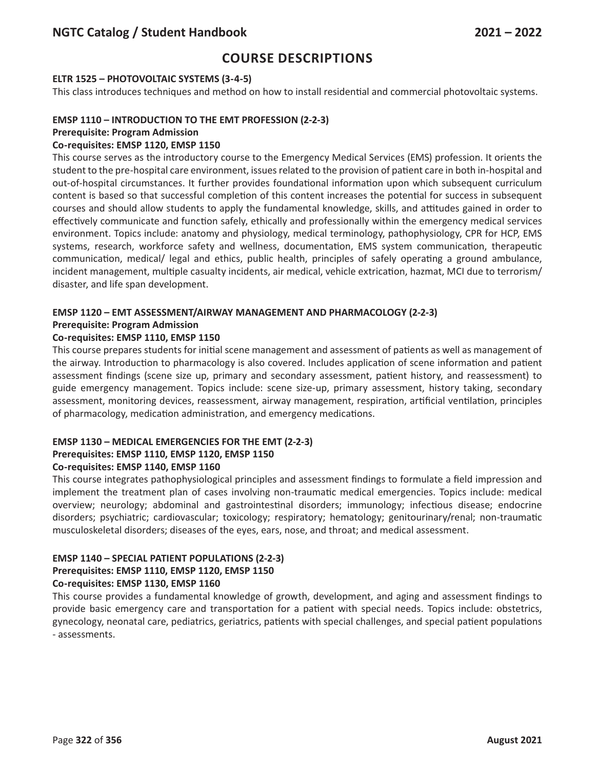### **ELTR 1525 – PHOTOVOLTAIC SYSTEMS (3-4-5)**

This class introduces techniques and method on how to install residential and commercial photovoltaic systems.

## **EMSP 1110 – INTRODUCTION TO THE EMT PROFESSION (2-2-3)**

#### **Prerequisite: Program Admission**

### **Co-requisites: EMSP 1120, EMSP 1150**

This course serves as the introductory course to the Emergency Medical Services (EMS) profession. It orients the student to the pre-hospital care environment, issues related to the provision of patient care in both in-hospital and out-of-hospital circumstances. It further provides foundational information upon which subsequent curriculum content is based so that successful completion of this content increases the potential for success in subsequent courses and should allow students to apply the fundamental knowledge, skills, and attitudes gained in order to effectively communicate and function safely, ethically and professionally within the emergency medical services environment. Topics include: anatomy and physiology, medical terminology, pathophysiology, CPR for HCP, EMS systems, research, workforce safety and wellness, documentation, EMS system communication, therapeutic communication, medical/ legal and ethics, public health, principles of safely operating a ground ambulance, incident management, multiple casualty incidents, air medical, vehicle extrication, hazmat, MCI due to terrorism/ disaster, and life span development.

#### **EMSP 1120 – EMT ASSESSMENT/AIRWAY MANAGEMENT AND PHARMACOLOGY (2-2-3) Prerequisite: Program Admission**

### **Co-requisites: EMSP 1110, EMSP 1150**

This course prepares students for initial scene management and assessment of patients as well as management of the airway. Introduction to pharmacology is also covered. Includes application of scene information and patient assessment findings (scene size up, primary and secondary assessment, patient history, and reassessment) to guide emergency management. Topics include: scene size-up, primary assessment, history taking, secondary assessment, monitoring devices, reassessment, airway management, respiration, artificial ventilation, principles of pharmacology, medication administration, and emergency medications.

## **EMSP 1130 – MEDICAL EMERGENCIES FOR THE EMT (2-2-3)**

## **Prerequisites: EMSP 1110, EMSP 1120, EMSP 1150**

### **Co-requisites: EMSP 1140, EMSP 1160**

This course integrates pathophysiological principles and assessment findings to formulate a field impression and implement the treatment plan of cases involving non-traumatic medical emergencies. Topics include: medical overview; neurology; abdominal and gastrointestinal disorders; immunology; infectious disease; endocrine disorders; psychiatric; cardiovascular; toxicology; respiratory; hematology; genitourinary/renal; non-traumatic musculoskeletal disorders; diseases of the eyes, ears, nose, and throat; and medical assessment.

### **EMSP 1140 – SPECIAL PATIENT POPULATIONS (2-2-3)**

#### **Prerequisites: EMSP 1110, EMSP 1120, EMSP 1150 Co-requisites: EMSP 1130, EMSP 1160**

This course provides a fundamental knowledge of growth, development, and aging and assessment findings to provide basic emergency care and transportation for a patient with special needs. Topics include: obstetrics, gynecology, neonatal care, pediatrics, geriatrics, patients with special challenges, and special patient populations - assessments.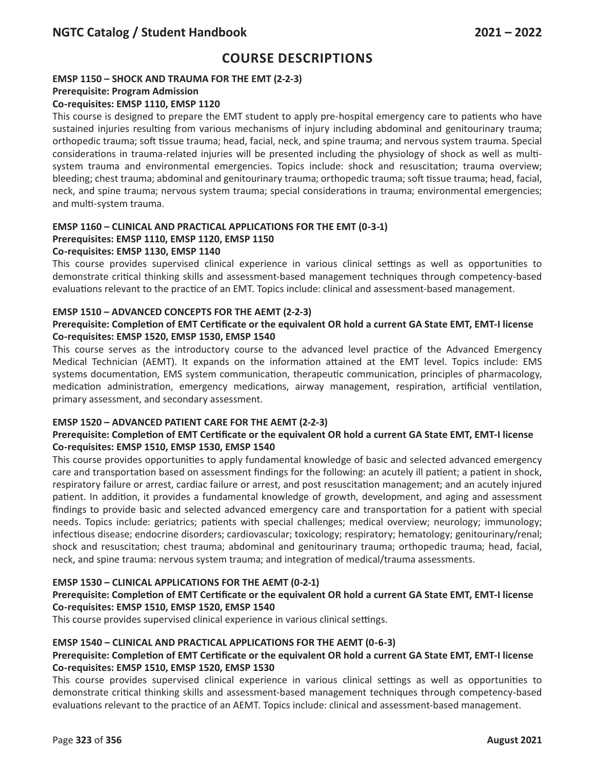## **EMSP 1150 – SHOCK AND TRAUMA FOR THE EMT (2-2-3)**

#### **Prerequisite: Program Admission**

### **Co-requisites: EMSP 1110, EMSP 1120**

This course is designed to prepare the EMT student to apply pre-hospital emergency care to patients who have sustained injuries resulting from various mechanisms of injury including abdominal and genitourinary trauma; orthopedic trauma; soft tissue trauma; head, facial, neck, and spine trauma; and nervous system trauma. Special considerations in trauma-related injuries will be presented including the physiology of shock as well as multisystem trauma and environmental emergencies. Topics include: shock and resuscitation; trauma overview; bleeding; chest trauma; abdominal and genitourinary trauma; orthopedic trauma; soft tissue trauma; head, facial, neck, and spine trauma; nervous system trauma; special considerations in trauma; environmental emergencies; and multi-system trauma.

## **EMSP 1160 – CLINICAL AND PRACTICAL APPLICATIONS FOR THE EMT (0-3-1) Prerequisites: EMSP 1110, EMSP 1120, EMSP 1150**

### **Co-requisites: EMSP 1130, EMSP 1140**

This course provides supervised clinical experience in various clinical settings as well as opportunities to demonstrate critical thinking skills and assessment-based management techniques through competency-based evaluations relevant to the practice of an EMT. Topics include: clinical and assessment-based management.

#### **EMSP 1510 – ADVANCED CONCEPTS FOR THE AEMT (2-2-3)**

### **Prerequisite: Completion of EMT Certificate or the equivalent OR hold a current GA State EMT, EMT-I license Co-requisites: EMSP 1520, EMSP 1530, EMSP 1540**

This course serves as the introductory course to the advanced level practice of the Advanced Emergency Medical Technician (AEMT). It expands on the information attained at the EMT level. Topics include: EMS systems documentation, EMS system communication, therapeutic communication, principles of pharmacology, medication administration, emergency medications, airway management, respiration, artificial ventilation, primary assessment, and secondary assessment.

### **EMSP 1520 – ADVANCED PATIENT CARE FOR THE AEMT (2-2-3)**

### **Prerequisite: Completion of EMT Certificate or the equivalent OR hold a current GA State EMT, EMT-I license Co-requisites: EMSP 1510, EMSP 1530, EMSP 1540**

This course provides opportunities to apply fundamental knowledge of basic and selected advanced emergency care and transportation based on assessment findings for the following: an acutely ill patient; a patient in shock, respiratory failure or arrest, cardiac failure or arrest, and post resuscitation management; and an acutely injured patient. In addition, it provides a fundamental knowledge of growth, development, and aging and assessment findings to provide basic and selected advanced emergency care and transportation for a patient with special needs. Topics include: geriatrics; patients with special challenges; medical overview; neurology; immunology; infectious disease; endocrine disorders; cardiovascular; toxicology; respiratory; hematology; genitourinary/renal; shock and resuscitation; chest trauma; abdominal and genitourinary trauma; orthopedic trauma; head, facial, neck, and spine trauma: nervous system trauma; and integration of medical/trauma assessments.

### **EMSP 1530 – CLINICAL APPLICATIONS FOR THE AEMT (0-2-1)**

### **Prerequisite: Completion of EMT Certificate or the equivalent OR hold a current GA State EMT, EMT-I license Co-requisites: EMSP 1510, EMSP 1520, EMSP 1540**

This course provides supervised clinical experience in various clinical settings.

### **EMSP 1540 – CLINICAL AND PRACTICAL APPLICATIONS FOR THE AEMT (0-6-3)**

### **Prerequisite: Completion of EMT Certificate or the equivalent OR hold a current GA State EMT, EMT-I license Co-requisites: EMSP 1510, EMSP 1520, EMSP 1530**

This course provides supervised clinical experience in various clinical settings as well as opportunities to demonstrate critical thinking skills and assessment-based management techniques through competency-based evaluations relevant to the practice of an AEMT. Topics include: clinical and assessment-based management.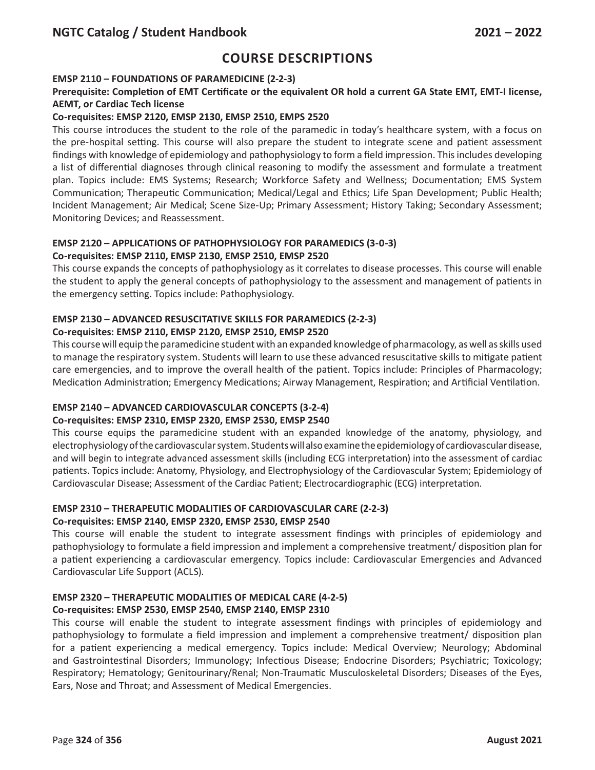# **Course Descriptions**

### **EMSP 2110 – FOUNDATIONS OF PARAMEDICINE (2-2-3)**

## **Prerequisite: Completion of EMT Certificate or the equivalent OR hold a current GA State EMT, EMT-I license, AEMT, or Cardiac Tech license**

## **Co-requisites: EMSP 2120, EMSP 2130, EMSP 2510, EMPS 2520**

This course introduces the student to the role of the paramedic in today's healthcare system, with a focus on the pre-hospital setting. This course will also prepare the student to integrate scene and patient assessment findings with knowledge of epidemiology and pathophysiology to form a field impression. This includes developing a list of differential diagnoses through clinical reasoning to modify the assessment and formulate a treatment plan. Topics include: EMS Systems; Research; Workforce Safety and Wellness; Documentation; EMS System Communication; Therapeutic Communication; Medical/Legal and Ethics; Life Span Development; Public Health; Incident Management; Air Medical; Scene Size-Up; Primary Assessment; History Taking; Secondary Assessment; Monitoring Devices; and Reassessment.

#### **EMSP 2120 – APPLICATIONS OF PATHOPHYSIOLOGY FOR PARAMEDICS (3-0-3) Co-requisites: EMSP 2110, EMSP 2130, EMSP 2510, EMSP 2520**

This course expands the concepts of pathophysiology as it correlates to disease processes. This course will enable the student to apply the general concepts of pathophysiology to the assessment and management of patients in the emergency setting. Topics include: Pathophysiology.

## **EMSP 2130 – ADVANCED RESUSCITATIVE SKILLS FOR PARAMEDICS (2-2-3)**

### **Co-requisites: EMSP 2110, EMSP 2120, EMSP 2510, EMSP 2520**

This course will equip the paramedicine student with an expanded knowledge of pharmacology, as well as skills used to manage the respiratory system. Students will learn to use these advanced resuscitative skills to mitigate patient care emergencies, and to improve the overall health of the patient. Topics include: Principles of Pharmacology; Medication Administration; Emergency Medications; Airway Management, Respiration; and Artificial Ventilation.

### **EMSP 2140 – ADVANCED CARDIOVASCULAR CONCEPTS (3-2-4)**

### **Co-requisites: EMSP 2310, EMSP 2320, EMSP 2530, EMSP 2540**

This course equips the paramedicine student with an expanded knowledge of the anatomy, physiology, and electrophysiology of the cardiovascular system. Students will also examine the epidemiology of cardiovascular disease, and will begin to integrate advanced assessment skills (including ECG interpretation) into the assessment of cardiac patients. Topics include: Anatomy, Physiology, and Electrophysiology of the Cardiovascular System; Epidemiology of Cardiovascular Disease; Assessment of the Cardiac Patient; Electrocardiographic (ECG) interpretation.

## **EMSP 2310 – THERAPEUTIC MODALITIES OF CARDIOVASCULAR CARE (2-2-3)**

### **Co-requisites: EMSP 2140, EMSP 2320, EMSP 2530, EMSP 2540**

This course will enable the student to integrate assessment findings with principles of epidemiology and pathophysiology to formulate a field impression and implement a comprehensive treatment/ disposition plan for a patient experiencing a cardiovascular emergency. Topics include: Cardiovascular Emergencies and Advanced Cardiovascular Life Support (ACLS).

### **EMSP 2320 – THERAPEUTIC MODALITIES OF MEDICAL CARE (4-2-5)**

### **Co-requisites: EMSP 2530, EMSP 2540, EMSP 2140, EMSP 2310**

This course will enable the student to integrate assessment findings with principles of epidemiology and pathophysiology to formulate a field impression and implement a comprehensive treatment/ disposition plan for a patient experiencing a medical emergency. Topics include: Medical Overview; Neurology; Abdominal and Gastrointestinal Disorders; Immunology; Infectious Disease; Endocrine Disorders; Psychiatric; Toxicology; Respiratory; Hematology; Genitourinary/Renal; Non-Traumatic Musculoskeletal Disorders; Diseases of the Eyes, Ears, Nose and Throat; and Assessment of Medical Emergencies.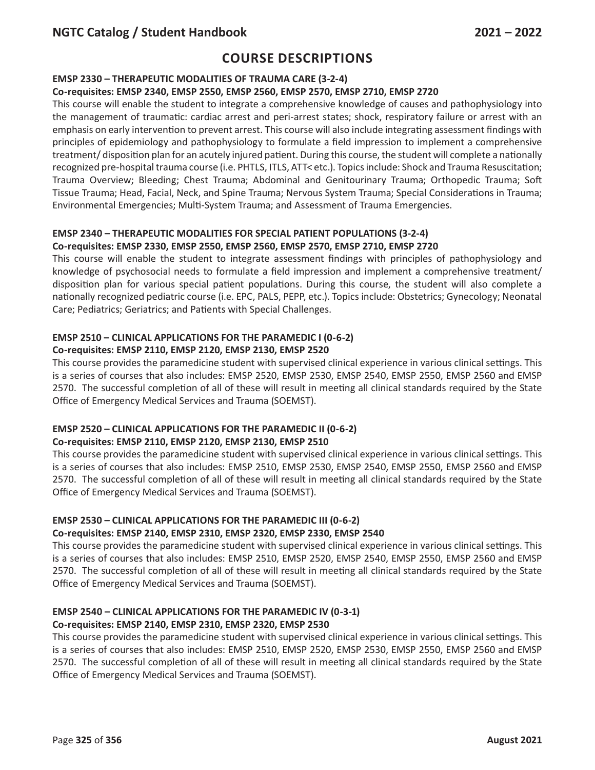## **EMSP 2330 – THERAPEUTIC MODALITIES OF TRAUMA CARE (3-2-4)**

## **Co-requisites: EMSP 2340, EMSP 2550, EMSP 2560, EMSP 2570, EMSP 2710, EMSP 2720**

This course will enable the student to integrate a comprehensive knowledge of causes and pathophysiology into the management of traumatic: cardiac arrest and peri-arrest states; shock, respiratory failure or arrest with an emphasis on early intervention to prevent arrest. This course will also include integrating assessment findings with principles of epidemiology and pathophysiology to formulate a field impression to implement a comprehensive treatment/ disposition plan for an acutely injured patient. During this course, the student will complete a nationally recognized pre-hospital trauma course (i.e. PHTLS, ITLS, ATT< etc.). Topics include: Shock and Trauma Resuscitation; Trauma Overview; Bleeding; Chest Trauma; Abdominal and Genitourinary Trauma; Orthopedic Trauma; Soft Tissue Trauma; Head, Facial, Neck, and Spine Trauma; Nervous System Trauma; Special Considerations in Trauma; Environmental Emergencies; Multi-System Trauma; and Assessment of Trauma Emergencies.

## **EMSP 2340 – THERAPEUTIC MODALITIES FOR SPECIAL PATIENT POPULATIONS (3-2-4) Co-requisites: EMSP 2330, EMSP 2550, EMSP 2560, EMSP 2570, EMSP 2710, EMSP 2720**

This course will enable the student to integrate assessment findings with principles of pathophysiology and knowledge of psychosocial needs to formulate a field impression and implement a comprehensive treatment/ disposition plan for various special patient populations. During this course, the student will also complete a nationally recognized pediatric course (i.e. EPC, PALS, PEPP, etc.). Topics include: Obstetrics; Gynecology; Neonatal Care; Pediatrics; Geriatrics; and Patients with Special Challenges.

#### **EMSP 2510 – CLINICAL APPLICATIONS FOR THE PARAMEDIC I (0-6-2) Co-requisites: EMSP 2110, EMSP 2120, EMSP 2130, EMSP 2520**

This course provides the paramedicine student with supervised clinical experience in various clinical settings. This is a series of courses that also includes: EMSP 2520, EMSP 2530, EMSP 2540, EMSP 2550, EMSP 2560 and EMSP 2570. The successful completion of all of these will result in meeting all clinical standards required by the State Office of Emergency Medical Services and Trauma (SOEMST).

#### **EMSP 2520 – CLINICAL APPLICATIONS FOR THE PARAMEDIC II (0-6-2) Co-requisites: EMSP 2110, EMSP 2120, EMSP 2130, EMSP 2510**

This course provides the paramedicine student with supervised clinical experience in various clinical settings. This is a series of courses that also includes: EMSP 2510, EMSP 2530, EMSP 2540, EMSP 2550, EMSP 2560 and EMSP 2570. The successful completion of all of these will result in meeting all clinical standards required by the State Office of Emergency Medical Services and Trauma (SOEMST).

## **EMSP 2530 – CLINICAL APPLICATIONS FOR THE PARAMEDIC III (0-6-2)**

### **Co-requisites: EMSP 2140, EMSP 2310, EMSP 2320, EMSP 2330, EMSP 2540**

This course provides the paramedicine student with supervised clinical experience in various clinical settings. This is a series of courses that also includes: EMSP 2510, EMSP 2520, EMSP 2540, EMSP 2550, EMSP 2560 and EMSP 2570. The successful completion of all of these will result in meeting all clinical standards required by the State Office of Emergency Medical Services and Trauma (SOEMST).

#### **EMSP 2540 – CLINICAL APPLICATIONS FOR THE PARAMEDIC IV (0-3-1) Co-requisites: EMSP 2140, EMSP 2310, EMSP 2320, EMSP 2530**

This course provides the paramedicine student with supervised clinical experience in various clinical settings. This is a series of courses that also includes: EMSP 2510, EMSP 2520, EMSP 2530, EMSP 2550, EMSP 2560 and EMSP 2570. The successful completion of all of these will result in meeting all clinical standards required by the State Office of Emergency Medical Services and Trauma (SOEMST).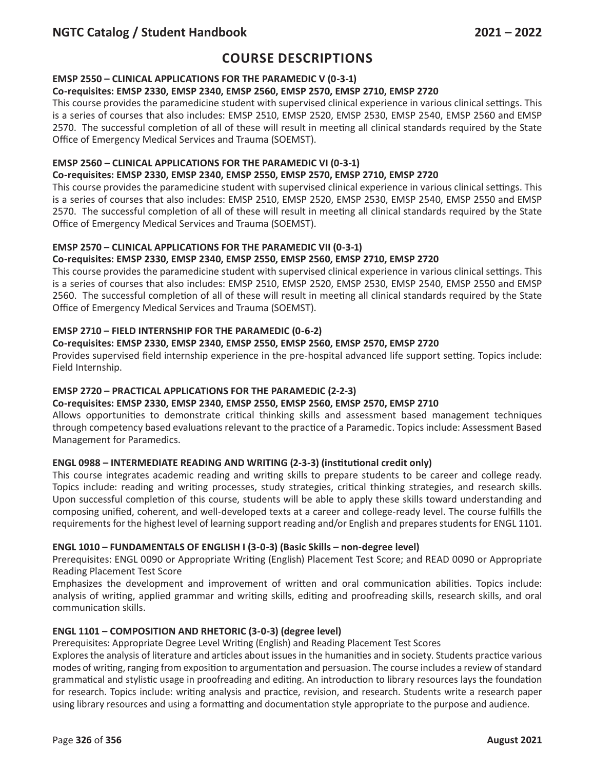## **EMSP 2550 – CLINICAL APPLICATIONS FOR THE PARAMEDIC V (0-3-1)**

### **Co-requisites: EMSP 2330, EMSP 2340, EMSP 2560, EMSP 2570, EMSP 2710, EMSP 2720**

This course provides the paramedicine student with supervised clinical experience in various clinical settings. This is a series of courses that also includes: EMSP 2510, EMSP 2520, EMSP 2530, EMSP 2540, EMSP 2560 and EMSP 2570. The successful completion of all of these will result in meeting all clinical standards required by the State Office of Emergency Medical Services and Trauma (SOEMST).

## **EMSP 2560 – CLINICAL APPLICATIONS FOR THE PARAMEDIC VI (0-3-1)**

## **Co-requisites: EMSP 2330, EMSP 2340, EMSP 2550, EMSP 2570, EMSP 2710, EMSP 2720**

This course provides the paramedicine student with supervised clinical experience in various clinical settings. This is a series of courses that also includes: EMSP 2510, EMSP 2520, EMSP 2530, EMSP 2540, EMSP 2550 and EMSP 2570. The successful completion of all of these will result in meeting all clinical standards required by the State Office of Emergency Medical Services and Trauma (SOEMST).

### **EMSP 2570 – CLINICAL APPLICATIONS FOR THE PARAMEDIC VII (0-3-1)**

### **Co-requisites: EMSP 2330, EMSP 2340, EMSP 2550, EMSP 2560, EMSP 2710, EMSP 2720**

This course provides the paramedicine student with supervised clinical experience in various clinical settings. This is a series of courses that also includes: EMSP 2510, EMSP 2520, EMSP 2530, EMSP 2540, EMSP 2550 and EMSP 2560. The successful completion of all of these will result in meeting all clinical standards required by the State Office of Emergency Medical Services and Trauma (SOEMST).

## **EMSP 2710 – FIELD INTERNSHIP FOR THE PARAMEDIC (0-6-2)**

## **Co-requisites: EMSP 2330, EMSP 2340, EMSP 2550, EMSP 2560, EMSP 2570, EMSP 2720**

Provides supervised field internship experience in the pre-hospital advanced life support setting. Topics include: Field Internship.

## **EMSP 2720 – PRACTICAL APPLICATIONS FOR THE PARAMEDIC (2-2-3)**

### **Co-requisites: EMSP 2330, EMSP 2340, EMSP 2550, EMSP 2560, EMSP 2570, EMSP 2710**

Allows opportunities to demonstrate critical thinking skills and assessment based management techniques through competency based evaluations relevant to the practice of a Paramedic. Topics include: Assessment Based Management for Paramedics.

### **ENGL 0988 – INTERMEDIATE READING AND WRITING (2-3-3) (institutional credit only)**

This course integrates academic reading and writing skills to prepare students to be career and college ready. Topics include: reading and writing processes, study strategies, critical thinking strategies, and research skills. Upon successful completion of this course, students will be able to apply these skills toward understanding and composing unified, coherent, and well-developed texts at a career and college-ready level. The course fulfills the requirements for the highest level of learning support reading and/or English and prepares students for ENGL 1101.

### **ENGL 1010 – FUNDAMENTALS OF ENGLISH I (3-0-3) (Basic Skills – non-degree level)**

Prerequisites: ENGL 0090 or Appropriate Writing (English) Placement Test Score; and READ 0090 or Appropriate Reading Placement Test Score

Emphasizes the development and improvement of written and oral communication abilities. Topics include: analysis of writing, applied grammar and writing skills, editing and proofreading skills, research skills, and oral communication skills.

### **ENGL 1101 – COMPOSITION AND RHETORIC (3-0-3) (degree level)**

Prerequisites: Appropriate Degree Level Writing (English) and Reading Placement Test Scores

Explores the analysis of literature and articles about issues in the humanities and in society. Students practice various modes of writing, ranging from exposition to argumentation and persuasion. The course includes a review of standard grammatical and stylistic usage in proofreading and editing. An introduction to library resources lays the foundation for research. Topics include: writing analysis and practice, revision, and research. Students write a research paper using library resources and using a formatting and documentation style appropriate to the purpose and audience.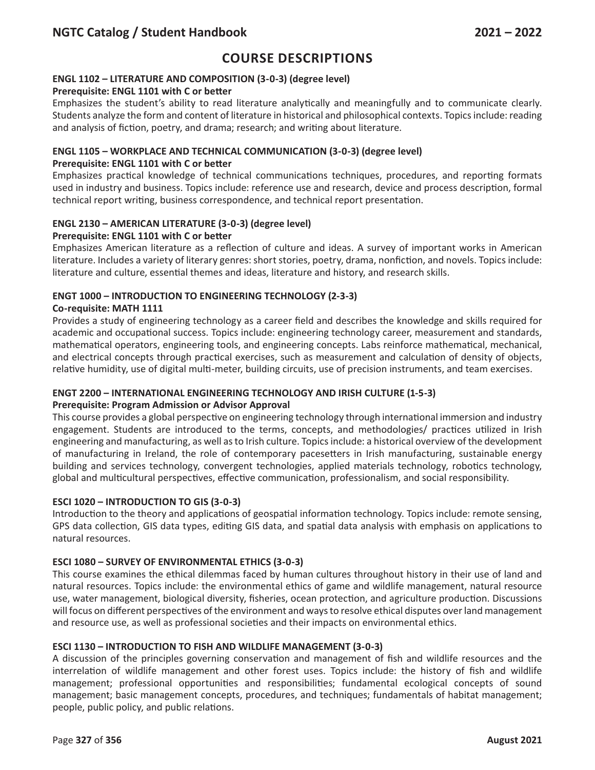## **ENGL 1102 – LITERATURE AND COMPOSITION (3-0-3) (degree level)**

### **Prerequisite: ENGL 1101 with C or better**

Emphasizes the student's ability to read literature analytically and meaningfully and to communicate clearly. Students analyze the form and content of literature in historical and philosophical contexts. Topics include: reading and analysis of fiction, poetry, and drama; research; and writing about literature.

## **ENGL 1105 – WORKPLACE AND TECHNICAL COMMUNICATION (3-0-3) (degree level)**

#### **Prerequisite: ENGL 1101 with C or better**

Emphasizes practical knowledge of technical communications techniques, procedures, and reporting formats used in industry and business. Topics include: reference use and research, device and process description, formal technical report writing, business correspondence, and technical report presentation.

### **ENGL 2130 – AMERICAN LITERATURE (3-0-3) (degree level)**

#### **Prerequisite: ENGL 1101 with C or better**

Emphasizes American literature as a reflection of culture and ideas. A survey of important works in American literature. Includes a variety of literary genres: short stories, poetry, drama, nonfiction, and novels. Topics include: literature and culture, essential themes and ideas, literature and history, and research skills.

### **ENGT 1000 – INTRODUCTION TO ENGINEERING TECHNOLOGY (2-3-3)**

#### **Co-requisite: MATH 1111**

Provides a study of engineering technology as a career field and describes the knowledge and skills required for academic and occupational success. Topics include: engineering technology career, measurement and standards, mathematical operators, engineering tools, and engineering concepts. Labs reinforce mathematical, mechanical, and electrical concepts through practical exercises, such as measurement and calculation of density of objects, relative humidity, use of digital multi-meter, building circuits, use of precision instruments, and team exercises.

## **ENGT 2200 – INTERNATIONAL ENGINEERING TECHNOLOGY AND IRISH CULTURE (1-5-3)**

### **Prerequisite: Program Admission or Advisor Approval**

This course provides a global perspective on engineering technology through international immersion and industry engagement. Students are introduced to the terms, concepts, and methodologies/ practices utilized in Irish engineering and manufacturing, as well as to Irish culture. Topics include: a historical overview of the development of manufacturing in Ireland, the role of contemporary pacesetters in Irish manufacturing, sustainable energy building and services technology, convergent technologies, applied materials technology, robotics technology, global and multicultural perspectives, effective communication, professionalism, and social responsibility.

### **ESCI 1020 – INTRODUCTION TO GIS (3-0-3)**

Introduction to the theory and applications of geospatial information technology. Topics include: remote sensing, GPS data collection, GIS data types, editing GIS data, and spatial data analysis with emphasis on applications to natural resources.

### **ESCI 1080 – SURVEY OF ENVIRONMENTAL ETHICS (3-0-3)**

This course examines the ethical dilemmas faced by human cultures throughout history in their use of land and natural resources. Topics include: the environmental ethics of game and wildlife management, natural resource use, water management, biological diversity, fisheries, ocean protection, and agriculture production. Discussions will focus on different perspectives of the environment and ways to resolve ethical disputes over land management and resource use, as well as professional societies and their impacts on environmental ethics.

### **ESCI 1130 – INTRODUCTION TO FISH AND WILDLIFE MANAGEMENT (3-0-3)**

A discussion of the principles governing conservation and management of fish and wildlife resources and the interrelation of wildlife management and other forest uses. Topics include: the history of fish and wildlife management; professional opportunities and responsibilities; fundamental ecological concepts of sound management; basic management concepts, procedures, and techniques; fundamentals of habitat management; people, public policy, and public relations.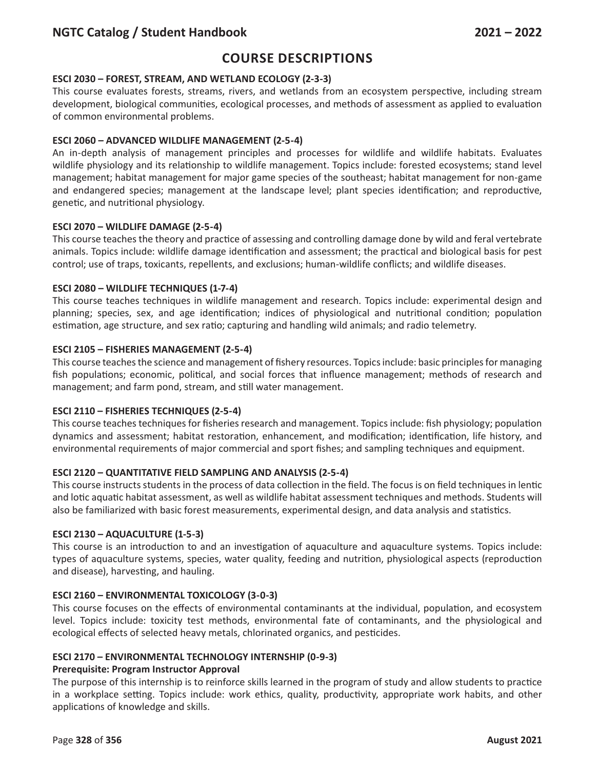# **Course Descriptions**

#### **ESCI 2030 – FOREST, STREAM, AND WETLAND ECOLOGY (2-3-3)**

This course evaluates forests, streams, rivers, and wetlands from an ecosystem perspective, including stream development, biological communities, ecological processes, and methods of assessment as applied to evaluation of common environmental problems.

#### **ESCI 2060 – ADVANCED WILDLIFE MANAGEMENT (2-5-4)**

An in-depth analysis of management principles and processes for wildlife and wildlife habitats. Evaluates wildlife physiology and its relationship to wildlife management. Topics include: forested ecosystems; stand level management; habitat management for major game species of the southeast; habitat management for non-game and endangered species; management at the landscape level; plant species identification; and reproductive, genetic, and nutritional physiology.

#### **ESCI 2070 – WILDLIFE DAMAGE (2-5-4)**

This course teaches the theory and practice of assessing and controlling damage done by wild and feral vertebrate animals. Topics include: wildlife damage identification and assessment; the practical and biological basis for pest control; use of traps, toxicants, repellents, and exclusions; human-wildlife conflicts; and wildlife diseases.

#### **ESCI 2080 – WILDLIFE TECHNIQUES (1-7-4)**

This course teaches techniques in wildlife management and research. Topics include: experimental design and planning; species, sex, and age identification; indices of physiological and nutritional condition; population estimation, age structure, and sex ratio; capturing and handling wild animals; and radio telemetry.

#### **ESCI 2105 – FISHERIES MANAGEMENT (2-5-4)**

This course teaches the science and management of fishery resources. Topics include: basic principles for managing fish populations; economic, political, and social forces that influence management; methods of research and management; and farm pond, stream, and still water management.

#### **ESCI 2110 – FISHERIES TECHNIQUES (2-5-4)**

This course teaches techniques for fisheries research and management. Topics include: fish physiology; population dynamics and assessment; habitat restoration, enhancement, and modification; identification, life history, and environmental requirements of major commercial and sport fishes; and sampling techniques and equipment.

#### **ESCI 2120 – QUANTITATIVE FIELD SAMPLING AND ANALYSIS (2-5-4)**

This course instructs students in the process of data collection in the field. The focus is on field techniques in lentic and lotic aquatic habitat assessment, as well as wildlife habitat assessment techniques and methods. Students will also be familiarized with basic forest measurements, experimental design, and data analysis and statistics.

#### **ESCI 2130 – AQUACULTURE (1-5-3)**

This course is an introduction to and an investigation of aquaculture and aquaculture systems. Topics include: types of aquaculture systems, species, water quality, feeding and nutrition, physiological aspects (reproduction and disease), harvesting, and hauling.

#### **ESCI 2160 – ENVIRONMENTAL TOXICOLOGY (3-0-3)**

This course focuses on the effects of environmental contaminants at the individual, population, and ecosystem level. Topics include: toxicity test methods, environmental fate of contaminants, and the physiological and ecological effects of selected heavy metals, chlorinated organics, and pesticides.

#### **ESCI 2170 – ENVIRONMENTAL TECHNOLOGY INTERNSHIP (0-9-3)**

#### **Prerequisite: Program Instructor Approval**

The purpose of this internship is to reinforce skills learned in the program of study and allow students to practice in a workplace setting. Topics include: work ethics, quality, productivity, appropriate work habits, and other applications of knowledge and skills.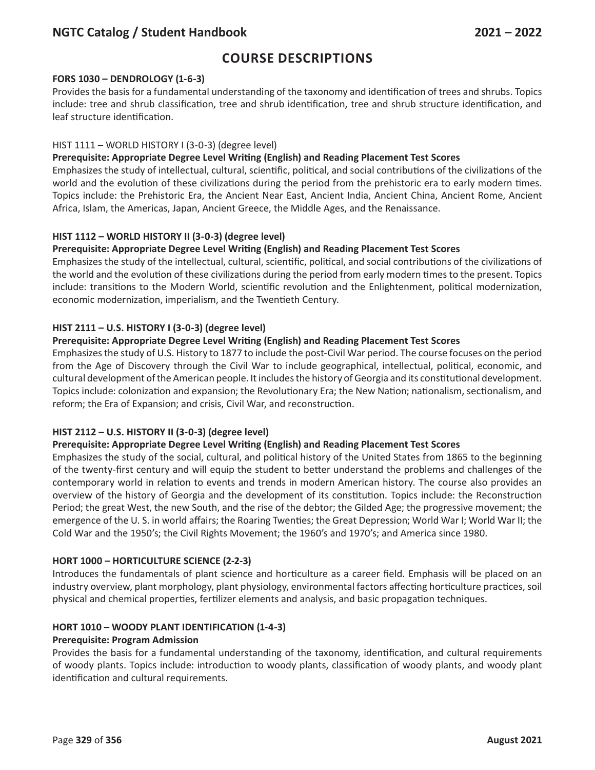# **Course Descriptions**

### **FORS 1030 – DENDROLOGY (1-6-3)**

Provides the basis for a fundamental understanding of the taxonomy and identification of trees and shrubs. Topics include: tree and shrub classification, tree and shrub identification, tree and shrub structure identification, and leaf structure identification.

## HIST 1111 – WORLD HISTORY I (3-0-3) (degree level)

## **Prerequisite: Appropriate Degree Level Writing (English) and Reading Placement Test Scores**

Emphasizes the study of intellectual, cultural, scientific, political, and social contributions of the civilizations of the world and the evolution of these civilizations during the period from the prehistoric era to early modern times. Topics include: the Prehistoric Era, the Ancient Near East, Ancient India, Ancient China, Ancient Rome, Ancient Africa, Islam, the Americas, Japan, Ancient Greece, the Middle Ages, and the Renaissance.

## **HIST 1112 – WORLD HISTORY II (3-0-3) (degree level)**

## **Prerequisite: Appropriate Degree Level Writing (English) and Reading Placement Test Scores**

Emphasizes the study of the intellectual, cultural, scientific, political, and social contributions of the civilizations of the world and the evolution of these civilizations during the period from early modern times to the present. Topics include: transitions to the Modern World, scientific revolution and the Enlightenment, political modernization, economic modernization, imperialism, and the Twentieth Century.

### **HIST 2111 – U.S. HISTORY I (3-0-3) (degree level)**

## **Prerequisite: Appropriate Degree Level Writing (English) and Reading Placement Test Scores**

Emphasizes the study of U.S. History to 1877 to include the post-Civil War period. The course focuses on the period from the Age of Discovery through the Civil War to include geographical, intellectual, political, economic, and cultural development of the American people. It includes the history of Georgia and its constitutional development. Topics include: colonization and expansion; the Revolutionary Era; the New Nation; nationalism, sectionalism, and reform; the Era of Expansion; and crisis, Civil War, and reconstruction.

### **HIST 2112 – U.S. HISTORY II (3-0-3) (degree level)**

## **Prerequisite: Appropriate Degree Level Writing (English) and Reading Placement Test Scores**

Emphasizes the study of the social, cultural, and political history of the United States from 1865 to the beginning of the twenty-first century and will equip the student to better understand the problems and challenges of the contemporary world in relation to events and trends in modern American history. The course also provides an overview of the history of Georgia and the development of its constitution. Topics include: the Reconstruction Period; the great West, the new South, and the rise of the debtor; the Gilded Age; the progressive movement; the emergence of the U. S. in world affairs; the Roaring Twenties; the Great Depression; World War I; World War II; the Cold War and the 1950's; the Civil Rights Movement; the 1960's and 1970's; and America since 1980.

### **HORT 1000 – HORTICULTURE SCIENCE (2-2-3)**

Introduces the fundamentals of plant science and horticulture as a career field. Emphasis will be placed on an industry overview, plant morphology, plant physiology, environmental factors affecting horticulture practices, soil physical and chemical properties, fertilizer elements and analysis, and basic propagation techniques.

### **HORT 1010 – WOODY PLANT IDENTIFICATION (1-4-3)**

### **Prerequisite: Program Admission**

Provides the basis for a fundamental understanding of the taxonomy, identification, and cultural requirements of woody plants. Topics include: introduction to woody plants, classification of woody plants, and woody plant identification and cultural requirements.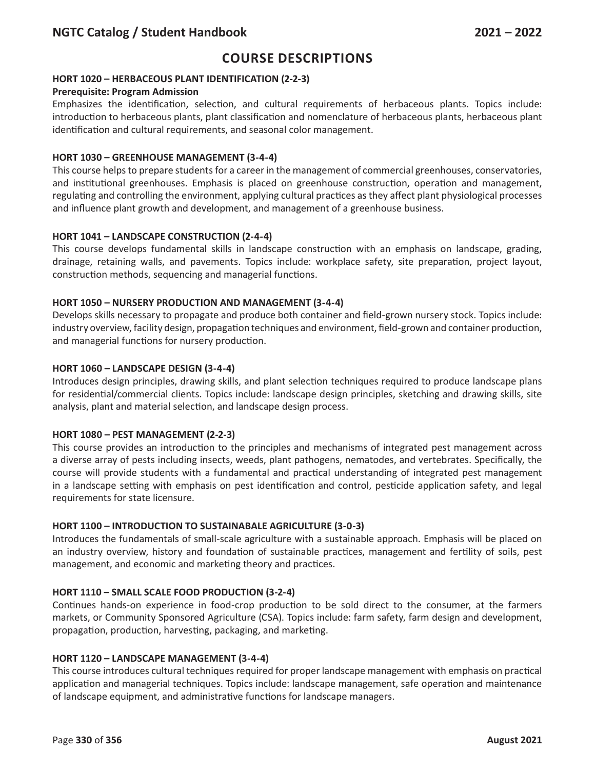## **HORT 1020 – HERBACEOUS PLANT IDENTIFICATION (2-2-3)**

## **Prerequisite: Program Admission**

Emphasizes the identification, selection, and cultural requirements of herbaceous plants. Topics include: introduction to herbaceous plants, plant classification and nomenclature of herbaceous plants, herbaceous plant identification and cultural requirements, and seasonal color management.

## **HORT 1030 – GREENHOUSE MANAGEMENT (3-4-4)**

This course helps to prepare students for a career in the management of commercial greenhouses, conservatories, and institutional greenhouses. Emphasis is placed on greenhouse construction, operation and management, regulating and controlling the environment, applying cultural practices as they affect plant physiological processes and influence plant growth and development, and management of a greenhouse business.

## **HORT 1041 – LANDSCAPE CONSTRUCTION (2-4-4)**

This course develops fundamental skills in landscape construction with an emphasis on landscape, grading, drainage, retaining walls, and pavements. Topics include: workplace safety, site preparation, project layout, construction methods, sequencing and managerial functions.

## **HORT 1050 – NURSERY PRODUCTION AND MANAGEMENT (3-4-4)**

Develops skills necessary to propagate and produce both container and field-grown nursery stock. Topics include: industry overview, facility design, propagation techniques and environment, field-grown and container production, and managerial functions for nursery production.

## **HORT 1060 – LANDSCAPE DESIGN (3-4-4)**

Introduces design principles, drawing skills, and plant selection techniques required to produce landscape plans for residential/commercial clients. Topics include: landscape design principles, sketching and drawing skills, site analysis, plant and material selection, and landscape design process.

### **HORT 1080 – PEST MANAGEMENT (2-2-3)**

This course provides an introduction to the principles and mechanisms of integrated pest management across a diverse array of pests including insects, weeds, plant pathogens, nematodes, and vertebrates. Specifically, the course will provide students with a fundamental and practical understanding of integrated pest management in a landscape setting with emphasis on pest identification and control, pesticide application safety, and legal requirements for state licensure.

## **HORT 1100 – INTRODUCTION TO SUSTAINABALE AGRICULTURE (3-0-3)**

Introduces the fundamentals of small-scale agriculture with a sustainable approach. Emphasis will be placed on an industry overview, history and foundation of sustainable practices, management and fertility of soils, pest management, and economic and marketing theory and practices.

## **HORT 1110 – SMALL SCALE FOOD PRODUCTION (3-2-4)**

Continues hands-on experience in food-crop production to be sold direct to the consumer, at the farmers markets, or Community Sponsored Agriculture (CSA). Topics include: farm safety, farm design and development, propagation, production, harvesting, packaging, and marketing.

### **HORT 1120 – LANDSCAPE MANAGEMENT (3-4-4)**

This course introduces cultural techniques required for proper landscape management with emphasis on practical application and managerial techniques. Topics include: landscape management, safe operation and maintenance of landscape equipment, and administrative functions for landscape managers.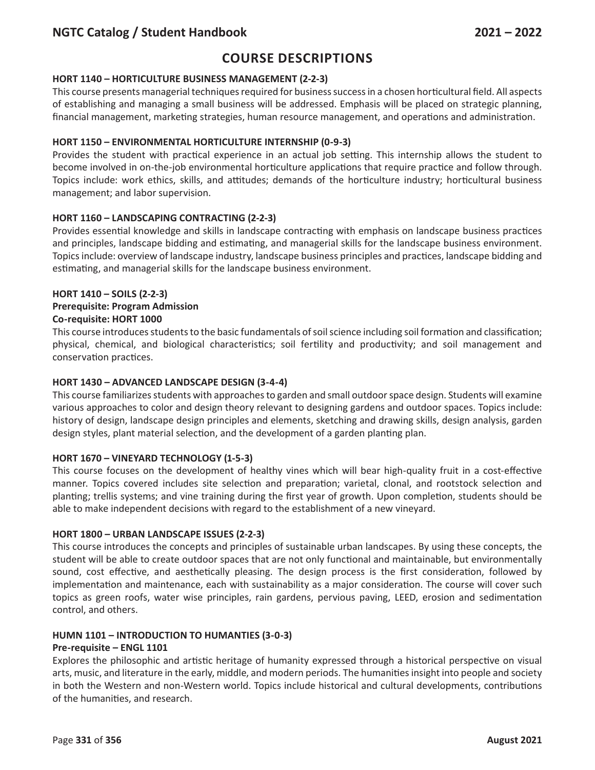# **Course Descriptions**

### **HORT 1140 – HORTICULTURE BUSINESS MANAGEMENT (2-2-3)**

This course presents managerial techniques required for business success in a chosen horticultural field. All aspects of establishing and managing a small business will be addressed. Emphasis will be placed on strategic planning, financial management, marketing strategies, human resource management, and operations and administration.

## **HORT 1150 – ENVIRONMENTAL HORTICULTURE INTERNSHIP (0-9-3)**

Provides the student with practical experience in an actual job setting. This internship allows the student to become involved in on-the-job environmental horticulture applications that require practice and follow through. Topics include: work ethics, skills, and attitudes; demands of the horticulture industry; horticultural business management; and labor supervision.

## **HORT 1160 – LANDSCAPING CONTRACTING (2-2-3)**

Provides essential knowledge and skills in landscape contracting with emphasis on landscape business practices and principles, landscape bidding and estimating, and managerial skills for the landscape business environment. Topics include: overview of landscape industry, landscape business principles and practices, landscape bidding and estimating, and managerial skills for the landscape business environment.

## **HORT 1410 – SOILS (2-2-3) Prerequisite: Program Admission Co-requisite: HORT 1000**

This course introduces students to the basic fundamentals of soil science including soil formation and classification; physical, chemical, and biological characteristics; soil fertility and productivity; and soil management and conservation practices.

### **HORT 1430 – ADVANCED LANDSCAPE DESIGN (3-4-4)**

This course familiarizes students with approaches to garden and small outdoor space design. Students will examine various approaches to color and design theory relevant to designing gardens and outdoor spaces. Topics include: history of design, landscape design principles and elements, sketching and drawing skills, design analysis, garden design styles, plant material selection, and the development of a garden planting plan.

### **HORT 1670 – VINEYARD TECHNOLOGY (1-5-3)**

This course focuses on the development of healthy vines which will bear high-quality fruit in a cost-effective manner. Topics covered includes site selection and preparation; varietal, clonal, and rootstock selection and planting; trellis systems; and vine training during the first year of growth. Upon completion, students should be able to make independent decisions with regard to the establishment of a new vineyard.

### **HORT 1800 – URBAN LANDSCAPE ISSUES (2-2-3)**

This course introduces the concepts and principles of sustainable urban landscapes. By using these concepts, the student will be able to create outdoor spaces that are not only functional and maintainable, but environmentally sound, cost effective, and aesthetically pleasing. The design process is the first consideration, followed by implementation and maintenance, each with sustainability as a major consideration. The course will cover such topics as green roofs, water wise principles, rain gardens, pervious paving, LEED, erosion and sedimentation control, and others.

### **HUMN 1101 – INTRODUCTION TO HUMANTIES (3-0-3)**

### **Pre-requisite – ENGL 1101**

Explores the philosophic and artistic heritage of humanity expressed through a historical perspective on visual arts, music, and literature in the early, middle, and modern periods. The humanities insight into people and society in both the Western and non-Western world. Topics include historical and cultural developments, contributions of the humanities, and research.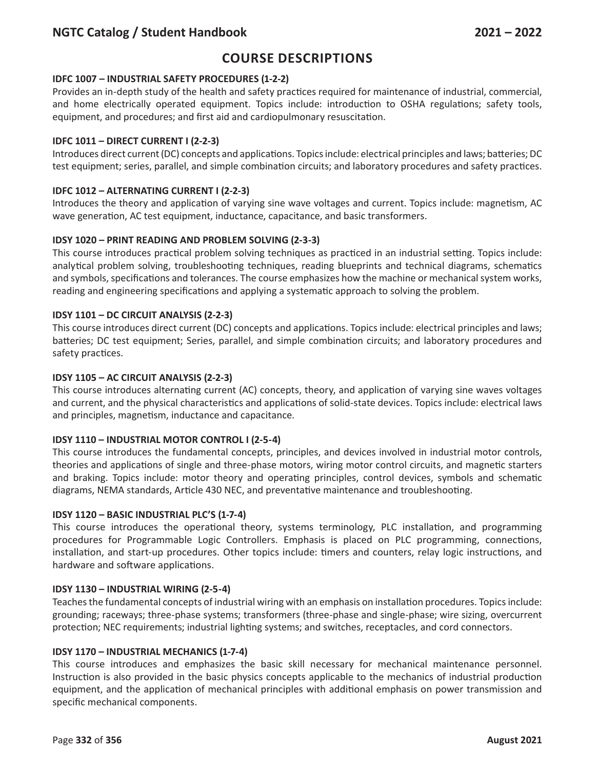# **Course Descriptions**

## **IDFC 1007 – INDUSTRIAL SAFETY PROCEDURES (1-2-2)**

Provides an in-depth study of the health and safety practices required for maintenance of industrial, commercial, and home electrically operated equipment. Topics include: introduction to OSHA regulations; safety tools, equipment, and procedures; and first aid and cardiopulmonary resuscitation.

## **IDFC 1011 – DIRECT CURRENT I (2-2-3)**

Introduces direct current (DC) concepts and applications. Topics include: electrical principles and laws; batteries; DC test equipment; series, parallel, and simple combination circuits; and laboratory procedures and safety practices.

## **IDFC 1012 – ALTERNATING CURRENT I (2-2-3)**

Introduces the theory and application of varying sine wave voltages and current. Topics include: magnetism, AC wave generation, AC test equipment, inductance, capacitance, and basic transformers.

## **IDSY 1020 – PRINT READING AND PROBLEM SOLVING (2-3-3)**

This course introduces practical problem solving techniques as practiced in an industrial setting. Topics include: analytical problem solving, troubleshooting techniques, reading blueprints and technical diagrams, schematics and symbols, specifications and tolerances. The course emphasizes how the machine or mechanical system works, reading and engineering specifications and applying a systematic approach to solving the problem.

## **IDSY 1101 – DC CIRCUIT ANALYSIS (2-2-3)**

This course introduces direct current (DC) concepts and applications. Topics include: electrical principles and laws; batteries; DC test equipment; Series, parallel, and simple combination circuits; and laboratory procedures and safety practices.

### **IDSY 1105 – AC CIRCUIT ANALYSIS (2-2-3)**

This course introduces alternating current (AC) concepts, theory, and application of varying sine waves voltages and current, and the physical characteristics and applications of solid-state devices. Topics include: electrical laws and principles, magnetism, inductance and capacitance.

### **IDSY 1110 – INDUSTRIAL MOTOR CONTROL I (2-5-4)**

This course introduces the fundamental concepts, principles, and devices involved in industrial motor controls, theories and applications of single and three-phase motors, wiring motor control circuits, and magnetic starters and braking. Topics include: motor theory and operating principles, control devices, symbols and schematic diagrams, NEMA standards, Article 430 NEC, and preventative maintenance and troubleshooting.

### **IDSY 1120 – BASIC INDUSTRIAL PLC'S (1-7-4)**

This course introduces the operational theory, systems terminology, PLC installation, and programming procedures for Programmable Logic Controllers. Emphasis is placed on PLC programming, connections, installation, and start-up procedures. Other topics include: timers and counters, relay logic instructions, and hardware and software applications.

### **IDSY 1130 – INDUSTRIAL WIRING (2-5-4)**

Teaches the fundamental concepts of industrial wiring with an emphasis on installation procedures. Topics include: grounding; raceways; three-phase systems; transformers (three-phase and single-phase; wire sizing, overcurrent protection; NEC requirements; industrial lighting systems; and switches, receptacles, and cord connectors.

### **IDSY 1170 – INDUSTRIAL MECHANICS (1-7-4)**

This course introduces and emphasizes the basic skill necessary for mechanical maintenance personnel. Instruction is also provided in the basic physics concepts applicable to the mechanics of industrial production equipment, and the application of mechanical principles with additional emphasis on power transmission and specific mechanical components.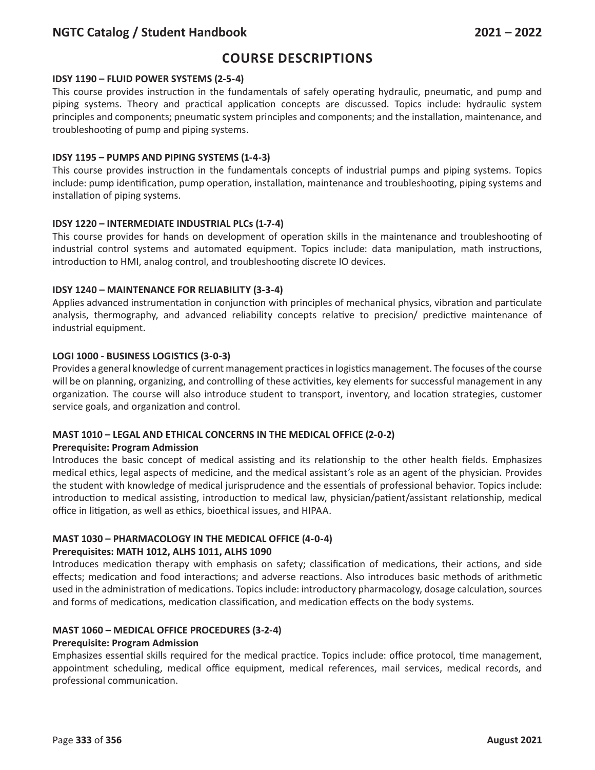# **Course Descriptions**

#### **IDSY 1190 – FLUID POWER SYSTEMS (2-5-4)**

This course provides instruction in the fundamentals of safely operating hydraulic, pneumatic, and pump and piping systems. Theory and practical application concepts are discussed. Topics include: hydraulic system principles and components; pneumatic system principles and components; and the installation, maintenance, and troubleshooting of pump and piping systems.

#### **IDSY 1195 – PUMPS AND PIPING SYSTEMS (1-4-3)**

This course provides instruction in the fundamentals concepts of industrial pumps and piping systems. Topics include: pump identification, pump operation, installation, maintenance and troubleshooting, piping systems and installation of piping systems.

#### **IDSY 1220 – INTERMEDIATE INDUSTRIAL PLCs (1-7-4)**

This course provides for hands on development of operation skills in the maintenance and troubleshooting of industrial control systems and automated equipment. Topics include: data manipulation, math instructions, introduction to HMI, analog control, and troubleshooting discrete IO devices.

#### **IDSY 1240 – MAINTENANCE FOR RELIABILITY (3-3-4)**

Applies advanced instrumentation in conjunction with principles of mechanical physics, vibration and particulate analysis, thermography, and advanced reliability concepts relative to precision/ predictive maintenance of industrial equipment.

#### **LOGI 1000 - BUSINESS LOGISTICS (3-0-3)**

Provides a general knowledge of current management practices in logistics management. The focuses of the course will be on planning, organizing, and controlling of these activities, key elements for successful management in any organization. The course will also introduce student to transport, inventory, and location strategies, customer service goals, and organization and control.

#### **MAST 1010 – LEGAL AND ETHICAL CONCERNS IN THE MEDICAL OFFICE (2-0-2)**

#### **Prerequisite: Program Admission**

Introduces the basic concept of medical assisting and its relationship to the other health fields. Emphasizes medical ethics, legal aspects of medicine, and the medical assistant's role as an agent of the physician. Provides the student with knowledge of medical jurisprudence and the essentials of professional behavior. Topics include: introduction to medical assisting, introduction to medical law, physician/patient/assistant relationship, medical office in litigation, as well as ethics, bioethical issues, and HIPAA.

# **MAST 1030 – PHARMACOLOGY IN THE MEDICAL OFFICE (4-0-4)**

#### **Prerequisites: MATH 1012, ALHS 1011, ALHS 1090**

Introduces medication therapy with emphasis on safety; classification of medications, their actions, and side effects; medication and food interactions; and adverse reactions. Also introduces basic methods of arithmetic used in the administration of medications. Topics include: introductory pharmacology, dosage calculation, sources and forms of medications, medication classification, and medication effects on the body systems.

### **MAST 1060 – MEDICAL OFFICE PROCEDURES (3-2-4)**

#### **Prerequisite: Program Admission**

Emphasizes essential skills required for the medical practice. Topics include: office protocol, time management, appointment scheduling, medical office equipment, medical references, mail services, medical records, and professional communication.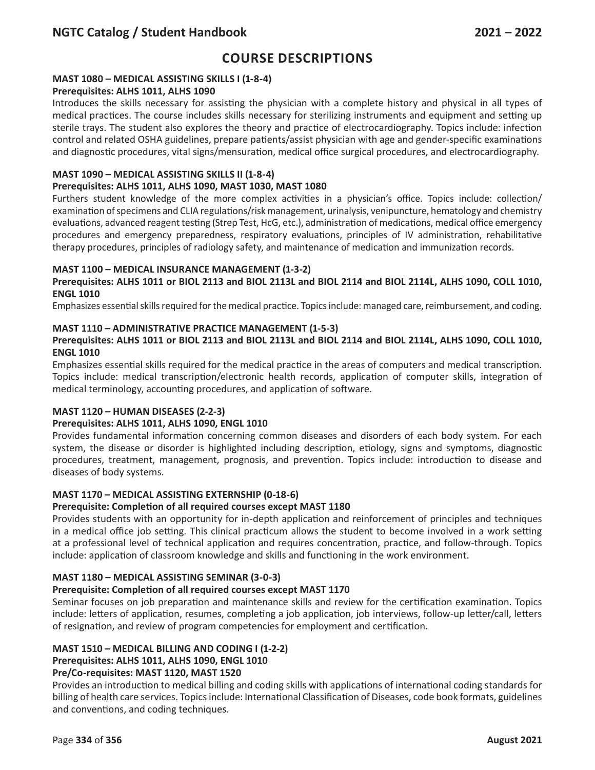## **MAST 1080 – MEDICAL ASSISTING SKILLS I (1-8-4)**

## **Prerequisites: ALHS 1011, ALHS 1090**

Introduces the skills necessary for assisting the physician with a complete history and physical in all types of medical practices. The course includes skills necessary for sterilizing instruments and equipment and setting up sterile trays. The student also explores the theory and practice of electrocardiography. Topics include: infection control and related OSHA guidelines, prepare patients/assist physician with age and gender-specific examinations and diagnostic procedures, vital signs/mensuration, medical office surgical procedures, and electrocardiography.

#### **MAST 1090 – MEDICAL ASSISTING SKILLS II (1-8-4) Prerequisites: ALHS 1011, ALHS 1090, MAST 1030, MAST 1080**

Furthers student knowledge of the more complex activities in a physician's office. Topics include: collection/ examination of specimens and CLIA regulations/risk management, urinalysis, venipuncture, hematology and chemistry evaluations, advanced reagent testing (Strep Test, HcG, etc.), administration of medications, medical office emergency procedures and emergency preparedness, respiratory evaluations, principles of IV administration, rehabilitative therapy procedures, principles of radiology safety, and maintenance of medication and immunization records.

## **MAST 1100 – MEDICAL INSURANCE MANAGEMENT (1-3-2)**

### **Prerequisites: ALHS 1011 or BIOL 2113 and BIOL 2113L and BIOL 2114 and BIOL 2114L, ALHS 1090, COLL 1010, ENGL 1010**

Emphasizes essential skills required for the medical practice. Topics include: managed care, reimbursement, and coding.

## **MAST 1110 – ADMINISTRATIVE PRACTICE MANAGEMENT (1-5-3)**

## **Prerequisites: ALHS 1011 or BIOL 2113 and BIOL 2113L and BIOL 2114 and BIOL 2114L, ALHS 1090, COLL 1010, ENGL 1010**

Emphasizes essential skills required for the medical practice in the areas of computers and medical transcription. Topics include: medical transcription/electronic health records, application of computer skills, integration of medical terminology, accounting procedures, and application of software.

### **MAST 1120 – HUMAN DISEASES (2-2-3)**

### **Prerequisites: ALHS 1011, ALHS 1090, ENGL 1010**

Provides fundamental information concerning common diseases and disorders of each body system. For each system, the disease or disorder is highlighted including description, etiology, signs and symptoms, diagnostic procedures, treatment, management, prognosis, and prevention. Topics include: introduction to disease and diseases of body systems.

### **MAST 1170 – MEDICAL ASSISTING EXTERNSHIP (0-18-6)**

### **Prerequisite: Completion of all required courses except MAST 1180**

Provides students with an opportunity for in-depth application and reinforcement of principles and techniques in a medical office job setting. This clinical practicum allows the student to become involved in a work setting at a professional level of technical application and requires concentration, practice, and follow-through. Topics include: application of classroom knowledge and skills and functioning in the work environment.

### **MAST 1180 – MEDICAL ASSISTING SEMINAR (3-0-3)**

### **Prerequisite: Completion of all required courses except MAST 1170**

Seminar focuses on job preparation and maintenance skills and review for the certification examination. Topics include: letters of application, resumes, completing a job application, job interviews, follow-up letter/call, letters of resignation, and review of program competencies for employment and certification.

## **MAST 1510 – MEDICAL BILLING AND CODING I (1-2-2)**

## **Prerequisites: ALHS 1011, ALHS 1090, ENGL 1010**

### **Pre/Co-requisites: MAST 1120, MAST 1520**

Provides an introduction to medical billing and coding skills with applications of international coding standards for billing of health care services. Topics include: International Classification of Diseases, code book formats, guidelines and conventions, and coding techniques.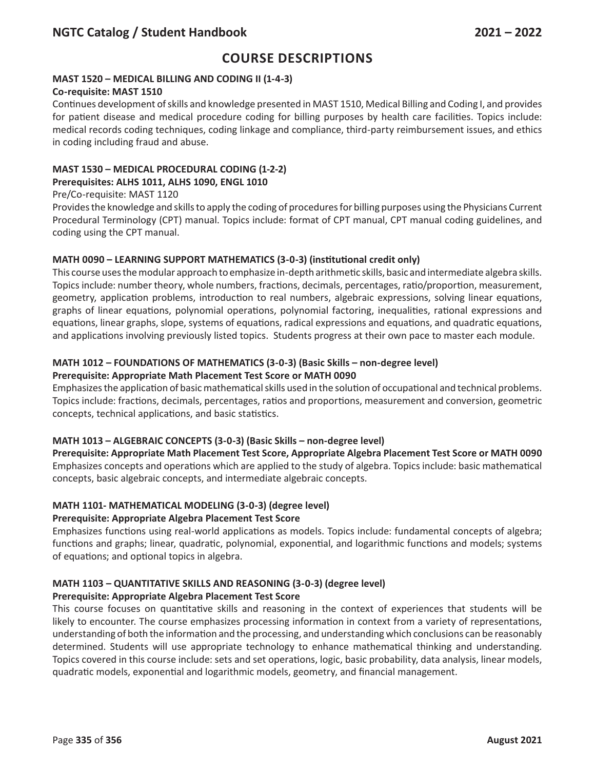## **MAST 1520 – MEDICAL BILLING AND CODING II (1-4-3)**

### **Co-requisite: MAST 1510**

Continues development of skills and knowledge presented in MAST 1510, Medical Billing and Coding I, and provides for patient disease and medical procedure coding for billing purposes by health care facilities. Topics include: medical records coding techniques, coding linkage and compliance, third-party reimbursement issues, and ethics in coding including fraud and abuse.

# **MAST 1530 – MEDICAL PROCEDURAL CODING (1-2-2)**

## **Prerequisites: ALHS 1011, ALHS 1090, ENGL 1010**

### Pre/Co-requisite: MAST 1120

Provides the knowledge and skills to apply the coding of procedures for billing purposes using the Physicians Current Procedural Terminology (CPT) manual. Topics include: format of CPT manual, CPT manual coding guidelines, and coding using the CPT manual.

## **MATH 0090 – LEARNING SUPPORT MATHEMATICS (3-0-3) (institutional credit only)**

This course uses the modular approach to emphasize in-depth arithmetic skills, basic and intermediate algebra skills. Topics include: number theory, whole numbers, fractions, decimals, percentages, ratio/proportion, measurement, geometry, application problems, introduction to real numbers, algebraic expressions, solving linear equations, graphs of linear equations, polynomial operations, polynomial factoring, inequalities, rational expressions and equations, linear graphs, slope, systems of equations, radical expressions and equations, and quadratic equations, and applications involving previously listed topics. Students progress at their own pace to master each module.

## **MATH 1012 – FOUNDATIONS OF MATHEMATICS (3-0-3) (Basic Skills – non-degree level)**

## **Prerequisite: Appropriate Math Placement Test Score or MATH 0090**

Emphasizes the application of basic mathematical skills used in the solution of occupational and technical problems. Topics include: fractions, decimals, percentages, ratios and proportions, measurement and conversion, geometric concepts, technical applications, and basic statistics.

## **MATH 1013 – ALGEBRAIC CONCEPTS (3-0-3) (Basic Skills – non-degree level)**

**Prerequisite: Appropriate Math Placement Test Score, Appropriate Algebra Placement Test Score or MATH 0090**  Emphasizes concepts and operations which are applied to the study of algebra. Topics include: basic mathematical concepts, basic algebraic concepts, and intermediate algebraic concepts.

## **MATH 1101- MATHEMATICAL MODELING (3-0-3) (degree level)**

### **Prerequisite: Appropriate Algebra Placement Test Score**

Emphasizes functions using real-world applications as models. Topics include: fundamental concepts of algebra; functions and graphs; linear, quadratic, polynomial, exponential, and logarithmic functions and models; systems of equations; and optional topics in algebra.

# **MATH 1103 – QUANTITATIVE SKILLS AND REASONING (3-0-3) (degree level)**

## **Prerequisite: Appropriate Algebra Placement Test Score**

This course focuses on quantitative skills and reasoning in the context of experiences that students will be likely to encounter. The course emphasizes processing information in context from a variety of representations, understanding of both the information and the processing, and understanding which conclusions can be reasonably determined. Students will use appropriate technology to enhance mathematical thinking and understanding. Topics covered in this course include: sets and set operations, logic, basic probability, data analysis, linear models, quadratic models, exponential and logarithmic models, geometry, and financial management.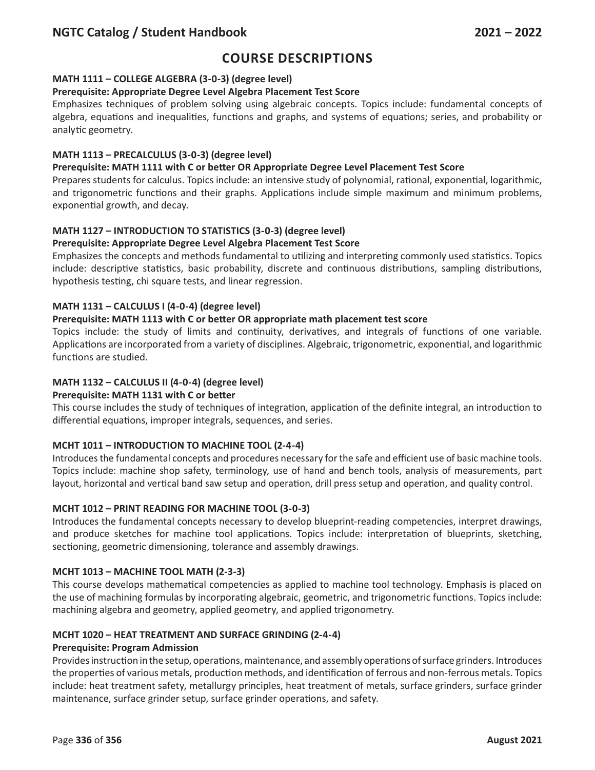# **Course Descriptions**

## **MATH 1111 – COLLEGE ALGEBRA (3-0-3) (degree level)**

#### **Prerequisite: Appropriate Degree Level Algebra Placement Test Score**

Emphasizes techniques of problem solving using algebraic concepts. Topics include: fundamental concepts of algebra, equations and inequalities, functions and graphs, and systems of equations; series, and probability or analytic geometry.

#### **MATH 1113 – PRECALCULUS (3-0-3) (degree level)**

#### **Prerequisite: MATH 1111 with C or better OR Appropriate Degree Level Placement Test Score**

Prepares students for calculus. Topics include: an intensive study of polynomial, rational, exponential, logarithmic, and trigonometric functions and their graphs. Applications include simple maximum and minimum problems, exponential growth, and decay.

#### **MATH 1127 – INTRODUCTION TO STATISTICS (3-0-3) (degree level)**

#### **Prerequisite: Appropriate Degree Level Algebra Placement Test Score**

Emphasizes the concepts and methods fundamental to utilizing and interpreting commonly used statistics. Topics include: descriptive statistics, basic probability, discrete and continuous distributions, sampling distributions, hypothesis testing, chi square tests, and linear regression.

#### **MATH 1131 – CALCULUS I (4-0-4) (degree level)**

#### **Prerequisite: MATH 1113 with C or better OR appropriate math placement test score**

Topics include: the study of limits and continuity, derivatives, and integrals of functions of one variable. Applications are incorporated from a variety of disciplines. Algebraic, trigonometric, exponential, and logarithmic functions are studied.

### **MATH 1132 – CALCULUS II (4-0-4) (degree level)**

#### **Prerequisite: MATH 1131 with C or better**

This course includes the study of techniques of integration, application of the definite integral, an introduction to differential equations, improper integrals, sequences, and series.

### **MCHT 1011 – INTRODUCTION TO MACHINE TOOL (2-4-4)**

Introduces the fundamental concepts and procedures necessary for the safe and efficient use of basic machine tools. Topics include: machine shop safety, terminology, use of hand and bench tools, analysis of measurements, part layout, horizontal and vertical band saw setup and operation, drill press setup and operation, and quality control.

### **MCHT 1012 – PRINT READING FOR MACHINE TOOL (3-0-3)**

Introduces the fundamental concepts necessary to develop blueprint-reading competencies, interpret drawings, and produce sketches for machine tool applications. Topics include: interpretation of blueprints, sketching, sectioning, geometric dimensioning, tolerance and assembly drawings.

#### **MCHT 1013 – MACHINE TOOL MATH (2-3-3)**

This course develops mathematical competencies as applied to machine tool technology. Emphasis is placed on the use of machining formulas by incorporating algebraic, geometric, and trigonometric functions. Topics include: machining algebra and geometry, applied geometry, and applied trigonometry.

#### **MCHT 1020 – HEAT TREATMENT AND SURFACE GRINDING (2-4-4)**

#### **Prerequisite: Program Admission**

Provides instruction in the setup, operations, maintenance, and assembly operations of surface grinders. Introduces the properties of various metals, production methods, and identification of ferrous and non-ferrous metals. Topics include: heat treatment safety, metallurgy principles, heat treatment of metals, surface grinders, surface grinder maintenance, surface grinder setup, surface grinder operations, and safety.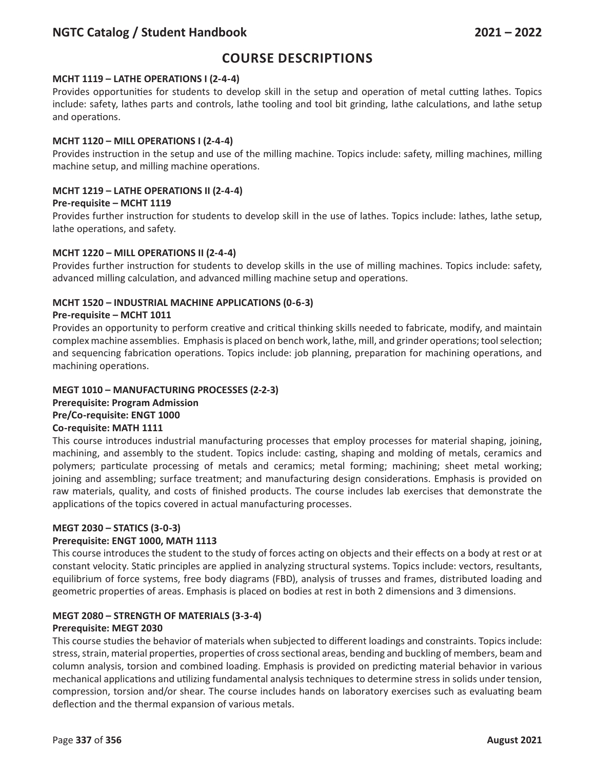# **Course Descriptions**

## **MCHT 1119 – LATHE OPERATIONS I (2-4-4)**

Provides opportunities for students to develop skill in the setup and operation of metal cutting lathes. Topics include: safety, lathes parts and controls, lathe tooling and tool bit grinding, lathe calculations, and lathe setup and operations.

## **MCHT 1120 – MILL OPERATIONS I (2-4-4)**

Provides instruction in the setup and use of the milling machine. Topics include: safety, milling machines, milling machine setup, and milling machine operations.

## **MCHT 1219 – LATHE OPERATIONS II (2-4-4)**

### **Pre-requisite – MCHT 1119**

Provides further instruction for students to develop skill in the use of lathes. Topics include: lathes, lathe setup, lathe operations, and safety.

### **MCHT 1220 – MILL OPERATIONS II (2-4-4)**

Provides further instruction for students to develop skills in the use of milling machines. Topics include: safety, advanced milling calculation, and advanced milling machine setup and operations.

### **MCHT 1520 – INDUSTRIAL MACHINE APPLICATIONS (0-6-3)**

### **Pre-requisite – MCHT 1011**

Provides an opportunity to perform creative and critical thinking skills needed to fabricate, modify, and maintain complex machine assemblies. Emphasis is placed on bench work, lathe, mill, and grinder operations; tool selection; and sequencing fabrication operations. Topics include: job planning, preparation for machining operations, and machining operations.

### **MEGT 1010 – MANUFACTURING PROCESSES (2-2-3) Prerequisite: Program Admission Pre/Co-requisite: ENGT 1000 Co-requisite: MATH 1111**

## This course introduces industrial manufacturing processes that employ processes for material shaping, joining, machining, and assembly to the student. Topics include: casting, shaping and molding of metals, ceramics and polymers; particulate processing of metals and ceramics; metal forming; machining; sheet metal working; joining and assembling; surface treatment; and manufacturing design considerations. Emphasis is provided on raw materials, quality, and costs of finished products. The course includes lab exercises that demonstrate the applications of the topics covered in actual manufacturing processes.

### **MEGT 2030 – STATICS (3-0-3)**

### **Prerequisite: ENGT 1000, MATH 1113**

This course introduces the student to the study of forces acting on objects and their effects on a body at rest or at constant velocity. Static principles are applied in analyzing structural systems. Topics include: vectors, resultants, equilibrium of force systems, free body diagrams (FBD), analysis of trusses and frames, distributed loading and geometric properties of areas. Emphasis is placed on bodies at rest in both 2 dimensions and 3 dimensions.

## **MEGT 2080 – STRENGTH OF MATERIALS (3-3-4)**

### **Prerequisite: MEGT 2030**

This course studies the behavior of materials when subjected to different loadings and constraints. Topics include: stress, strain, material properties, properties of cross sectional areas, bending and buckling of members, beam and column analysis, torsion and combined loading. Emphasis is provided on predicting material behavior in various mechanical applications and utilizing fundamental analysis techniques to determine stress in solids under tension, compression, torsion and/or shear. The course includes hands on laboratory exercises such as evaluating beam deflection and the thermal expansion of various metals.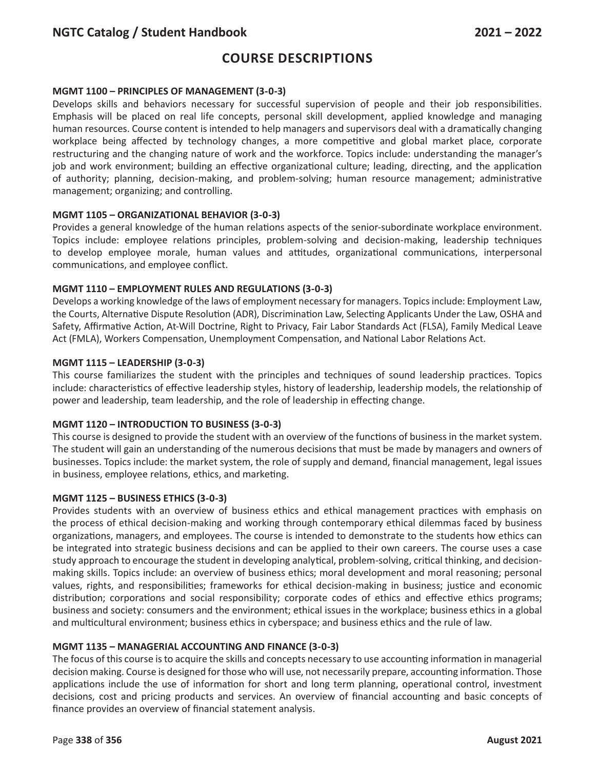# **Course Descriptions**

#### **MGMT 1100 – PRINCIPLES OF MANAGEMENT (3-0-3)**

Develops skills and behaviors necessary for successful supervision of people and their job responsibilities. Emphasis will be placed on real life concepts, personal skill development, applied knowledge and managing human resources. Course content is intended to help managers and supervisors deal with a dramatically changing workplace being affected by technology changes, a more competitive and global market place, corporate restructuring and the changing nature of work and the workforce. Topics include: understanding the manager's job and work environment; building an effective organizational culture; leading, directing, and the application of authority; planning, decision-making, and problem-solving; human resource management; administrative management; organizing; and controlling.

#### **MGMT 1105 – ORGANIZATIONAL BEHAVIOR (3-0-3)**

Provides a general knowledge of the human relations aspects of the senior-subordinate workplace environment. Topics include: employee relations principles, problem-solving and decision-making, leadership techniques to develop employee morale, human values and attitudes, organizational communications, interpersonal communications, and employee conflict.

#### **MGMT 1110 – EMPLOYMENT RULES AND REGULATIONS (3-0-3)**

Develops a working knowledge of the laws of employment necessary for managers. Topics include: Employment Law, the Courts, Alternative Dispute Resolution (ADR), Discrimination Law, Selecting Applicants Under the Law, OSHA and Safety, Affirmative Action, At-Will Doctrine, Right to Privacy, Fair Labor Standards Act (FLSA), Family Medical Leave Act (FMLA), Workers Compensation, Unemployment Compensation, and National Labor Relations Act.

#### **MGMT 1115 – LEADERSHIP (3-0-3)**

This course familiarizes the student with the principles and techniques of sound leadership practices. Topics include: characteristics of effective leadership styles, history of leadership, leadership models, the relationship of power and leadership, team leadership, and the role of leadership in effecting change.

#### **MGMT 1120 – INTRODUCTION TO BUSINESS (3-0-3)**

This course is designed to provide the student with an overview of the functions of business in the market system. The student will gain an understanding of the numerous decisions that must be made by managers and owners of businesses. Topics include: the market system, the role of supply and demand, financial management, legal issues in business, employee relations, ethics, and marketing.

#### **MGMT 1125 – BUSINESS ETHICS (3-0-3)**

Provides students with an overview of business ethics and ethical management practices with emphasis on the process of ethical decision-making and working through contemporary ethical dilemmas faced by business organizations, managers, and employees. The course is intended to demonstrate to the students how ethics can be integrated into strategic business decisions and can be applied to their own careers. The course uses a case study approach to encourage the student in developing analytical, problem-solving, critical thinking, and decisionmaking skills. Topics include: an overview of business ethics; moral development and moral reasoning; personal values, rights, and responsibilities; frameworks for ethical decision-making in business; justice and economic distribution; corporations and social responsibility; corporate codes of ethics and effective ethics programs; business and society: consumers and the environment; ethical issues in the workplace; business ethics in a global and multicultural environment; business ethics in cyberspace; and business ethics and the rule of law.

### **MGMT 1135 – MANAGERIAL ACCOUNTING AND FINANCE (3-0-3)**

The focus of this course is to acquire the skills and concepts necessary to use accounting information in managerial decision making. Course is designed for those who will use, not necessarily prepare, accounting information. Those applications include the use of information for short and long term planning, operational control, investment decisions, cost and pricing products and services. An overview of financial accounting and basic concepts of finance provides an overview of financial statement analysis.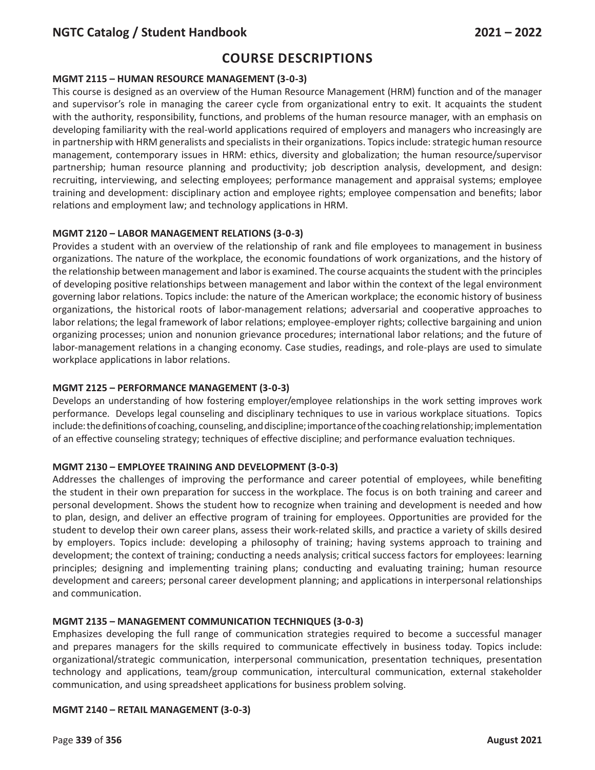# **Course Descriptions**

### **MGMT 2115 – HUMAN RESOURCE MANAGEMENT (3-0-3)**

This course is designed as an overview of the Human Resource Management (HRM) function and of the manager and supervisor's role in managing the career cycle from organizational entry to exit. It acquaints the student with the authority, responsibility, functions, and problems of the human resource manager, with an emphasis on developing familiarity with the real-world applications required of employers and managers who increasingly are in partnership with HRM generalists and specialists in their organizations. Topics include: strategic human resource management, contemporary issues in HRM: ethics, diversity and globalization; the human resource/supervisor partnership; human resource planning and productivity; job description analysis, development, and design: recruiting, interviewing, and selecting employees; performance management and appraisal systems; employee training and development: disciplinary action and employee rights; employee compensation and benefits; labor relations and employment law; and technology applications in HRM.

### **MGMT 2120 – LABOR MANAGEMENT RELATIONS (3-0-3)**

Provides a student with an overview of the relationship of rank and file employees to management in business organizations. The nature of the workplace, the economic foundations of work organizations, and the history of the relationship between management and labor is examined. The course acquaints the student with the principles of developing positive relationships between management and labor within the context of the legal environment governing labor relations. Topics include: the nature of the American workplace; the economic history of business organizations, the historical roots of labor-management relations; adversarial and cooperative approaches to labor relations; the legal framework of labor relations; employee-employer rights; collective bargaining and union organizing processes; union and nonunion grievance procedures; international labor relations; and the future of labor-management relations in a changing economy. Case studies, readings, and role-plays are used to simulate workplace applications in labor relations.

#### **MGMT 2125 – PERFORMANCE MANAGEMENT (3-0-3)**

Develops an understanding of how fostering employer/employee relationships in the work setting improves work performance. Develops legal counseling and disciplinary techniques to use in various workplace situations. Topics include: the definitions of coaching, counseling, and discipline; importance of the coaching relationship; implementation of an effective counseling strategy; techniques of effective discipline; and performance evaluation techniques.

### **MGMT 2130 – EMPLOYEE TRAINING AND DEVELOPMENT (3-0-3)**

Addresses the challenges of improving the performance and career potential of employees, while benefiting the student in their own preparation for success in the workplace. The focus is on both training and career and personal development. Shows the student how to recognize when training and development is needed and how to plan, design, and deliver an effective program of training for employees. Opportunities are provided for the student to develop their own career plans, assess their work-related skills, and practice a variety of skills desired by employers. Topics include: developing a philosophy of training; having systems approach to training and development; the context of training; conducting a needs analysis; critical success factors for employees: learning principles; designing and implementing training plans; conducting and evaluating training; human resource development and careers; personal career development planning; and applications in interpersonal relationships and communication.

### **MGMT 2135 – MANAGEMENT COMMUNICATION TECHNIQUES (3-0-3)**

Emphasizes developing the full range of communication strategies required to become a successful manager and prepares managers for the skills required to communicate effectively in business today. Topics include: organizational/strategic communication, interpersonal communication, presentation techniques, presentation technology and applications, team/group communication, intercultural communication, external stakeholder communication, and using spreadsheet applications for business problem solving.

### **MGMT 2140 – RETAIL MANAGEMENT (3-0-3)**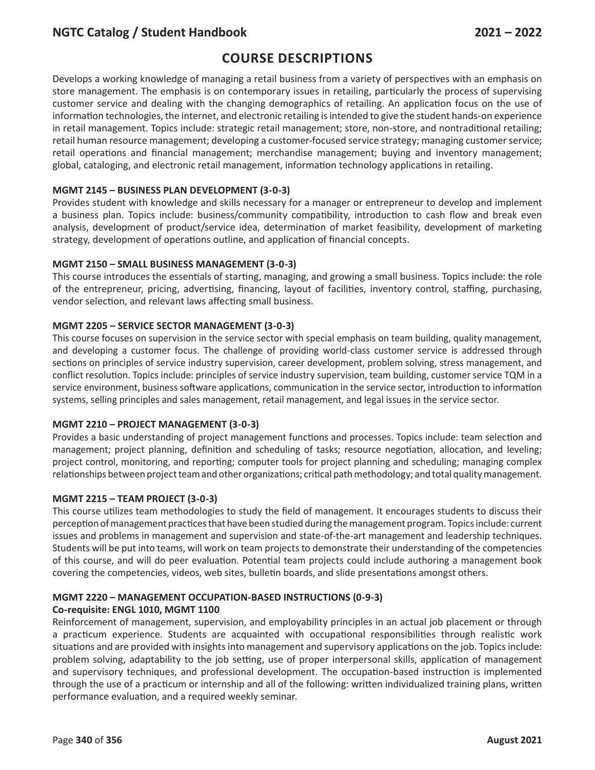# **Course Descriptions**

Develops a working knowledge of managing a retail business from a variety of perspectives with an emphasis on store management. The emphasis is on contemporary issues in retailing, particularly the process of supervising customer service and dealing with the changing demographics of retailing. An application focus on the use of information technologies, the internet, and electronic retailing is intended to give the student hands-on experience in retail management. Topics include: strategic retail management; store, non-store, and nontraditional retailing; retail human resource management; developing a customer-focused service strategy; managing customer service; retail operations and financial management; merchandise management; buying and inventory management; global, cataloging, and electronic retail management, information technology applications in retailing.

#### **MGMT 2145 – BUSINESS PLAN DEVELOPMENT (3-0-3)**

Provides student with knowledge and skills necessary for a manager or entrepreneur to develop and implement a business plan. Topics include: business/community compatibility, introduction to cash flow and break even analysis, development of product/service idea, determination of market feasibility, development of marketing strategy, development of operations outline, and application of financial concepts.

#### **MGMT 2150 – SMALL BUSINESS MANAGEMENT (3-0-3)**

This course introduces the essentials of starting, managing, and growing a small business. Topics include: the role of the entrepreneur, pricing, advertising, financing, layout of facilities, inventory control, staffing, purchasing, vendor selection, and relevant laws affecting small business.

#### **MGMT 2205 – SERVICE SECTOR MANAGEMENT (3-0-3)**

This course focuses on supervision in the service sector with special emphasis on team building, quality management, and developing a customer focus. The challenge of providing world-class customer service is addressed through sections on principles of service industry supervision, career development, problem solving, stress management, and conflict resolution. Topics include: principles of service industry supervision, team building, customer service TQM in a service environment, business software applications, communication in the service sector, introduction to information systems, selling principles and sales management, retail management, and legal issues in the service sector.

#### **MGMT 2210 – PROJECT MANAGEMENT (3-0-3)**

Provides a basic understanding of project management functions and processes. Topics include: team selection and management; project planning, definition and scheduling of tasks; resource negotiation, allocation, and leveling; project control, monitoring, and reporting; computer tools for project planning and scheduling; managing complex relationships between project team and other organizations; critical path methodology; and total quality management.

#### **MGMT 2215 – TEAM PROJECT (3-0-3)**

This course utilizes team methodologies to study the field of management. It encourages students to discuss their perception of management practices that have been studied during the management program. Topics include: current issues and problems in management and supervision and state-of-the-art management and leadership techniques. Students will be put into teams, will work on team projects to demonstrate their understanding of the competencies of this course, and will do peer evaluation. Potential team projects could include authoring a management book covering the competencies, videos, web sites, bulletin boards, and slide presentations amongst others.

#### **MGMT 2220 – MANAGEMENT OCCUPATION-BASED INSTRUCTIONS (0-9-3) Co-requisite: ENGL 1010, MGMT 1100**

Reinforcement of management, supervision, and employability principles in an actual job placement or through a practicum experience. Students are acquainted with occupational responsibilities through realistic work situations and are provided with insights into management and supervisory applications on the job. Topics include: problem solving, adaptability to the job setting, use of proper interpersonal skills, application of management and supervisory techniques, and professional development. The occupation-based instruction is implemented through the use of a practicum or internship and all of the following: written individualized training plans, written performance evaluation, and a required weekly seminar.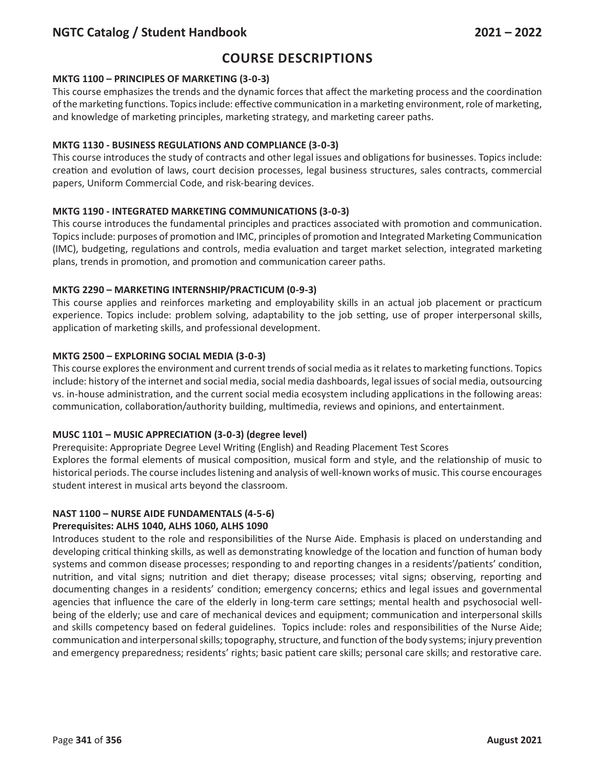# **Course Descriptions**

### **MKTG 1100 – PRINCIPLES OF MARKETING (3-0-3)**

This course emphasizes the trends and the dynamic forces that affect the marketing process and the coordination of the marketing functions. Topics include: effective communication in a marketing environment, role of marketing, and knowledge of marketing principles, marketing strategy, and marketing career paths.

## **MKTG 1130 - BUSINESS REGULATIONS AND COMPLIANCE (3-0-3)**

This course introduces the study of contracts and other legal issues and obligations for businesses. Topics include: creation and evolution of laws, court decision processes, legal business structures, sales contracts, commercial papers, Uniform Commercial Code, and risk-bearing devices.

## **MKTG 1190 - INTEGRATED MARKETING COMMUNICATIONS (3-0-3)**

This course introduces the fundamental principles and practices associated with promotion and communication. Topics include: purposes of promotion and IMC, principles of promotion and Integrated Marketing Communication (IMC), budgeting, regulations and controls, media evaluation and target market selection, integrated marketing plans, trends in promotion, and promotion and communication career paths.

## **MKTG 2290 – MARKETING INTERNSHIP/PRACTICUM (0-9-3)**

This course applies and reinforces marketing and employability skills in an actual job placement or practicum experience. Topics include: problem solving, adaptability to the job setting, use of proper interpersonal skills, application of marketing skills, and professional development.

## **MKTG 2500 – EXPLORING SOCIAL MEDIA (3-0-3)**

This course explores the environment and current trends of social media as it relates to marketing functions. Topics include: history of the internet and social media, social media dashboards, legal issues of social media, outsourcing vs. in-house administration, and the current social media ecosystem including applications in the following areas: communication, collaboration/authority building, multimedia, reviews and opinions, and entertainment.

### **MUSC 1101 – MUSIC APPRECIATION (3-0-3) (degree level)**

Prerequisite: Appropriate Degree Level Writing (English) and Reading Placement Test Scores Explores the formal elements of musical composition, musical form and style, and the relationship of music to historical periods. The course includes listening and analysis of well-known works of music. This course encourages student interest in musical arts beyond the classroom.

## **NAST 1100 – NURSE AIDE FUNDAMENTALS (4-5-6)**

### **Prerequisites: ALHS 1040, ALHS 1060, ALHS 1090**

Introduces student to the role and responsibilities of the Nurse Aide. Emphasis is placed on understanding and developing critical thinking skills, as well as demonstrating knowledge of the location and function of human body systems and common disease processes; responding to and reporting changes in a residents'/patients' condition, nutrition, and vital signs; nutrition and diet therapy; disease processes; vital signs; observing, reporting and documenting changes in a residents' condition; emergency concerns; ethics and legal issues and governmental agencies that influence the care of the elderly in long-term care settings; mental health and psychosocial wellbeing of the elderly; use and care of mechanical devices and equipment; communication and interpersonal skills and skills competency based on federal guidelines. Topics include: roles and responsibilities of the Nurse Aide; communication and interpersonal skills; topography, structure, and function of the body systems; injury prevention and emergency preparedness; residents' rights; basic patient care skills; personal care skills; and restorative care.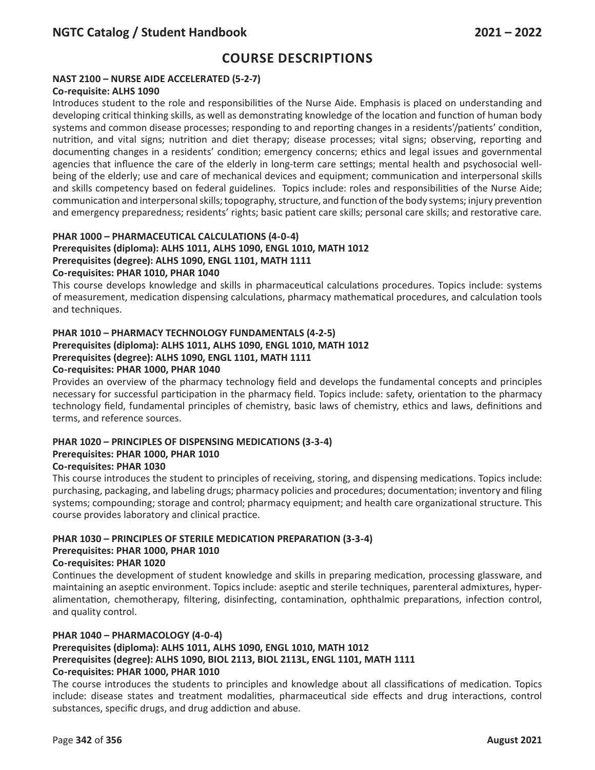### **NAST 2100 – NURSE AIDE ACCELERATED (5-2-7)**

#### **Co-requisite: ALHS 1090**

Introduces student to the role and responsibilities of the Nurse Aide. Emphasis is placed on understanding and developing critical thinking skills, as well as demonstrating knowledge of the location and function of human body systems and common disease processes; responding to and reporting changes in a residents'/patients' condition, nutrition, and vital signs; nutrition and diet therapy; disease processes; vital signs; observing, reporting and documenting changes in a residents' condition; emergency concerns; ethics and legal issues and governmental agencies that influence the care of the elderly in long-term care settings; mental health and psychosocial wellbeing of the elderly; use and care of mechanical devices and equipment; communication and interpersonal skills and skills competency based on federal guidelines. Topics include: roles and responsibilities of the Nurse Aide; communication and interpersonal skills; topography, structure, and function of the body systems; injury prevention and emergency preparedness; residents' rights; basic patient care skills; personal care skills; and restorative care.

## **PHAR 1000 – PHARMACEUTICAL CALCULATIONS (4-0-4) Prerequisites (diploma): ALHS 1011, ALHS 1090, ENGL 1010, MATH 1012 Prerequisites (degree): ALHS 1090, ENGL 1101, MATH 1111**

## **Co-requisites: PHAR 1010, PHAR 1040**

This course develops knowledge and skills in pharmaceutical calculations procedures. Topics include: systems of measurement, medication dispensing calculations, pharmacy mathematical procedures, and calculation tools and techniques.

## **PHAR 1010 – PHARMACY TECHNOLOGY FUNDAMENTALS (4-2-5) Prerequisites (diploma): ALHS 1011, ALHS 1090, ENGL 1010, MATH 1012 Prerequisites (degree): ALHS 1090, ENGL 1101, MATH 1111**

#### **Co-requisites: PHAR 1000, PHAR 1040**

Provides an overview of the pharmacy technology field and develops the fundamental concepts and principles necessary for successful participation in the pharmacy field. Topics include: safety, orientation to the pharmacy technology field, fundamental principles of chemistry, basic laws of chemistry, ethics and laws, definitions and terms, and reference sources.

#### **PHAR 1020 – PRINCIPLES OF DISPENSING MEDICATIONS (3-3-4) Prerequisites: PHAR 1000, PHAR 1010 Co-requisites: PHAR 1030**

This course introduces the student to principles of receiving, storing, and dispensing medications. Topics include: purchasing, packaging, and labeling drugs; pharmacy policies and procedures; documentation; inventory and filing systems; compounding; storage and control; pharmacy equipment; and health care organizational structure. This course provides laboratory and clinical practice.

## **PHAR 1030 – PRINCIPLES OF STERILE MEDICATION PREPARATION (3-3-4) Prerequisites: PHAR 1000, PHAR 1010**

#### **Co-requisites: PHAR 1020**

Continues the development of student knowledge and skills in preparing medication, processing glassware, and maintaining an aseptic environment. Topics include: aseptic and sterile techniques, parenteral admixtures, hyperalimentation, chemotherapy, filtering, disinfecting, contamination, ophthalmic preparations, infection control, and quality control.

#### **PHAR 1040 – PHARMACOLOGY (4-0-4)**

#### **Prerequisites (diploma): ALHS 1011, ALHS 1090, ENGL 1010, MATH 1012 Prerequisites (degree): ALHS 1090, BIOL 2113, BIOL 2113L, ENGL 1101, MATH 1111 Co-requisites: PHAR 1000, PHAR 1010**

The course introduces the students to principles and knowledge about all classifications of medication. Topics include: disease states and treatment modalities, pharmaceutical side effects and drug interactions, control substances, specific drugs, and drug addiction and abuse.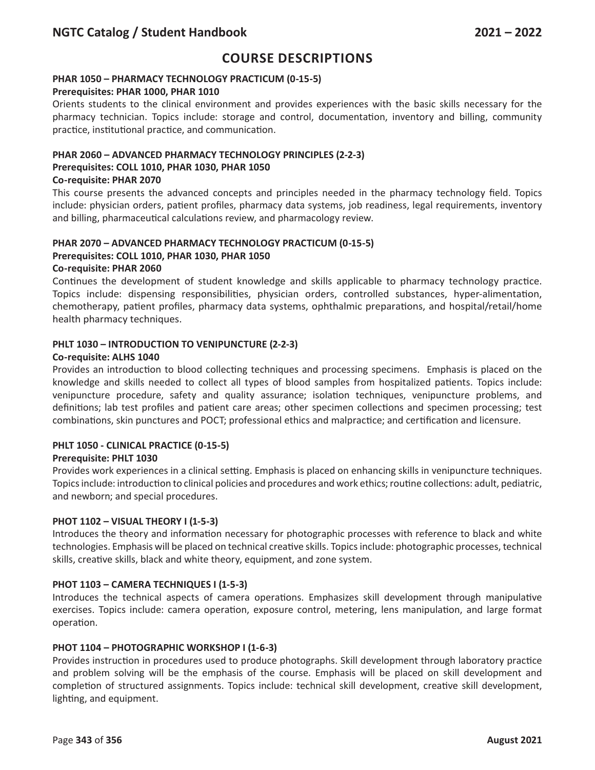## **PHAR 1050 – PHARMACY TECHNOLOGY PRACTICUM (0-15-5)**

#### **Prerequisites: PHAR 1000, PHAR 1010**

Orients students to the clinical environment and provides experiences with the basic skills necessary for the pharmacy technician. Topics include: storage and control, documentation, inventory and billing, community practice, institutional practice, and communication.

#### **PHAR 2060 – ADVANCED PHARMACY TECHNOLOGY PRINCIPLES (2-2-3) Prerequisites: COLL 1010, PHAR 1030, PHAR 1050**

## **Co-requisite: PHAR 2070**

This course presents the advanced concepts and principles needed in the pharmacy technology field. Topics include: physician orders, patient profiles, pharmacy data systems, job readiness, legal requirements, inventory and billing, pharmaceutical calculations review, and pharmacology review.

## **PHAR 2070 – ADVANCED PHARMACY TECHNOLOGY PRACTICUM (0-15-5) Prerequisites: COLL 1010, PHAR 1030, PHAR 1050**

#### **Co-requisite: PHAR 2060**

Continues the development of student knowledge and skills applicable to pharmacy technology practice. Topics include: dispensing responsibilities, physician orders, controlled substances, hyper-alimentation, chemotherapy, patient profiles, pharmacy data systems, ophthalmic preparations, and hospital/retail/home health pharmacy techniques.

### **PHLT 1030 – INTRODUCTION TO VENIPUNCTURE (2-2-3)**

#### **Co-requisite: ALHS 1040**

Provides an introduction to blood collecting techniques and processing specimens. Emphasis is placed on the knowledge and skills needed to collect all types of blood samples from hospitalized patients. Topics include: venipuncture procedure, safety and quality assurance; isolation techniques, venipuncture problems, and definitions; lab test profiles and patient care areas; other specimen collections and specimen processing; test combinations, skin punctures and POCT; professional ethics and malpractice; and certification and licensure.

### **PHLT 1050 - CLINICAL PRACTICE (0-15-5)**

#### **Prerequisite: PHLT 1030**

Provides work experiences in a clinical setting. Emphasis is placed on enhancing skills in venipuncture techniques. Topics include: introduction to clinical policies and procedures and work ethics; routine collections: adult, pediatric, and newborn; and special procedures.

#### **PHOT 1102 – VISUAL THEORY I (1-5-3)**

Introduces the theory and information necessary for photographic processes with reference to black and white technologies. Emphasis will be placed on technical creative skills. Topics include: photographic processes, technical skills, creative skills, black and white theory, equipment, and zone system.

### **PHOT 1103 – CAMERA TECHNIQUES I (1-5-3)**

Introduces the technical aspects of camera operations. Emphasizes skill development through manipulative exercises. Topics include: camera operation, exposure control, metering, lens manipulation, and large format operation.

#### **PHOT 1104 – PHOTOGRAPHIC WORKSHOP I (1-6-3)**

Provides instruction in procedures used to produce photographs. Skill development through laboratory practice and problem solving will be the emphasis of the course. Emphasis will be placed on skill development and completion of structured assignments. Topics include: technical skill development, creative skill development, lighting, and equipment.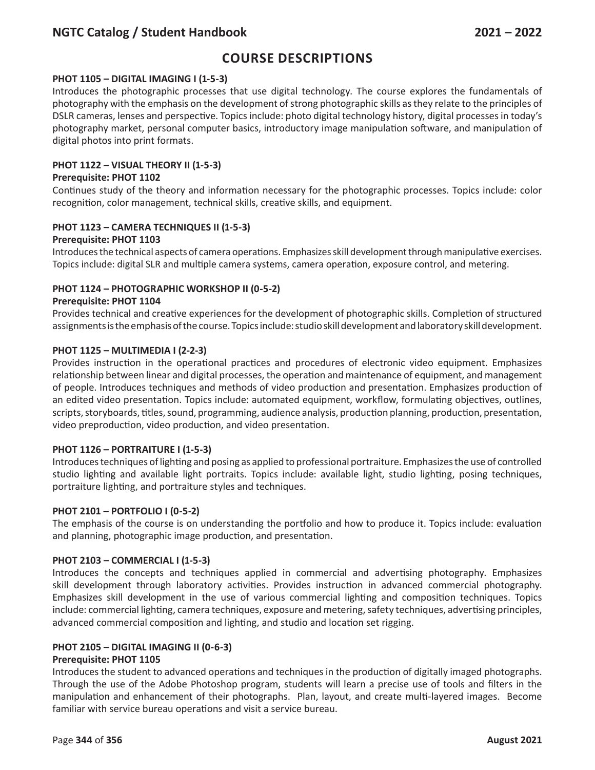# **Course Descriptions**

### **PHOT 1105 – DIGITAL IMAGING I (1-5-3)**

Introduces the photographic processes that use digital technology. The course explores the fundamentals of photography with the emphasis on the development of strong photographic skills as they relate to the principles of DSLR cameras, lenses and perspective. Topics include: photo digital technology history, digital processes in today's photography market, personal computer basics, introductory image manipulation software, and manipulation of digital photos into print formats.

## **PHOT 1122 – VISUAL THEORY II (1-5-3)**

#### **Prerequisite: PHOT 1102**

Continues study of the theory and information necessary for the photographic processes. Topics include: color recognition, color management, technical skills, creative skills, and equipment.

### **PHOT 1123 – CAMERA TECHNIQUES II (1-5-3)**

#### **Prerequisite: PHOT 1103**

Introduces the technical aspects of camera operations. Emphasizes skill development through manipulative exercises. Topics include: digital SLR and multiple camera systems, camera operation, exposure control, and metering.

### **PHOT 1124 – PHOTOGRAPHIC WORKSHOP II (0-5-2)**

#### **Prerequisite: PHOT 1104**

Provides technical and creative experiences for the development of photographic skills. Completion of structured assignments is the emphasis of the course. Topics include: studio skill development and laboratory skill development.

#### **PHOT 1125 – MULTIMEDIA I (2-2-3)**

Provides instruction in the operational practices and procedures of electronic video equipment. Emphasizes relationship between linear and digital processes, the operation and maintenance of equipment, and management of people. Introduces techniques and methods of video production and presentation. Emphasizes production of an edited video presentation. Topics include: automated equipment, workflow, formulating objectives, outlines, scripts, storyboards, titles, sound, programming, audience analysis, production planning, production, presentation, video preproduction, video production, and video presentation.

### **PHOT 1126 – PORTRAITURE I (1-5-3)**

Introduces techniques of lighting and posing as applied to professional portraiture. Emphasizes the use of controlled studio lighting and available light portraits. Topics include: available light, studio lighting, posing techniques, portraiture lighting, and portraiture styles and techniques.

#### **PHOT 2101 – PORTFOLIO I (0-5-2)**

The emphasis of the course is on understanding the portfolio and how to produce it. Topics include: evaluation and planning, photographic image production, and presentation.

#### **PHOT 2103 – COMMERCIAL I (1-5-3)**

Introduces the concepts and techniques applied in commercial and advertising photography. Emphasizes skill development through laboratory activities. Provides instruction in advanced commercial photography. Emphasizes skill development in the use of various commercial lighting and composition techniques. Topics include: commercial lighting, camera techniques, exposure and metering, safety techniques, advertising principles, advanced commercial composition and lighting, and studio and location set rigging.

### **PHOT 2105 – DIGITAL IMAGING II (0-6-3)**

### **Prerequisite: PHOT 1105**

Introduces the student to advanced operations and techniques in the production of digitally imaged photographs. Through the use of the Adobe Photoshop program, students will learn a precise use of tools and filters in the manipulation and enhancement of their photographs. Plan, layout, and create multi-layered images. Become familiar with service bureau operations and visit a service bureau.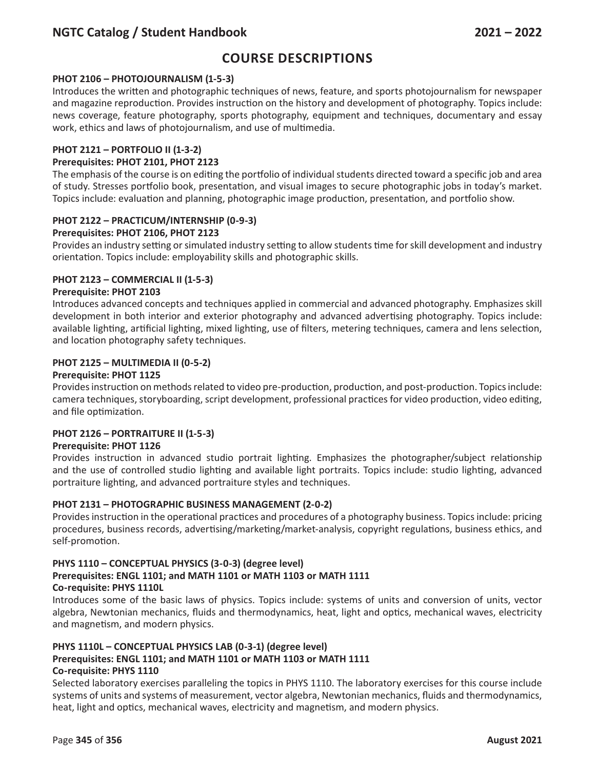# **Course Descriptions**

### **PHOT 2106 – PHOTOJOURNALISM (1-5-3)**

Introduces the written and photographic techniques of news, feature, and sports photojournalism for newspaper and magazine reproduction. Provides instruction on the history and development of photography. Topics include: news coverage, feature photography, sports photography, equipment and techniques, documentary and essay work, ethics and laws of photojournalism, and use of multimedia.

#### **PHOT 2121 – PORTFOLIO II (1-3-2)**

#### **Prerequisites: PHOT 2101, PHOT 2123**

The emphasis of the course is on editing the portfolio of individual students directed toward a specific job and area of study. Stresses portfolio book, presentation, and visual images to secure photographic jobs in today's market. Topics include: evaluation and planning, photographic image production, presentation, and portfolio show.

### **PHOT 2122 – PRACTICUM/INTERNSHIP (0-9-3)**

#### **Prerequisites: PHOT 2106, PHOT 2123**

Provides an industry setting or simulated industry setting to allow students time for skill development and industry orientation. Topics include: employability skills and photographic skills.

#### **PHOT 2123 – COMMERCIAL II (1-5-3)**

#### **Prerequisite: PHOT 2103**

Introduces advanced concepts and techniques applied in commercial and advanced photography. Emphasizes skill development in both interior and exterior photography and advanced advertising photography. Topics include: available lighting, artificial lighting, mixed lighting, use of filters, metering techniques, camera and lens selection, and location photography safety techniques.

#### **PHOT 2125 – MULTIMEDIA II (0-5-2)**

#### **Prerequisite: PHOT 1125**

Provides instruction on methods related to video pre-production, production, and post-production. Topics include: camera techniques, storyboarding, script development, professional practices for video production, video editing, and file optimization.

#### **PHOT 2126 – PORTRAITURE II (1-5-3)**

#### **Prerequisite: PHOT 1126**

Provides instruction in advanced studio portrait lighting. Emphasizes the photographer/subject relationship and the use of controlled studio lighting and available light portraits. Topics include: studio lighting, advanced portraiture lighting, and advanced portraiture styles and techniques.

#### **PHOT 2131 – PHOTOGRAPHIC BUSINESS MANAGEMENT (2-0-2)**

Provides instruction in the operational practices and procedures of a photography business. Topics include: pricing procedures, business records, advertising/marketing/market-analysis, copyright regulations, business ethics, and self-promotion.

#### **PHYS 1110 – CONCEPTUAL PHYSICS (3-0-3) (degree level) Prerequisites: ENGL 1101; and MATH 1101 or MATH 1103 or MATH 1111 Co-requisite: PHYS 1110L**

Introduces some of the basic laws of physics. Topics include: systems of units and conversion of units, vector algebra, Newtonian mechanics, fluids and thermodynamics, heat, light and optics, mechanical waves, electricity and magnetism, and modern physics.

#### **PHYS 1110L – CONCEPTUAL PHYSICS LAB (0-3-1) (degree level) Prerequisites: ENGL 1101; and MATH 1101 or MATH 1103 or MATH 1111 Co-requisite: PHYS 1110**

Selected laboratory exercises paralleling the topics in PHYS 1110. The laboratory exercises for this course include systems of units and systems of measurement, vector algebra, Newtonian mechanics, fluids and thermodynamics, heat, light and optics, mechanical waves, electricity and magnetism, and modern physics.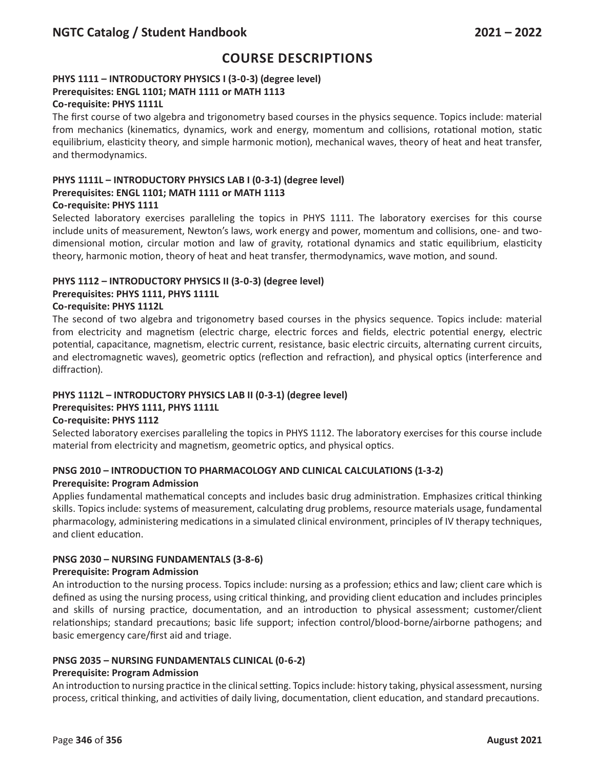## **PHYS 1111 – INTRODUCTORY PHYSICS I (3-0-3) (degree level) Prerequisites: ENGL 1101; MATH 1111 or MATH 1113**

#### **Co-requisite: PHYS 1111L**

The first course of two algebra and trigonometry based courses in the physics sequence. Topics include: material from mechanics (kinematics, dynamics, work and energy, momentum and collisions, rotational motion, static equilibrium, elasticity theory, and simple harmonic motion), mechanical waves, theory of heat and heat transfer, and thermodynamics.

#### **PHYS 1111L – INTRODUCTORY PHYSICS LAB I (0-3-1) (degree level) Prerequisites: ENGL 1101; MATH 1111 or MATH 1113 Co-requisite: PHYS 1111**

Selected laboratory exercises paralleling the topics in PHYS 1111. The laboratory exercises for this course include units of measurement, Newton's laws, work energy and power, momentum and collisions, one- and twodimensional motion, circular motion and law of gravity, rotational dynamics and static equilibrium, elasticity theory, harmonic motion, theory of heat and heat transfer, thermodynamics, wave motion, and sound.

### **PHYS 1112 – INTRODUCTORY PHYSICS II (3-0-3) (degree level)**

#### **Prerequisites: PHYS 1111, PHYS 1111L**

#### **Co-requisite: PHYS 1112L**

The second of two algebra and trigonometry based courses in the physics sequence. Topics include: material from electricity and magnetism (electric charge, electric forces and fields, electric potential energy, electric potential, capacitance, magnetism, electric current, resistance, basic electric circuits, alternating current circuits, and electromagnetic waves), geometric optics (reflection and refraction), and physical optics (interference and diffraction).

### **PHYS 1112L – INTRODUCTORY PHYSICS LAB II (0-3-1) (degree level)**

#### **Prerequisites: PHYS 1111, PHYS 1111L**

#### **Co-requisite: PHYS 1112**

Selected laboratory exercises paralleling the topics in PHYS 1112. The laboratory exercises for this course include material from electricity and magnetism, geometric optics, and physical optics.

### **PNSG 2010 – INTRODUCTION TO PHARMACOLOGY AND CLINICAL CALCULATIONS (1-3-2)**

#### **Prerequisite: Program Admission**

Applies fundamental mathematical concepts and includes basic drug administration. Emphasizes critical thinking skills. Topics include: systems of measurement, calculating drug problems, resource materials usage, fundamental pharmacology, administering medications in a simulated clinical environment, principles of IV therapy techniques, and client education.

### **PNSG 2030 – NURSING FUNDAMENTALS (3-8-6)**

#### **Prerequisite: Program Admission**

An introduction to the nursing process. Topics include: nursing as a profession; ethics and law; client care which is defined as using the nursing process, using critical thinking, and providing client education and includes principles and skills of nursing practice, documentation, and an introduction to physical assessment; customer/client relationships; standard precautions; basic life support; infection control/blood-borne/airborne pathogens; and basic emergency care/first aid and triage.

### **PNSG 2035 – NURSING FUNDAMENTALS CLINICAL (0-6-2)**

#### **Prerequisite: Program Admission**

An introduction to nursing practice in the clinical setting. Topics include: history taking, physical assessment, nursing process, critical thinking, and activities of daily living, documentation, client education, and standard precautions.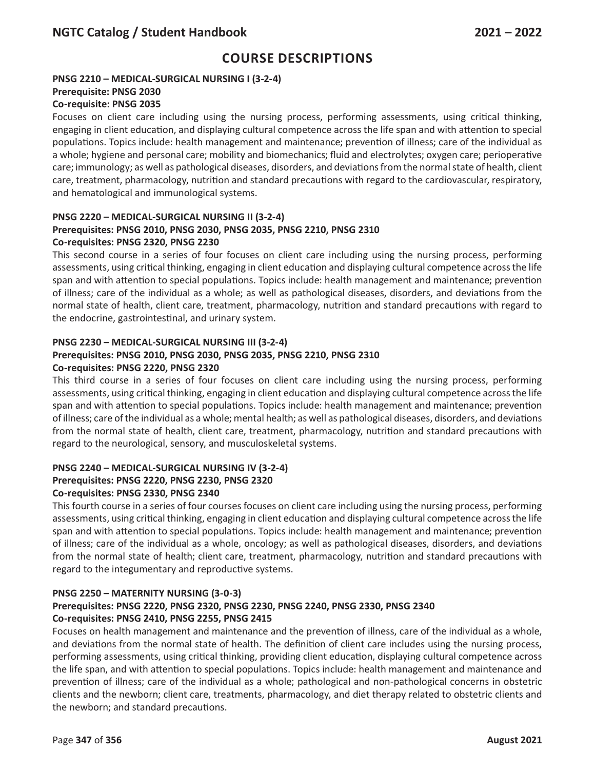## **PNSG 2210 – MEDICAL-SURGICAL NURSING I (3-2-4)**

#### **Prerequisite: PNSG 2030**

## **Co-requisite: PNSG 2035**

Focuses on client care including using the nursing process, performing assessments, using critical thinking, engaging in client education, and displaying cultural competence across the life span and with attention to special populations. Topics include: health management and maintenance; prevention of illness; care of the individual as a whole; hygiene and personal care; mobility and biomechanics; fluid and electrolytes; oxygen care; perioperative care; immunology; as well as pathological diseases, disorders, and deviations from the normal state of health, client care, treatment, pharmacology, nutrition and standard precautions with regard to the cardiovascular, respiratory, and hematological and immunological systems.

#### **PNSG 2220 – MEDICAL-SURGICAL NURSING II (3-2-4) Prerequisites: PNSG 2010, PNSG 2030, PNSG 2035, PNSG 2210, PNSG 2310 Co-requisites: PNSG 2320, PNSG 2230**

This second course in a series of four focuses on client care including using the nursing process, performing assessments, using critical thinking, engaging in client education and displaying cultural competence across the life span and with attention to special populations. Topics include: health management and maintenance; prevention of illness; care of the individual as a whole; as well as pathological diseases, disorders, and deviations from the normal state of health, client care, treatment, pharmacology, nutrition and standard precautions with regard to the endocrine, gastrointestinal, and urinary system.

## **PNSG 2230 – MEDICAL-SURGICAL NURSING III (3-2-4)**

## **Prerequisites: PNSG 2010, PNSG 2030, PNSG 2035, PNSG 2210, PNSG 2310 Co-requisites: PNSG 2220, PNSG 2320**

This third course in a series of four focuses on client care including using the nursing process, performing assessments, using critical thinking, engaging in client education and displaying cultural competence across the life span and with attention to special populations. Topics include: health management and maintenance; prevention of illness; care of the individual as a whole; mental health; as well as pathological diseases, disorders, and deviations from the normal state of health, client care, treatment, pharmacology, nutrition and standard precautions with regard to the neurological, sensory, and musculoskeletal systems.

# **PNSG 2240 – MEDICAL-SURGICAL NURSING IV (3-2-4) Prerequisites: PNSG 2220, PNSG 2230, PNSG 2320**

### **Co-requisites: PNSG 2330, PNSG 2340**

This fourth course in a series of four courses focuses on client care including using the nursing process, performing assessments, using critical thinking, engaging in client education and displaying cultural competence across the life span and with attention to special populations. Topics include: health management and maintenance; prevention of illness; care of the individual as a whole, oncology; as well as pathological diseases, disorders, and deviations from the normal state of health; client care, treatment, pharmacology, nutrition and standard precautions with regard to the integumentary and reproductive systems.

## **PNSG 2250 – MATERNITY NURSING (3-0-3)**

## **Prerequisites: PNSG 2220, PNSG 2320, PNSG 2230, PNSG 2240, PNSG 2330, PNSG 2340 Co-requisites: PNSG 2410, PNSG 2255, PNSG 2415**

Focuses on health management and maintenance and the prevention of illness, care of the individual as a whole, and deviations from the normal state of health. The definition of client care includes using the nursing process, performing assessments, using critical thinking, providing client education, displaying cultural competence across the life span, and with attention to special populations. Topics include: health management and maintenance and prevention of illness; care of the individual as a whole; pathological and non-pathological concerns in obstetric clients and the newborn; client care, treatments, pharmacology, and diet therapy related to obstetric clients and the newborn; and standard precautions.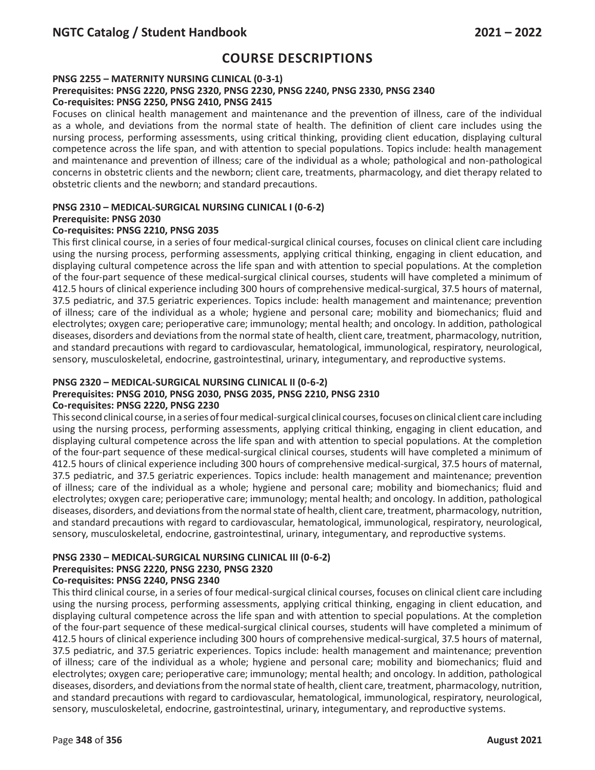#### **PNSG 2255 – MATERNITY NURSING CLINICAL (0-3-1)**

#### **Prerequisites: PNSG 2220, PNSG 2320, PNSG 2230, PNSG 2240, PNSG 2330, PNSG 2340 Co-requisites: PNSG 2250, PNSG 2410, PNSG 2415**

Focuses on clinical health management and maintenance and the prevention of illness, care of the individual as a whole, and deviations from the normal state of health. The definition of client care includes using the nursing process, performing assessments, using critical thinking, providing client education, displaying cultural competence across the life span, and with attention to special populations. Topics include: health management and maintenance and prevention of illness; care of the individual as a whole; pathological and non-pathological concerns in obstetric clients and the newborn; client care, treatments, pharmacology, and diet therapy related to obstetric clients and the newborn; and standard precautions.

#### **PNSG 2310 – MEDICAL-SURGICAL NURSING CLINICAL I (0-6-2) Prerequisite: PNSG 2030**

## **Co-requisites: PNSG 2210, PNSG 2035**

This first clinical course, in a series of four medical-surgical clinical courses, focuses on clinical client care including using the nursing process, performing assessments, applying critical thinking, engaging in client education, and displaying cultural competence across the life span and with attention to special populations. At the completion of the four-part sequence of these medical-surgical clinical courses, students will have completed a minimum of 412.5 hours of clinical experience including 300 hours of comprehensive medical-surgical, 37.5 hours of maternal, 37.5 pediatric, and 37.5 geriatric experiences. Topics include: health management and maintenance; prevention of illness; care of the individual as a whole; hygiene and personal care; mobility and biomechanics; fluid and electrolytes; oxygen care; perioperative care; immunology; mental health; and oncology. In addition, pathological diseases, disorders and deviations from the normal state of health, client care, treatment, pharmacology, nutrition, and standard precautions with regard to cardiovascular, hematological, immunological, respiratory, neurological, sensory, musculoskeletal, endocrine, gastrointestinal, urinary, integumentary, and reproductive systems.

### **PNSG 2320 – MEDICAL-SURGICAL NURSING CLINICAL II (0-6-2)**

## **Prerequisites: PNSG 2010, PNSG 2030, PNSG 2035, PNSG 2210, PNSG 2310**

#### **Co-requisites: PNSG 2220, PNSG 2230**

This second clinical course, in a series of four medical-surgical clinical courses, focuses on clinical client care including using the nursing process, performing assessments, applying critical thinking, engaging in client education, and displaying cultural competence across the life span and with attention to special populations. At the completion of the four-part sequence of these medical-surgical clinical courses, students will have completed a minimum of 412.5 hours of clinical experience including 300 hours of comprehensive medical-surgical, 37.5 hours of maternal, 37.5 pediatric, and 37.5 geriatric experiences. Topics include: health management and maintenance; prevention of illness; care of the individual as a whole; hygiene and personal care; mobility and biomechanics; fluid and electrolytes; oxygen care; perioperative care; immunology; mental health; and oncology. In addition, pathological diseases, disorders, and deviations from the normal state of health, client care, treatment, pharmacology, nutrition, and standard precautions with regard to cardiovascular, hematological, immunological, respiratory, neurological, sensory, musculoskeletal, endocrine, gastrointestinal, urinary, integumentary, and reproductive systems.

#### **PNSG 2330 – MEDICAL-SURGICAL NURSING CLINICAL III (0-6-2) Prerequisites: PNSG 2220, PNSG 2230, PNSG 2320 Co-requisites: PNSG 2240, PNSG 2340**

This third clinical course, in a series of four medical-surgical clinical courses, focuses on clinical client care including using the nursing process, performing assessments, applying critical thinking, engaging in client education, and displaying cultural competence across the life span and with attention to special populations. At the completion of the four-part sequence of these medical-surgical clinical courses, students will have completed a minimum of 412.5 hours of clinical experience including 300 hours of comprehensive medical-surgical, 37.5 hours of maternal, 37.5 pediatric, and 37.5 geriatric experiences. Topics include: health management and maintenance; prevention of illness; care of the individual as a whole; hygiene and personal care; mobility and biomechanics; fluid and electrolytes; oxygen care; perioperative care; immunology; mental health; and oncology. In addition, pathological diseases, disorders, and deviations from the normal state of health, client care, treatment, pharmacology, nutrition, and standard precautions with regard to cardiovascular, hematological, immunological, respiratory, neurological, sensory, musculoskeletal, endocrine, gastrointestinal, urinary, integumentary, and reproductive systems.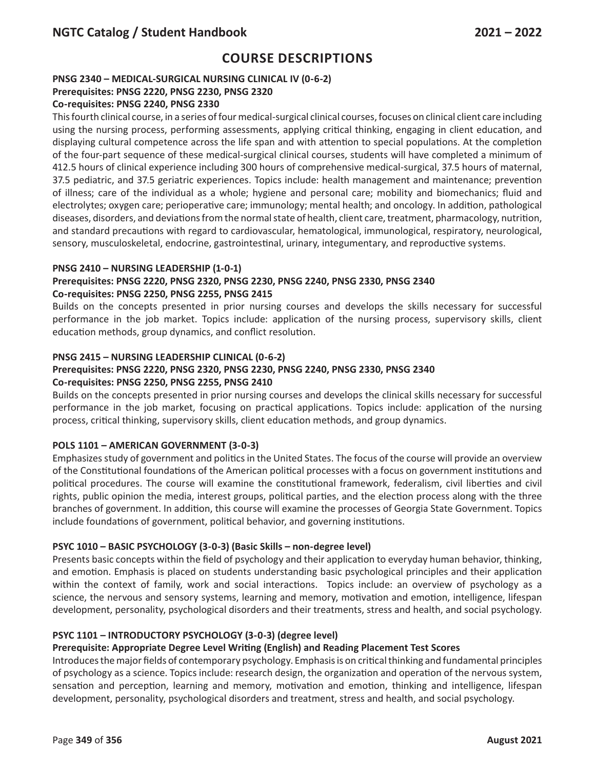## **PNSG 2340 – MEDICAL-SURGICAL NURSING CLINICAL IV (0-6-2)**

## **Prerequisites: PNSG 2220, PNSG 2230, PNSG 2320**

## **Co-requisites: PNSG 2240, PNSG 2330**

This fourth clinical course, in a series of four medical-surgical clinical courses, focuses on clinical client care including using the nursing process, performing assessments, applying critical thinking, engaging in client education, and displaying cultural competence across the life span and with attention to special populations. At the completion of the four-part sequence of these medical-surgical clinical courses, students will have completed a minimum of 412.5 hours of clinical experience including 300 hours of comprehensive medical-surgical, 37.5 hours of maternal, 37.5 pediatric, and 37.5 geriatric experiences. Topics include: health management and maintenance; prevention of illness; care of the individual as a whole; hygiene and personal care; mobility and biomechanics; fluid and electrolytes; oxygen care; perioperative care; immunology; mental health; and oncology. In addition, pathological diseases, disorders, and deviations from the normal state of health, client care, treatment, pharmacology, nutrition, and standard precautions with regard to cardiovascular, hematological, immunological, respiratory, neurological, sensory, musculoskeletal, endocrine, gastrointestinal, urinary, integumentary, and reproductive systems.

### **PNSG 2410 – NURSING LEADERSHIP (1-0-1)**

## **Prerequisites: PNSG 2220, PNSG 2320, PNSG 2230, PNSG 2240, PNSG 2330, PNSG 2340 Co-requisites: PNSG 2250, PNSG 2255, PNSG 2415**

Builds on the concepts presented in prior nursing courses and develops the skills necessary for successful performance in the job market. Topics include: application of the nursing process, supervisory skills, client education methods, group dynamics, and conflict resolution.

### **PNSG 2415 – NURSING LEADERSHIP CLINICAL (0-6-2)**

#### **Prerequisites: PNSG 2220, PNSG 2320, PNSG 2230, PNSG 2240, PNSG 2330, PNSG 2340 Co-requisites: PNSG 2250, PNSG 2255, PNSG 2410**

Builds on the concepts presented in prior nursing courses and develops the clinical skills necessary for successful performance in the job market, focusing on practical applications. Topics include: application of the nursing process, critical thinking, supervisory skills, client education methods, and group dynamics.

### **POLS 1101 – AMERICAN GOVERNMENT (3-0-3)**

Emphasizes study of government and politics in the United States. The focus of the course will provide an overview of the Constitutional foundations of the American political processes with a focus on government institutions and political procedures. The course will examine the constitutional framework, federalism, civil liberties and civil rights, public opinion the media, interest groups, political parties, and the election process along with the three branches of government. In addition, this course will examine the processes of Georgia State Government. Topics include foundations of government, political behavior, and governing institutions.

## **PSYC 1010 – BASIC PSYCHOLOGY (3-0-3) (Basic Skills – non-degree level)**

Presents basic concepts within the field of psychology and their application to everyday human behavior, thinking, and emotion. Emphasis is placed on students understanding basic psychological principles and their application within the context of family, work and social interactions. Topics include: an overview of psychology as a science, the nervous and sensory systems, learning and memory, motivation and emotion, intelligence, lifespan development, personality, psychological disorders and their treatments, stress and health, and social psychology.

### **PSYC 1101 – INTRODUCTORY PSYCHOLOGY (3-0-3) (degree level)**

### **Prerequisite: Appropriate Degree Level Writing (English) and Reading Placement Test Scores**

Introduces the major fields of contemporary psychology. Emphasis is on critical thinking and fundamental principles of psychology as a science. Topics include: research design, the organization and operation of the nervous system, sensation and perception, learning and memory, motivation and emotion, thinking and intelligence, lifespan development, personality, psychological disorders and treatment, stress and health, and social psychology.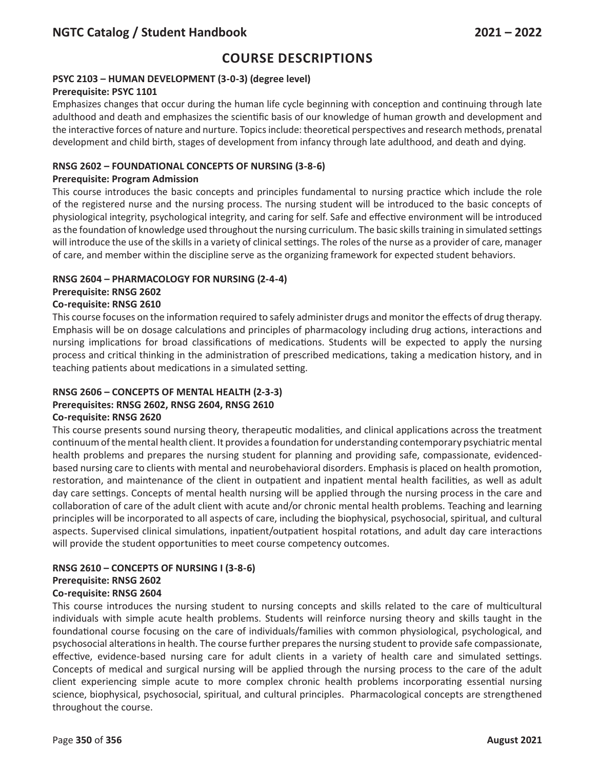## **PSYC 2103 – HUMAN DEVELOPMENT (3-0-3) (degree level)**

### **Prerequisite: PSYC 1101**

Emphasizes changes that occur during the human life cycle beginning with conception and continuing through late adulthood and death and emphasizes the scientific basis of our knowledge of human growth and development and the interactive forces of nature and nurture. Topics include: theoretical perspectives and research methods, prenatal development and child birth, stages of development from infancy through late adulthood, and death and dying.

### **RNSG 2602 – FOUNDATIONAL CONCEPTS OF NURSING (3-8-6)**

### **Prerequisite: Program Admission**

This course introduces the basic concepts and principles fundamental to nursing practice which include the role of the registered nurse and the nursing process. The nursing student will be introduced to the basic concepts of physiological integrity, psychological integrity, and caring for self. Safe and effective environment will be introduced as the foundation of knowledge used throughout the nursing curriculum. The basic skills training in simulated settings will introduce the use of the skills in a variety of clinical settings. The roles of the nurse as a provider of care, manager of care, and member within the discipline serve as the organizing framework for expected student behaviors.

## **RNSG 2604 – PHARMACOLOGY FOR NURSING (2-4-4)**

## **Prerequisite: RNSG 2602**

## **Co-requisite: RNSG 2610**

This course focuses on the information required to safely administer drugs and monitor the effects of drug therapy. Emphasis will be on dosage calculations and principles of pharmacology including drug actions, interactions and nursing implications for broad classifications of medications. Students will be expected to apply the nursing process and critical thinking in the administration of prescribed medications, taking a medication history, and in teaching patients about medications in a simulated setting.

# **RNSG 2606 – CONCEPTS OF MENTAL HEALTH (2-3-3)**

# **Prerequisites: RNSG 2602, RNSG 2604, RNSG 2610**

### **Co-requisite: RNSG 2620**

This course presents sound nursing theory, therapeutic modalities, and clinical applications across the treatment continuum of the mental health client. It provides a foundation for understanding contemporary psychiatric mental health problems and prepares the nursing student for planning and providing safe, compassionate, evidencedbased nursing care to clients with mental and neurobehavioral disorders. Emphasis is placed on health promotion, restoration, and maintenance of the client in outpatient and inpatient mental health facilities, as well as adult day care settings. Concepts of mental health nursing will be applied through the nursing process in the care and collaboration of care of the adult client with acute and/or chronic mental health problems. Teaching and learning principles will be incorporated to all aspects of care, including the biophysical, psychosocial, spiritual, and cultural aspects. Supervised clinical simulations, inpatient/outpatient hospital rotations, and adult day care interactions will provide the student opportunities to meet course competency outcomes.

#### **RNSG 2610 – CONCEPTS OF NURSING I (3-8-6) Prerequisite: RNSG 2602 Co-requisite: RNSG 2604**

This course introduces the nursing student to nursing concepts and skills related to the care of multicultural individuals with simple acute health problems. Students will reinforce nursing theory and skills taught in the foundational course focusing on the care of individuals/families with common physiological, psychological, and psychosocial alterations in health. The course further prepares the nursing student to provide safe compassionate, effective, evidence-based nursing care for adult clients in a variety of health care and simulated settings. Concepts of medical and surgical nursing will be applied through the nursing process to the care of the adult client experiencing simple acute to more complex chronic health problems incorporating essential nursing science, biophysical, psychosocial, spiritual, and cultural principles. Pharmacological concepts are strengthened throughout the course.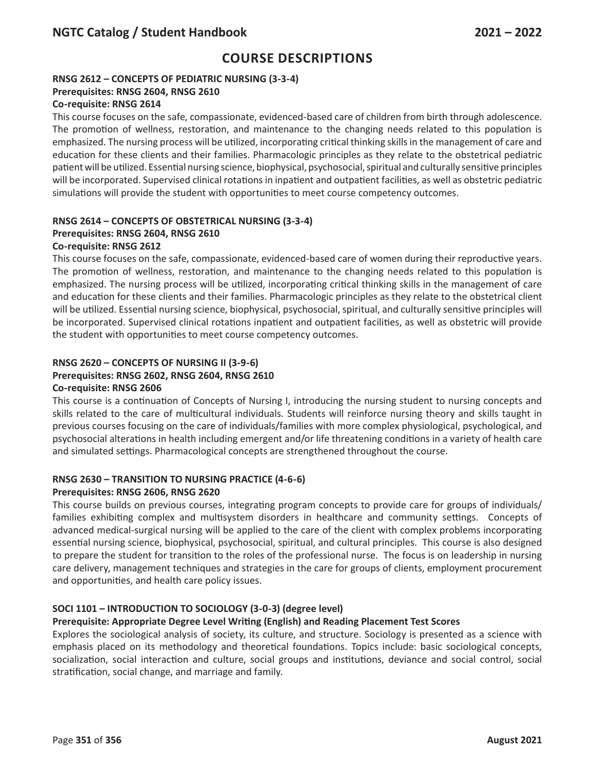# **RNSG 2612 – CONCEPTS OF PEDIATRIC NURSING (3-3-4)**

## **Prerequisites: RNSG 2604, RNSG 2610**

## **Co-requisite: RNSG 2614**

This course focuses on the safe, compassionate, evidenced-based care of children from birth through adolescence. The promotion of wellness, restoration, and maintenance to the changing needs related to this population is emphasized. The nursing process will be utilized, incorporating critical thinking skills in the management of care and education for these clients and their families. Pharmacologic principles as they relate to the obstetrical pediatric patient will be utilized. Essential nursing science, biophysical, psychosocial, spiritual and culturally sensitive principles will be incorporated. Supervised clinical rotations in inpatient and outpatient facilities, as well as obstetric pediatric simulations will provide the student with opportunities to meet course competency outcomes.

# **RNSG 2614 – CONCEPTS OF OBSTETRICAL NURSING (3-3-4) Prerequisites: RNSG 2604, RNSG 2610**

## **Co-requisite: RNSG 2612**

This course focuses on the safe, compassionate, evidenced-based care of women during their reproductive years. The promotion of wellness, restoration, and maintenance to the changing needs related to this population is emphasized. The nursing process will be utilized, incorporating critical thinking skills in the management of care and education for these clients and their families. Pharmacologic principles as they relate to the obstetrical client will be utilized. Essential nursing science, biophysical, psychosocial, spiritual, and culturally sensitive principles will be incorporated. Supervised clinical rotations inpatient and outpatient facilities, as well as obstetric will provide the student with opportunities to meet course competency outcomes.

## **RNSG 2620 – CONCEPTS OF NURSING II (3-9-6)**

## **Prerequisites: RNSG 2602, RNSG 2604, RNSG 2610**

### **Co-requisite: RNSG 2606**

This course is a continuation of Concepts of Nursing I, introducing the nursing student to nursing concepts and skills related to the care of multicultural individuals. Students will reinforce nursing theory and skills taught in previous courses focusing on the care of individuals/families with more complex physiological, psychological, and psychosocial alterations in health including emergent and/or life threatening conditions in a variety of health care and simulated settings. Pharmacological concepts are strengthened throughout the course.

#### **RNSG 2630 – TRANSITION TO NURSING PRACTICE (4-6-6) Prerequisites: RNSG 2606, RNSG 2620**

This course builds on previous courses, integrating program concepts to provide care for groups of individuals/ families exhibiting complex and multisystem disorders in healthcare and community settings. Concepts of advanced medical-surgical nursing will be applied to the care of the client with complex problems incorporating essential nursing science, biophysical, psychosocial, spiritual, and cultural principles. This course is also designed to prepare the student for transition to the roles of the professional nurse. The focus is on leadership in nursing care delivery, management techniques and strategies in the care for groups of clients, employment procurement and opportunities, and health care policy issues.

## **SOCI 1101 – INTRODUCTION TO SOCIOLOGY (3-0-3) (degree level)**

### **Prerequisite: Appropriate Degree Level Writing (English) and Reading Placement Test Scores**

Explores the sociological analysis of society, its culture, and structure. Sociology is presented as a science with emphasis placed on its methodology and theoretical foundations. Topics include: basic sociological concepts, socialization, social interaction and culture, social groups and institutions, deviance and social control, social stratification, social change, and marriage and family.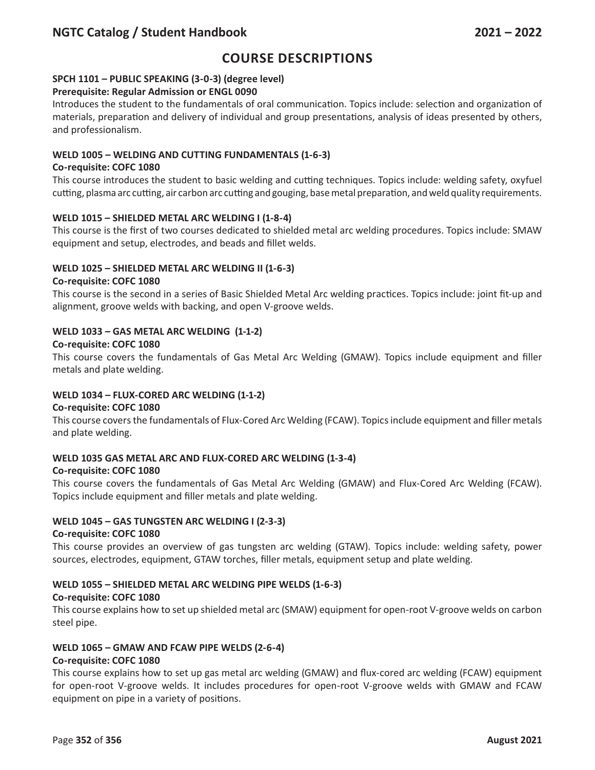# **Course Descriptions**

## **SPCH 1101 – PUBLIC SPEAKING (3-0-3) (degree level)**

## **Prerequisite: Regular Admission or ENGL 0090**

Introduces the student to the fundamentals of oral communication. Topics include: selection and organization of materials, preparation and delivery of individual and group presentations, analysis of ideas presented by others, and professionalism.

#### **WELD 1005 – WELDING AND CUTTING FUNDAMENTALS (1-6-3)**

#### **Co-requisite: COFC 1080**

This course introduces the student to basic welding and cutting techniques. Topics include: welding safety, oxyfuel cutting, plasma arc cutting, air carbon arc cutting and gouging, base metal preparation, and weld quality requirements.

#### **WELD 1015 – SHIELDED METAL ARC WELDING I (1-8-4)**

This course is the first of two courses dedicated to shielded metal arc welding procedures. Topics include: SMAW equipment and setup, electrodes, and beads and fillet welds.

#### **WELD 1025 – SHIELDED METAL ARC WELDING II (1-6-3)**

#### **Co-requisite: COFC 1080**

This course is the second in a series of Basic Shielded Metal Arc welding practices. Topics include: joint fit-up and alignment, groove welds with backing, and open V-groove welds.

### **WELD 1033 – GAS METAL ARC WELDING (1-1-2)**

#### **Co-requisite: COFC 1080**

This course covers the fundamentals of Gas Metal Arc Welding (GMAW). Topics include equipment and filler metals and plate welding.

### **WELD 1034 – FLUX-CORED ARC WELDING (1-1-2)**

#### **Co-requisite: COFC 1080**

This course covers the fundamentals of Flux-Cored Arc Welding (FCAW). Topics include equipment and filler metals and plate welding.

### **WELD 1035 GAS METAL ARC AND FLUX-CORED ARC WELDING (1-3-4)**

#### **Co-requisite: COFC 1080**

This course covers the fundamentals of Gas Metal Arc Welding (GMAW) and Flux-Cored Arc Welding (FCAW). Topics include equipment and filler metals and plate welding.

#### **WELD 1045 – GAS TUNGSTEN ARC WELDING I (2-3-3)**

#### **Co-requisite: COFC 1080**

This course provides an overview of gas tungsten arc welding (GTAW). Topics include: welding safety, power sources, electrodes, equipment, GTAW torches, filler metals, equipment setup and plate welding.

### **WELD 1055 – SHIELDED METAL ARC WELDING PIPE WELDS (1-6-3)**

#### **Co-requisite: COFC 1080**

This course explains how to set up shielded metal arc (SMAW) equipment for open-root V-groove welds on carbon steel pipe.

## **WELD 1065 – GMAW AND FCAW PIPE WELDS (2-6-4)**

#### **Co-requisite: COFC 1080**

This course explains how to set up gas metal arc welding (GMAW) and flux-cored arc welding (FCAW) equipment for open-root V-groove welds. It includes procedures for open-root V-groove welds with GMAW and FCAW equipment on pipe in a variety of positions.